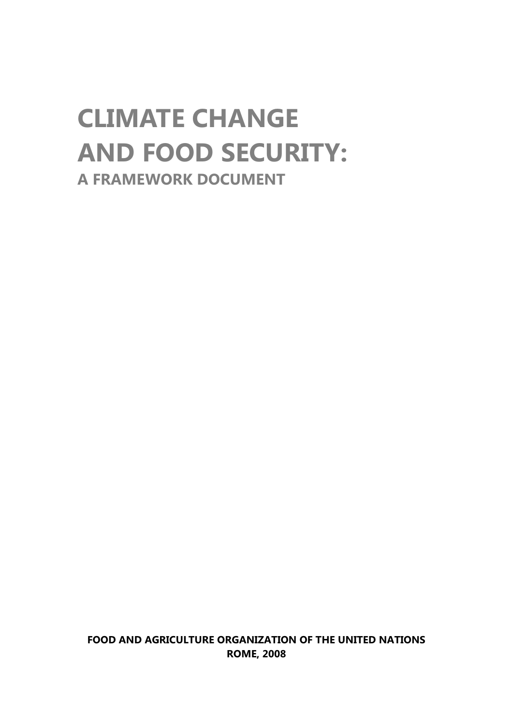## **CLIMATE CHANGE AND FOOD SECURITY: A FRAMEWORK DOCUMENT**

**FOOD AND AGRICULTURE ORGANIZATION OF THE UNITED NATIONS ROME, 2008**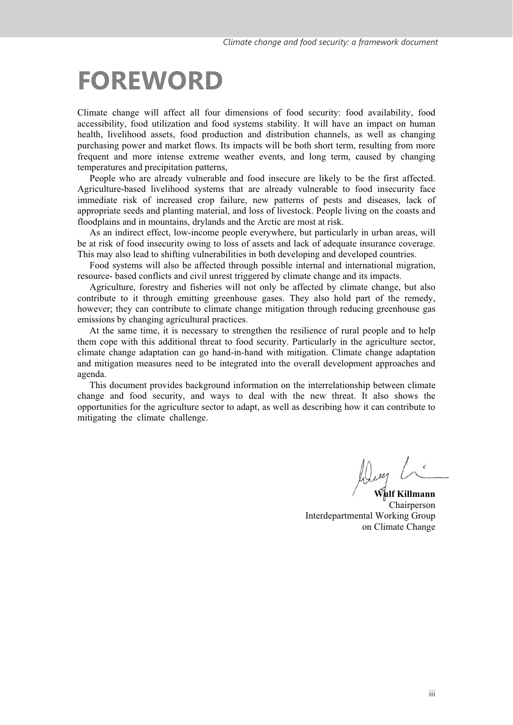### **FOREWORD**

Climate change will affect all four dimensions of food security: food availability, food accessibility, food utilization and food systems stability. It will have an impact on human health, livelihood assets, food production and distribution channels, as well as changing purchasing power and market flows. Its impacts will be both short term, resulting from more frequent and more intense extreme weather events, and long term, caused by changing temperatures and precipitation patterns,

People who are already vulnerable and food insecure are likely to be the first affected. Agriculture-based livelihood systems that are already vulnerable to food insecurity face immediate risk of increased crop failure, new patterns of pests and diseases, lack of appropriate seeds and planting material, and loss of livestock. People living on the coasts and floodplains and in mountains, drylands and the Arctic are most at risk.

As an indirect effect, low-income people everywhere, but particularly in urban areas, will be at risk of food insecurity owing to loss of assets and lack of adequate insurance coverage. This may also lead to shifting vulnerabilities in both developing and developed countries.

Food systems will also be affected through possible internal and international migration, resource- based conflicts and civil unrest triggered by climate change and its impacts.

Agriculture, forestry and fisheries will not only be affected by climate change, but also contribute to it through emitting greenhouse gases. They also hold part of the remedy, however; they can contribute to climate change mitigation through reducing greenhouse gas emissions by changing agricultural practices.

At the same time, it is necessary to strengthen the resilience of rural people and to help them cope with this additional threat to food security. Particularly in the agriculture sector, climate change adaptation can go hand-in-hand with mitigation. Climate change adaptation and mitigation measures need to be integrated into the overall development approaches and agenda.

This document provides background information on the interrelationship between climate change and food security, and ways to deal with the new threat. It also shows the opportunities for the agriculture sector to adapt, as well as describing how it can contribute to mitigating the climate challenge.

**Wulf Killmann**  Chairperson Interdepartmental Working Group on Climate Change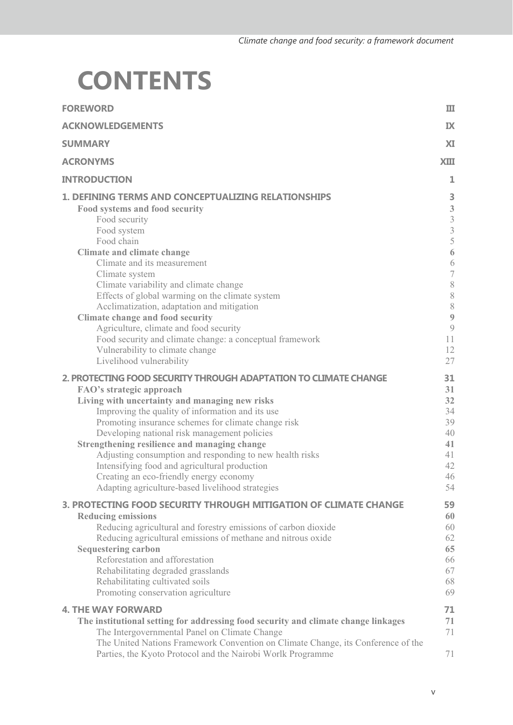## **CONTENTS**

| <b>FOREWORD</b>                                                                                                                                                                                                                                                                                                                                                                                                                                                                                                                                                                                                                      | Ш                                                                                                                                                                    |
|--------------------------------------------------------------------------------------------------------------------------------------------------------------------------------------------------------------------------------------------------------------------------------------------------------------------------------------------------------------------------------------------------------------------------------------------------------------------------------------------------------------------------------------------------------------------------------------------------------------------------------------|----------------------------------------------------------------------------------------------------------------------------------------------------------------------|
| <b>ACKNOWLEDGEMENTS</b>                                                                                                                                                                                                                                                                                                                                                                                                                                                                                                                                                                                                              | IX                                                                                                                                                                   |
| <b>SUMMARY</b>                                                                                                                                                                                                                                                                                                                                                                                                                                                                                                                                                                                                                       | XI                                                                                                                                                                   |
| <b>ACRONYMS</b>                                                                                                                                                                                                                                                                                                                                                                                                                                                                                                                                                                                                                      | <b>XIII</b>                                                                                                                                                          |
| <b>INTRODUCTION</b>                                                                                                                                                                                                                                                                                                                                                                                                                                                                                                                                                                                                                  | 1                                                                                                                                                                    |
| <b>1. DEFINING TERMS AND CONCEPTUALIZING RELATIONSHIPS</b><br>Food systems and food security<br>Food security<br>Food system<br>Food chain<br><b>Climate and climate change</b><br>Climate and its measurement<br>Climate system<br>Climate variability and climate change<br>Effects of global warming on the climate system<br>Acclimatization, adaptation and mitigation<br><b>Climate change and food security</b><br>Agriculture, climate and food security<br>Food security and climate change: a conceptual framework                                                                                                         | 3<br>$\begin{array}{c} 3 \\ 3 \\ 3 \end{array}$<br>$\overline{5}$<br>6<br>$\sqrt{6}$<br>$\overline{\mathcal{I}}$<br>$\,$ $\,$<br>8<br>8<br>$\overline{9}$<br>9<br>11 |
| Vulnerability to climate change<br>Livelihood vulnerability<br>2. PROTECTING FOOD SECURITY THROUGH ADAPTATION TO CLIMATE CHANGE<br>FAO's strategic approach<br>Living with uncertainty and managing new risks<br>Improving the quality of information and its use<br>Promoting insurance schemes for climate change risk<br>Developing national risk management policies<br>Strengthening resilience and managing change<br>Adjusting consumption and responding to new health risks<br>Intensifying food and agricultural production<br>Creating an eco-friendly energy economy<br>Adapting agriculture-based livelihood strategies | 12<br>27<br>31<br>31<br>32<br>34<br>39<br>40<br>41<br>41<br>42<br>46<br>54                                                                                           |
| 3. PROTECTING FOOD SECURITY THROUGH MITIGATION OF CLIMATE CHANGE<br><b>Reducing emissions</b><br>Reducing agricultural and forestry emissions of carbon dioxide<br>Reducing agricultural emissions of methane and nitrous oxide<br><b>Sequestering carbon</b><br>Reforestation and afforestation<br>Rehabilitating degraded grasslands<br>Rehabilitating cultivated soils<br>Promoting conservation agriculture                                                                                                                                                                                                                      | 59<br>60<br>60<br>62<br>65<br>66<br>67<br>68<br>69                                                                                                                   |
| <b>4. THE WAY FORWARD</b><br>The institutional setting for addressing food security and climate change linkages<br>The Intergovernmental Panel on Climate Change<br>The United Nations Framework Convention on Climate Change, its Conference of the<br>Parties, the Kyoto Protocol and the Nairobi Worlk Programme                                                                                                                                                                                                                                                                                                                  | 71<br>71<br>71<br>71                                                                                                                                                 |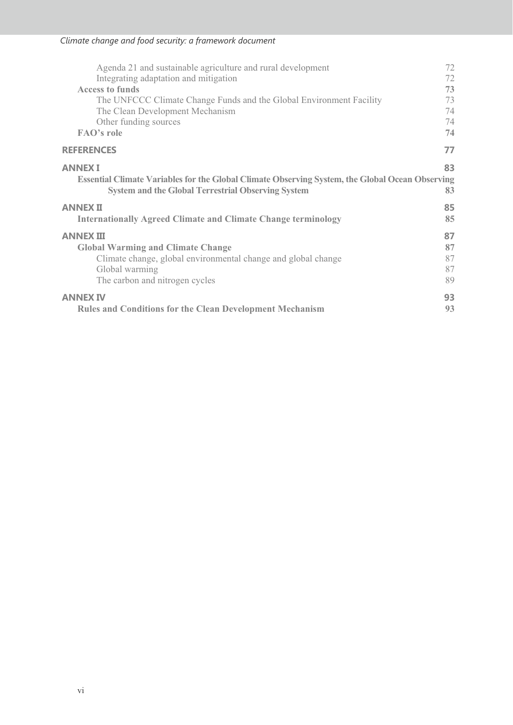| Agenda 21 and sustainable agriculture and rural development                                                                                                                                              | 72             |
|----------------------------------------------------------------------------------------------------------------------------------------------------------------------------------------------------------|----------------|
| Integrating adaptation and mitigation                                                                                                                                                                    | 72             |
| <b>Access to funds</b>                                                                                                                                                                                   | 73             |
| The UNFCCC Climate Change Funds and the Global Environment Facility                                                                                                                                      | 73             |
| The Clean Development Mechanism                                                                                                                                                                          | 74             |
| Other funding sources                                                                                                                                                                                    | 74             |
| <b>FAO's role</b>                                                                                                                                                                                        | 74             |
| <b>REFERENCES</b>                                                                                                                                                                                        | 77             |
| <b>ANNEX I</b><br><b>Essential Climate Variables for the Global Climate Observing System, the Global Ocean Observing</b><br><b>System and the Global Terrestrial Observing System</b><br><b>ANNEX II</b> | 83<br>83<br>85 |
| <b>Internationally Agreed Climate and Climate Change terminology</b>                                                                                                                                     | 85             |
| <b>ANNEX III</b>                                                                                                                                                                                         | 87             |
| <b>Global Warming and Climate Change</b>                                                                                                                                                                 | 87             |
| Climate change, global environmental change and global change                                                                                                                                            | 87             |
| Global warming                                                                                                                                                                                           | 87             |
| The carbon and nitrogen cycles                                                                                                                                                                           | 89             |
| <b>ANNEX IV</b>                                                                                                                                                                                          | 93             |
| <b>Rules and Conditions for the Clean Development Mechanism</b>                                                                                                                                          | 93             |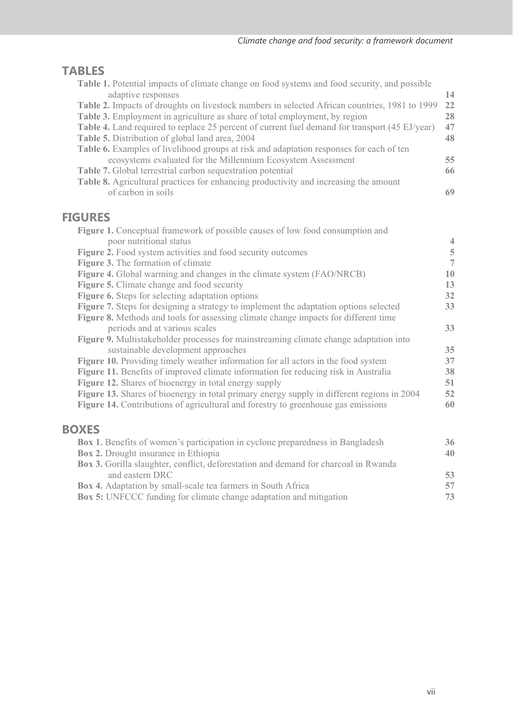### **TABLES**

| <b>Table 1.</b> Potential impacts of climate change on food systems and food security, and possible  |    |
|------------------------------------------------------------------------------------------------------|----|
| adaptive responses                                                                                   | 14 |
| <b>Table 2.</b> Impacts of droughts on livestock numbers in selected African countries, 1981 to 1999 | 22 |
| Table 3. Employment in agriculture as share of total employment, by region                           | 28 |
| Table 4. Land required to replace 25 percent of current fuel demand for transport (45 EJ/year)       | 47 |
| Table 5. Distribution of global land area, 2004                                                      | 48 |
| Table 6. Examples of livelihood groups at risk and adaptation responses for each of ten              |    |
| ecosystems evaluated for the Millennium Ecosystem Assessment                                         | 55 |
| Table 7. Global terrestrial carbon sequestration potential                                           | 66 |
| Table 8. Agricultural practices for enhancing productivity and increasing the amount                 |    |
| of carbon in soils                                                                                   | 69 |
|                                                                                                      |    |

### **FIGURES**

| <b>Figure 1.</b> Conceptual framework of possible causes of low food consumption and         |    |
|----------------------------------------------------------------------------------------------|----|
| poor nutritional status                                                                      | 4  |
| Figure 2. Food system activities and food security outcomes                                  | 5  |
| <b>Figure 3.</b> The formation of climate                                                    | 7  |
| <b>Figure 4.</b> Global warming and changes in the climate system (FAO/NRCB)                 | 10 |
| <b>Figure 5.</b> Climate change and food security                                            | 13 |
| Figure 6. Steps for selecting adaptation options                                             | 32 |
| <b>Figure 7.</b> Steps for designing a strategy to implement the adaptation options selected | 33 |
| Figure 8. Methods and tools for assessing climate change impacts for different time          |    |
| periods and at various scales                                                                | 33 |
| <b>Figure 9.</b> Multistakeholder processes for mainstreaming climate change adaptation into |    |
| sustainable development approaches                                                           | 35 |
| <b>Figure 10.</b> Providing timely weather information for all actors in the food system     | 37 |
| <b>Figure 11.</b> Benefits of improved climate information for reducing risk in Australia    | 38 |
| <b>Figure 12.</b> Shares of bioenergy in total energy supply                                 | 51 |
| Figure 13. Shares of bioenergy in total primary energy supply in different regions in 2004   | 52 |
| Figure 14. Contributions of agricultural and forestry to greenhouse gas emissions            | 60 |
|                                                                                              |    |
| <b>BOXES</b>                                                                                 |    |
|                                                                                              |    |
| Box 1. Benefits of women's participation in cyclone preparedness in Bangladesh               | 36 |

| <b>Box 2.</b> Drought insurance in Ethiopia                                                |  | 40 |
|--------------------------------------------------------------------------------------------|--|----|
| <b>Box 3.</b> Gorilla slaughter, conflict, deforestation and demand for charcoal in Rwanda |  |    |
| and eastern DRC                                                                            |  | 53 |
| <b>Box 4.</b> Adaptation by small-scale tea farmers in South Africa                        |  | 57 |
| <b>Box 5:</b> UNFCCC funding for climate change adaptation and mitigation                  |  | 73 |
|                                                                                            |  |    |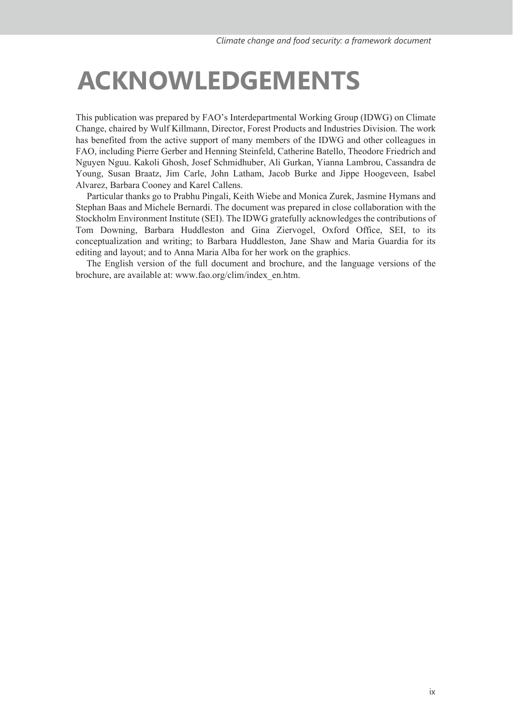### **ACKNOWLEDGEMENTS**

This publication was prepared by FAO's Interdepartmental Working Group (IDWG) on Climate Change, chaired by Wulf Killmann, Director, Forest Products and Industries Division. The work has benefited from the active support of many members of the IDWG and other colleagues in FAO, including Pierre Gerber and Henning Steinfeld, Catherine Batello, Theodore Friedrich and Nguyen Nguu. Kakoli Ghosh, Josef Schmidhuber, Ali Gurkan, Yianna Lambrou, Cassandra de Young, Susan Braatz, Jim Carle, John Latham, Jacob Burke and Jippe Hoogeveen, Isabel Alvarez, Barbara Cooney and Karel Callens.

 Particular thanks go to Prabhu Pingali, Keith Wiebe and Monica Zurek, Jasmine Hymans and Stephan Baas and Michele Bernardi. The document was prepared in close collaboration with the Stockholm Environment Institute (SEI). The IDWG gratefully acknowledges the contributions of Tom Downing, Barbara Huddleston and Gina Ziervogel, Oxford Office, SEI, to its conceptualization and writing; to Barbara Huddleston, Jane Shaw and Maria Guardia for its editing and layout; and to Anna Maria Alba for her work on the graphics.

 The English version of the full document and brochure, and the language versions of the brochure, are available at: www.fao.org/clim/index\_en.htm.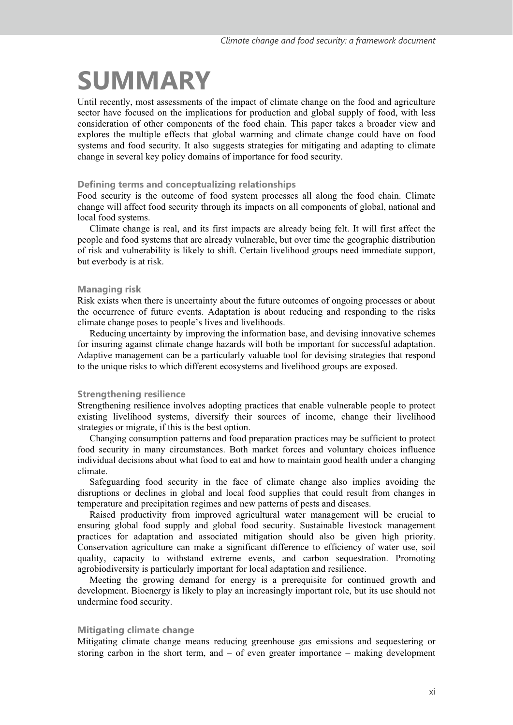## **SUMMARY**

Until recently, most assessments of the impact of climate change on the food and agriculture sector have focused on the implications for production and global supply of food, with less consideration of other components of the food chain. This paper takes a broader view and explores the multiple effects that global warming and climate change could have on food systems and food security. It also suggests strategies for mitigating and adapting to climate change in several key policy domains of importance for food security.

#### **Defining terms and conceptualizing relationships**

Food security is the outcome of food system processes all along the food chain. Climate change will affect food security through its impacts on all components of global, national and local food systems.

Climate change is real, and its first impacts are already being felt. It will first affect the people and food systems that are already vulnerable, but over time the geographic distribution of risk and vulnerability is likely to shift. Certain livelihood groups need immediate support, but everbody is at risk.

#### **Managing risk**

Risk exists when there is uncertainty about the future outcomes of ongoing processes or about the occurrence of future events. Adaptation is about reducing and responding to the risks climate change poses to people's lives and livelihoods.

Reducing uncertainty by improving the information base, and devising innovative schemes for insuring against climate change hazards will both be important for successful adaptation. Adaptive management can be a particularly valuable tool for devising strategies that respond to the unique risks to which different ecosystems and livelihood groups are exposed.

#### **Strengthening resilience**

Strengthening resilience involves adopting practices that enable vulnerable people to protect existing livelihood systems, diversify their sources of income, change their livelihood strategies or migrate, if this is the best option.

Changing consumption patterns and food preparation practices may be sufficient to protect food security in many circumstances. Both market forces and voluntary choices influence individual decisions about what food to eat and how to maintain good health under a changing climate.

Safeguarding food security in the face of climate change also implies avoiding the disruptions or declines in global and local food supplies that could result from changes in temperature and precipitation regimes and new patterns of pests and diseases.

Raised productivity from improved agricultural water management will be crucial to ensuring global food supply and global food security. Sustainable livestock management practices for adaptation and associated mitigation should also be given high priority. Conservation agriculture can make a significant difference to efficiency of water use, soil quality, capacity to withstand extreme events, and carbon sequestration. Promoting agrobiodiversity is particularly important for local adaptation and resilience.

Meeting the growing demand for energy is a prerequisite for continued growth and development. Bioenergy is likely to play an increasingly important role, but its use should not undermine food security.

#### **Mitigating climate change**

Mitigating climate change means reducing greenhouse gas emissions and sequestering or storing carbon in the short term, and - of even greater importance - making development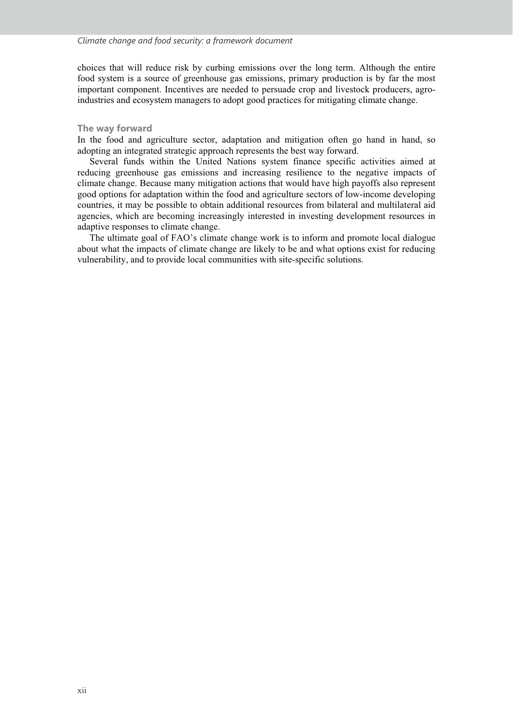choices that will reduce risk by curbing emissions over the long term. Although the entire food system is a source of greenhouse gas emissions, primary production is by far the most important component. Incentives are needed to persuade crop and livestock producers, agroindustries and ecosystem managers to adopt good practices for mitigating climate change.

#### **The way forward**

In the food and agriculture sector, adaptation and mitigation often go hand in hand, so adopting an integrated strategic approach represents the best way forward.

Several funds within the United Nations system finance specific activities aimed at reducing greenhouse gas emissions and increasing resilience to the negative impacts of climate change. Because many mitigation actions that would have high payoffs also represent good options for adaptation within the food and agriculture sectors of low-income developing countries, it may be possible to obtain additional resources from bilateral and multilateral aid agencies, which are becoming increasingly interested in investing development resources in adaptive responses to climate change.

The ultimate goal of FAO's climate change work is to inform and promote local dialogue about what the impacts of climate change are likely to be and what options exist for reducing vulnerability, and to provide local communities with site-specific solutions.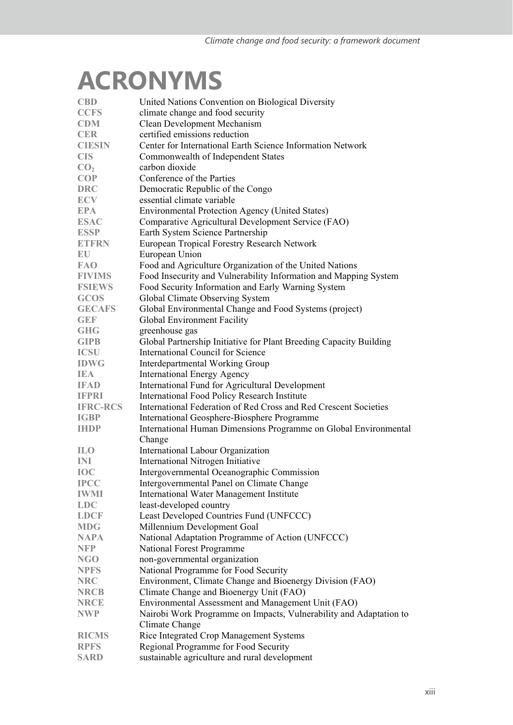## **ACRONYMS**

| <b>CBD</b>                | United Nations Convention on Biological Diversity                  |
|---------------------------|--------------------------------------------------------------------|
| <b>CCFS</b>               | climate change and food security                                   |
| <b>CDM</b>                | Clean Development Mechanism                                        |
| <b>CER</b>                | certified emissions reduction                                      |
| <b>CIESIN</b>             | Center for International Earth Science Information Network         |
| <b>CIS</b>                | Commonwealth of Independent States                                 |
| CO <sub>2</sub>           | carbon dioxide                                                     |
| <b>COP</b>                | Conference of the Parties                                          |
| <b>DRC</b>                | Democratic Republic of the Congo                                   |
| <b>ECV</b>                | essential climate variable                                         |
| <b>EPA</b>                | <b>Environmental Protection Agency (United States)</b>             |
| <b>ESAC</b>               | Comparative Agricultural Development Service (FAO)                 |
| <b>ESSP</b>               | Earth System Science Partnership                                   |
| <b>ETFRN</b>              | European Tropical Forestry Research Network                        |
| ${\mathbb E} {\mathbb U}$ | European Union                                                     |
| <b>FAO</b>                | Food and Agriculture Organization of the United Nations            |
| <b>FIVIMS</b>             | Food Insecurity and Vulnerability Information and Mapping System   |
| <b>FSIEWS</b>             | Food Security Information and Early Warning System                 |
| <b>GCOS</b>               | Global Climate Observing System                                    |
| <b>GECAFS</b>             | Global Environmental Change and Food Systems (project)             |
| <b>GEF</b>                | Global Environment Facility                                        |
| <b>GHG</b>                | greenhouse gas                                                     |
| <b>GIPB</b>               | Global Partnership Initiative for Plant Breeding Capacity Building |
| <b>ICSU</b>               | International Council for Science                                  |
| <b>IDWG</b>               | Interdepartmental Working Group                                    |
| IEA                       | <b>International Energy Agency</b>                                 |
| <b>IFAD</b>               | International Fund for Agricultural Development                    |
| <b>IFPRI</b>              | <b>International Food Policy Research Institute</b>                |
| <b>IFRC-RCS</b>           | International Federation of Red Cross and Red Crescent Societies   |
| <b>IGBP</b>               | International Geosphere-Biosphere Programme                        |
| <b>IHDP</b>               | International Human Dimensions Programme on Global Environmental   |
|                           | Change                                                             |
| <b>ILO</b>                | International Labour Organization                                  |
| INI                       | International Nitrogen Initiative                                  |
| <b>IOC</b>                | Intergovernmental Oceanographic Commission                         |
| <b>IPCC</b>               | Intergovernmental Panel on Climate Change                          |
| <b>IWMI</b>               | International Water Management Institute                           |
| <b>LDC</b>                | least-developed country                                            |
| <b>LDCF</b>               | Least Developed Countries Fund (UNFCCC)                            |
| <b>MDG</b>                | Millennium Development Goal                                        |
| <b>NAPA</b>               | National Adaptation Programme of Action (UNFCCC)                   |
| <b>NFP</b>                | <b>National Forest Programme</b>                                   |
| <b>NGO</b>                | non-governmental organization                                      |
| <b>NPFS</b>               | National Programme for Food Security                               |
| <b>NRC</b>                | Environment, Climate Change and Bioenergy Division (FAO)           |
| <b>NRCB</b>               | Climate Change and Bioenergy Unit (FAO)                            |
| <b>NRCE</b>               | Environmental Assessment and Management Unit (FAO)                 |
| <b>NWP</b>                | Nairobi Work Programme on Impacts, Vulnerability and Adaptation to |
|                           | Climate Change                                                     |
| <b>RICMS</b>              | Rice Integrated Crop Management Systems                            |
| <b>RPFS</b>               | Regional Programme for Food Security                               |
| <b>SARD</b>               | sustainable agriculture and rural development                      |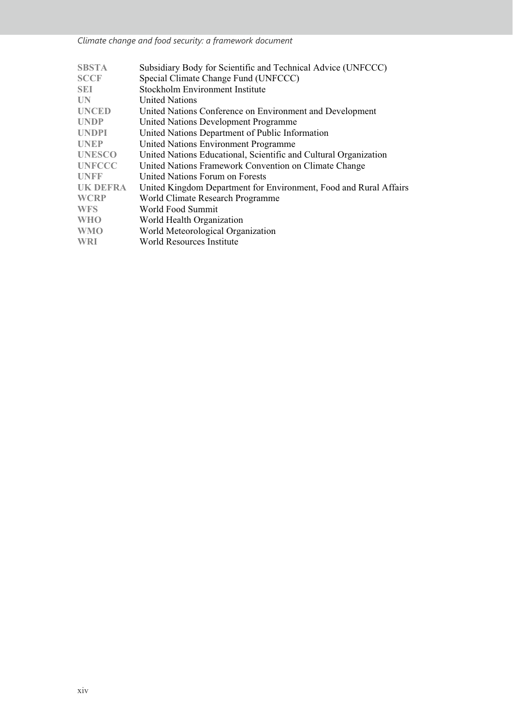*Climate change and food security: a framework document* 

| <b>SBSTA</b>    | Subsidiary Body for Scientific and Technical Advice (UNFCCC)      |
|-----------------|-------------------------------------------------------------------|
| <b>SCCF</b>     | Special Climate Change Fund (UNFCCC)                              |
| <b>SEI</b>      | Stockholm Environment Institute                                   |
| UN              | <b>United Nations</b>                                             |
| <b>UNCED</b>    | United Nations Conference on Environment and Development          |
| <b>UNDP</b>     | United Nations Development Programme                              |
| <b>UNDPI</b>    | United Nations Department of Public Information                   |
| <b>UNEP</b>     | United Nations Environment Programme                              |
| <b>UNESCO</b>   | United Nations Educational, Scientific and Cultural Organization  |
| <b>UNFCCC</b>   | United Nations Framework Convention on Climate Change             |
| <b>UNFF</b>     | United Nations Forum on Forests                                   |
| <b>UK DEFRA</b> | United Kingdom Department for Environment, Food and Rural Affairs |
| <b>WCRP</b>     | World Climate Research Programme                                  |
| <b>WFS</b>      | World Food Summit                                                 |
| <b>WHO</b>      | World Health Organization                                         |
| <b>WMO</b>      | World Meteorological Organization                                 |
| <b>WRI</b>      | World Resources Institute                                         |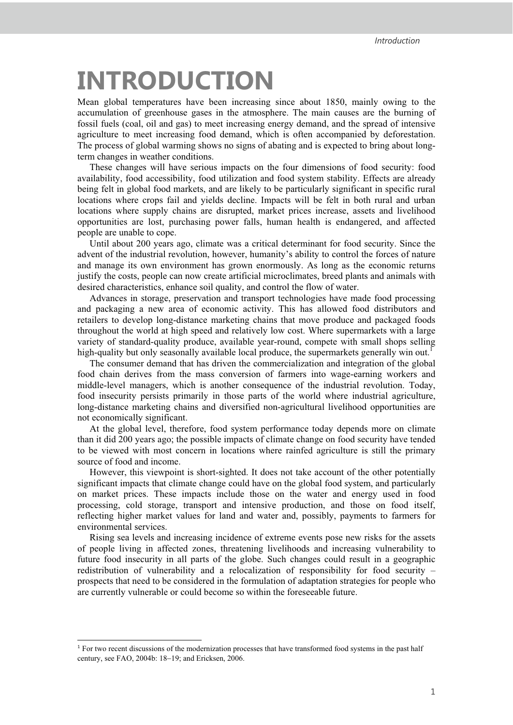## **INTRODUCTION**

Mean global temperatures have been increasing since about 1850, mainly owing to the accumulation of greenhouse gases in the atmosphere. The main causes are the burning of fossil fuels (coal, oil and gas) to meet increasing energy demand, and the spread of intensive agriculture to meet increasing food demand, which is often accompanied by deforestation. The process of global warming shows no signs of abating and is expected to bring about longterm changes in weather conditions.

These changes will have serious impacts on the four dimensions of food security: food availability, food accessibility, food utilization and food system stability. Effects are already being felt in global food markets, and are likely to be particularly significant in specific rural locations where crops fail and yields decline. Impacts will be felt in both rural and urban locations where supply chains are disrupted, market prices increase, assets and livelihood opportunities are lost, purchasing power falls, human health is endangered, and affected people are unable to cope.

Until about 200 years ago, climate was a critical determinant for food security. Since the advent of the industrial revolution, however, humanity's ability to control the forces of nature and manage its own environment has grown enormously. As long as the economic returns justify the costs, people can now create artificial microclimates, breed plants and animals with desired characteristics, enhance soil quality, and control the flow of water.

Advances in storage, preservation and transport technologies have made food processing and packaging a new area of economic activity. This has allowed food distributors and retailers to develop long-distance marketing chains that move produce and packaged foods throughout the world at high speed and relatively low cost. Where supermarkets with a large variety of standard-quality produce, available year-round, compete with small shops selling high-quality but only seasonally available local produce, the supermarkets generally win out.<sup>1</sup>

The consumer demand that has driven the commercialization and integration of the global food chain derives from the mass conversion of farmers into wage-earning workers and middle-level managers, which is another consequence of the industrial revolution. Today, food insecurity persists primarily in those parts of the world where industrial agriculture, long-distance marketing chains and diversified non-agricultural livelihood opportunities are not economically significant.

At the global level, therefore, food system performance today depends more on climate than it did 200 years ago; the possible impacts of climate change on food security have tended to be viewed with most concern in locations where rainfed agriculture is still the primary source of food and income.

However, this viewpoint is short-sighted. It does not take account of the other potentially significant impacts that climate change could have on the global food system, and particularly on market prices. These impacts include those on the water and energy used in food processing, cold storage, transport and intensive production, and those on food itself, reflecting higher market values for land and water and, possibly, payments to farmers for environmental services.

Rising sea levels and increasing incidence of extreme events pose new risks for the assets of people living in affected zones, threatening livelihoods and increasing vulnerability to future food insecurity in all parts of the globe. Such changes could result in a geographic redistribution of vulnerability and a relocalization of responsibility for food security – prospects that need to be considered in the formulation of adaptation strategies for people who are currently vulnerable or could become so within the foreseeable future.

 $\overline{a}$ 

<sup>&</sup>lt;sup>1</sup> For two recent discussions of the modernization processes that have transformed food systems in the past half century, see FAO, 2004b: 18-19; and Ericksen, 2006.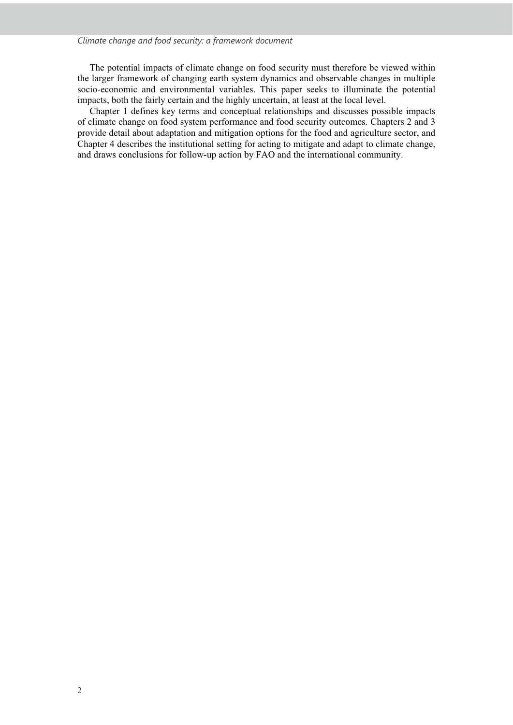#### *Climate change and food security: a framework document*

The potential impacts of climate change on food security must therefore be viewed within the larger framework of changing earth system dynamics and observable changes in multiple socio-economic and environmental variables. This paper seeks to illuminate the potential impacts, both the fairly certain and the highly uncertain, at least at the local level.

Chapter 1 defines key terms and conceptual relationships and discusses possible impacts of climate change on food system performance and food security outcomes. Chapters 2 and 3 provide detail about adaptation and mitigation options for the food and agriculture sector, and Chapter 4 describes the institutional setting for acting to mitigate and adapt to climate change, and draws conclusions for follow-up action by FAO and the international community.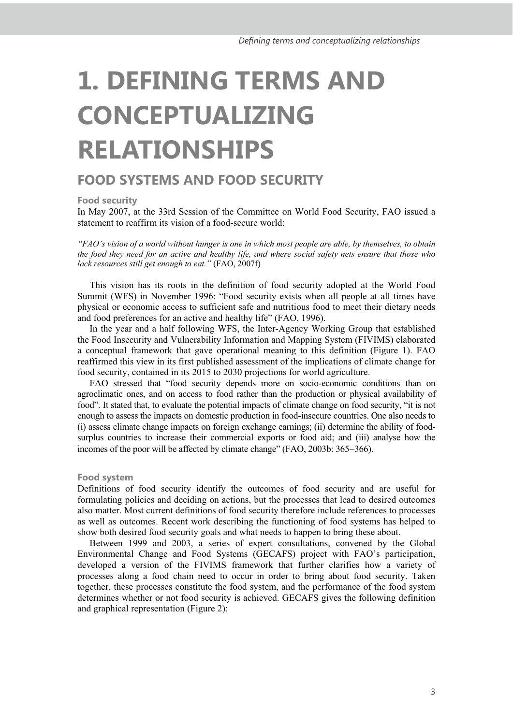# **1. DEFINING TERMS AND CONCEPTUALIZING RELATIONSHIPS**

### **FOOD SYSTEMS AND FOOD SECURITY**

**Food security** 

In May 2007, at the 33rd Session of the Committee on World Food Security, FAO issued a statement to reaffirm its vision of a food-secure world:

*"FAO's vision of a world without hunger is one in which most people are able, by themselves, to obtain the food they need for an active and healthy life, and where social safety nets ensure that those who lack resources still get enough to eat."* (FAO, 2007f)

This vision has its roots in the definition of food security adopted at the World Food Summit (WFS) in November 1996: "Food security exists when all people at all times have physical or economic access to sufficient safe and nutritious food to meet their dietary needs and food preferences for an active and healthy life" (FAO, 1996).

In the year and a half following WFS, the Inter-Agency Working Group that established the Food Insecurity and Vulnerability Information and Mapping System (FIVIMS) elaborated a conceptual framework that gave operational meaning to this definition (Figure 1). FAO reaffirmed this view in its first published assessment of the implications of climate change for food security, contained in its 2015 to 2030 projections for world agriculture.

FAO stressed that "food security depends more on socio-economic conditions than on agroclimatic ones, and on access to food rather than the production or physical availability of food". It stated that, to evaluate the potential impacts of climate change on food security, "it is not enough to assess the impacts on domestic production in food-insecure countries. One also needs to (i) assess climate change impacts on foreign exchange earnings; (ii) determine the ability of foodsurplus countries to increase their commercial exports or food aid; and (iii) analyse how the incomes of the poor will be affected by climate change" (FAO, 2003b: 365-366).

#### **Food system**

Definitions of food security identify the outcomes of food security and are useful for formulating policies and deciding on actions, but the processes that lead to desired outcomes also matter. Most current definitions of food security therefore include references to processes as well as outcomes. Recent work describing the functioning of food systems has helped to show both desired food security goals and what needs to happen to bring these about.

Between 1999 and 2003, a series of expert consultations, convened by the Global Environmental Change and Food Systems (GECAFS) project with FAO's participation, developed a version of the FIVIMS framework that further clarifies how a variety of processes along a food chain need to occur in order to bring about food security. Taken together, these processes constitute the food system, and the performance of the food system determines whether or not food security is achieved. GECAFS gives the following definition and graphical representation (Figure 2):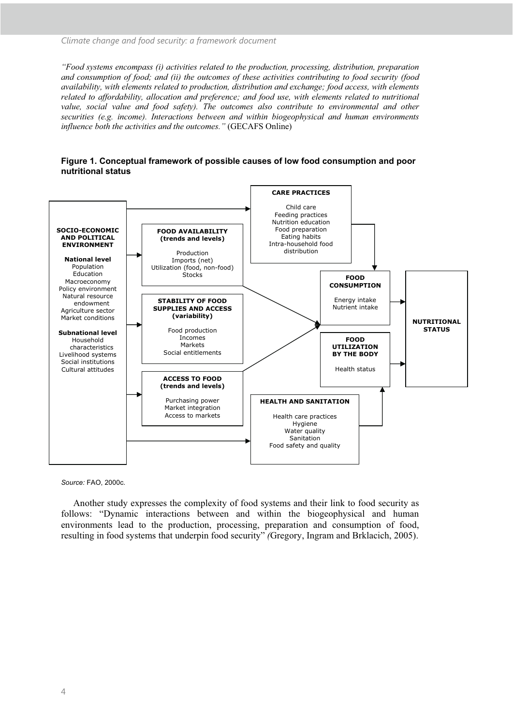*"Food systems encompass (i) activities related to the production, processing, distribution, preparation and consumption of food; and (ii) the outcomes of these activities contributing to food security (food availability, with elements related to production, distribution and exchange; food access, with elements related to affordability, allocation and preference; and food use, with elements related to nutritional*  value, social value and food safety). The outcomes also contribute to environmental and other *securities (e.g. income). Interactions between and within biogeophysical and human environments influence both the activities and the outcomes."* (GECAFS Online)





*Source:* FAO, 2000c.

Another study expresses the complexity of food systems and their link to food security as follows: "Dynamic interactions between and within the biogeophysical and human environments lead to the production, processing, preparation and consumption of food, resulting in food systems that underpin food security" *(*Gregory, Ingram and Brklacich, 2005).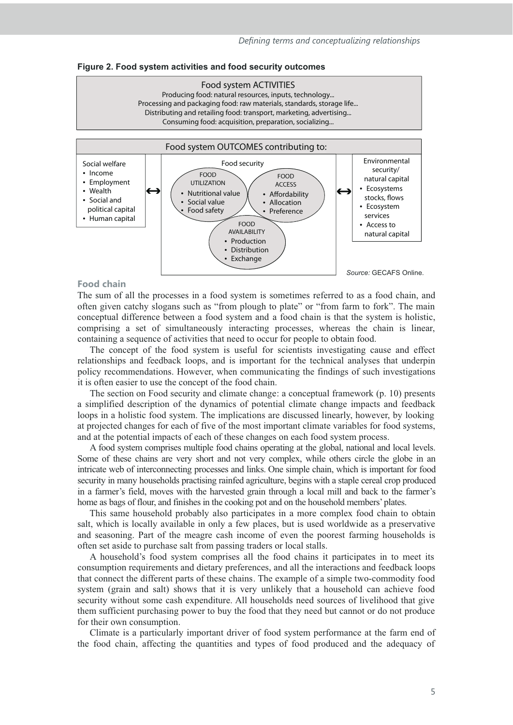#### **Figure 2. Food system activities and food security outcomes**





#### **Food chain**

The sum of all the processes in a food system is sometimes referred to as a food chain, and often given catchy slogans such as "from plough to plate" or "from farm to fork". The main conceptual difference between a food system and a food chain is that the system is holistic, comprising a set of simultaneously interacting processes, whereas the chain is linear, containing a sequence of activities that need to occur for people to obtain food.

The concept of the food system is useful for scientists investigating cause and effect relationships and feedback loops, and is important for the technical analyses that underpin policy recommendations. However, when communicating the findings of such investigations it is often easier to use the concept of the food chain.

The section on Food security and climate change: a conceptual framework (p. 10) presents a simplified description of the dynamics of potential climate change impacts and feedback loops in a holistic food system. The implications are discussed linearly, however, by looking at projected changes for each of five of the most important climate variables for food systems, and at the potential impacts of each of these changes on each food system process.

A food system comprises multiple food chains operating at the global, national and local levels. Some of these chains are very short and not very complex, while others circle the globe in an intricate web of interconnecting processes and links. One simple chain, which is important for food security in many households practising rainfed agriculture, begins with a staple cereal crop produced in a farmer's field, moves with the harvested grain through a local mill and back to the farmer's home as bags of flour, and finishes in the cooking pot and on the household members' plates.

This same household probably also participates in a more complex food chain to obtain salt, which is locally available in only a few places, but is used worldwide as a preservative and seasoning. Part of the meagre cash income of even the poorest farming households is often set aside to purchase salt from passing traders or local stalls.

A household's food system comprises all the food chains it participates in to meet its consumption requirements and dietary preferences, and all the interactions and feedback loops that connect the different parts of these chains. The example of a simple two-commodity food system (grain and salt) shows that it is very unlikely that a household can achieve food security without some cash expenditure. All households need sources of livelihood that give them sufficient purchasing power to buy the food that they need but cannot or do not produce for their own consumption.

Climate is a particularly important driver of food system performance at the farm end of the food chain, affecting the quantities and types of food produced and the adequacy of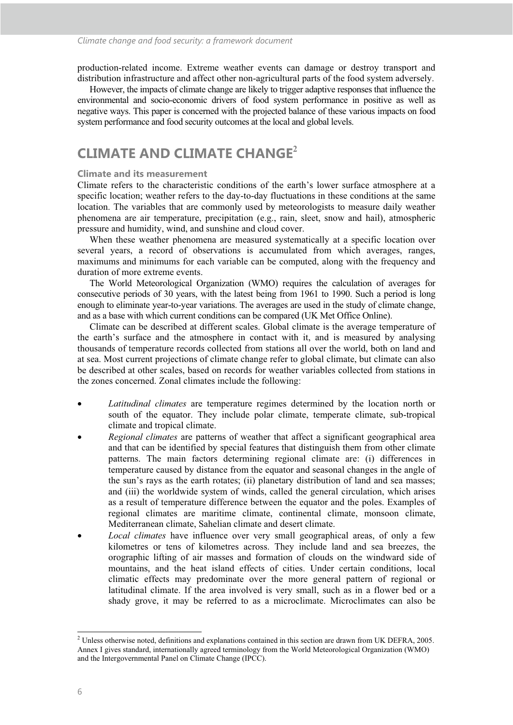production-related income. Extreme weather events can damage or destroy transport and distribution infrastructure and affect other non-agricultural parts of the food system adversely.

However, the impacts of climate change are likely to trigger adaptive responses that influence the environmental and socio-economic drivers of food system performance in positive as well as negative ways. This paper is concerned with the projected balance of these various impacts on food system performance and food security outcomes at the local and global levels.

### **CLIMATE AND CLIMATE CHANGE<sup>2</sup>**

#### **Climate and its measurement**

Climate refers to the characteristic conditions of the earth's lower surface atmosphere at a specific location; weather refers to the day-to-day fluctuations in these conditions at the same location. The variables that are commonly used by meteorologists to measure daily weather phenomena are air temperature, precipitation (e.g., rain, sleet, snow and hail), atmospheric pressure and humidity, wind, and sunshine and cloud cover.

When these weather phenomena are measured systematically at a specific location over several years, a record of observations is accumulated from which averages, ranges, maximums and minimums for each variable can be computed, along with the frequency and duration of more extreme events.

The World Meteorological Organization (WMO) requires the calculation of averages for consecutive periods of 30 years, with the latest being from 1961 to 1990. Such a period is long enough to eliminate year-to-year variations. The averages are used in the study of climate change, and as a base with which current conditions can be compared (UK Met Office Online).

Climate can be described at different scales. Global climate is the average temperature of the earth's surface and the atmosphere in contact with it, and is measured by analysing thousands of temperature records collected from stations all over the world, both on land and at sea. Most current projections of climate change refer to global climate, but climate can also be described at other scales, based on records for weather variables collected from stations in the zones concerned. Zonal climates include the following:

- *Latitudinal climates* are temperature regimes determined by the location north or south of the equator. They include polar climate, temperate climate, sub-tropical climate and tropical climate.
- *Regional climates* are patterns of weather that affect a significant geographical area and that can be identified by special features that distinguish them from other climate patterns. The main factors determining regional climate are: (i) differences in temperature caused by distance from the equator and seasonal changes in the angle of the sun's rays as the earth rotates; (ii) planetary distribution of land and sea masses; and (iii) the worldwide system of winds, called the general circulation, which arises as a result of temperature difference between the equator and the poles. Examples of regional climates are maritime climate, continental climate, monsoon climate, Mediterranean climate, Sahelian climate and desert climate.
- *Local climates* have influence over very small geographical areas, of only a few kilometres or tens of kilometres across. They include land and sea breezes, the orographic lifting of air masses and formation of clouds on the windward side of mountains, and the heat island effects of cities. Under certain conditions, local climatic effects may predominate over the more general pattern of regional or latitudinal climate. If the area involved is very small, such as in a flower bed or a shady grove, it may be referred to as a microclimate. Microclimates can also be

<sup>&</sup>lt;sup>2</sup> Unless otherwise noted, definitions and explanations contained in this section are drawn from UK DEFRA, 2005. Annex I gives standard, internationally agreed terminology from the World Meteorological Organization (WMO) and the Intergovernmental Panel on Climate Change (IPCC).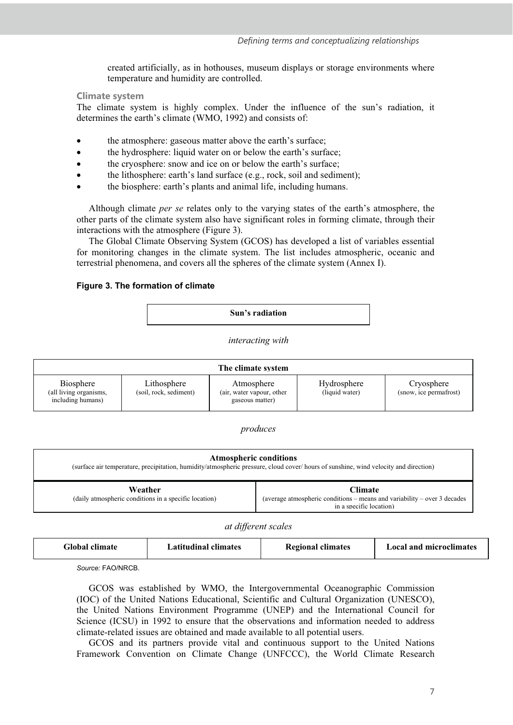created artificially, as in hothouses, museum displays or storage environments where temperature and humidity are controlled.

#### **Climate system**

The climate system is highly complex. Under the influence of the sun's radiation, it determines the earth's climate (WMO, 1992) and consists of:

- the atmosphere: gaseous matter above the earth's surface;
- the hydrosphere: liquid water on or below the earth's surface;
- the cryosphere: snow and ice on or below the earth's surface;
- the lithosphere: earth's land surface (e.g., rock, soil and sediment);
- the biosphere: earth's plants and animal life, including humans.

Although climate *per se* relates only to the varying states of the earth's atmosphere, the other parts of the climate system also have significant roles in forming climate, through their interactions with the atmosphere (Figure 3).

The Global Climate Observing System (GCOS) has developed a list of variables essential for monitoring changes in the climate system. The list includes atmospheric, oceanic and terrestrial phenomena, and covers all the spheres of the climate system (Annex I).

#### **Figure 3. The formation of climate**

**Sun's radiation** 

*interacting with* 



*produces*

| <b>Atmospheric conditions</b><br>(surface air temperature, precipitation, humidity/atmospheric pressure, cloud cover/hours of sunshine, wind velocity and direction) |                                                                                                                       |  |  |  |  |  |  |
|----------------------------------------------------------------------------------------------------------------------------------------------------------------------|-----------------------------------------------------------------------------------------------------------------------|--|--|--|--|--|--|
| Weather<br>(daily atmospheric conditions in a specific location)                                                                                                     | <b>Climate</b><br>(average atmospheric conditions – means and variability – over 3 decades<br>in a specific location) |  |  |  |  |  |  |

*at different scales* 

*Source:* FAO/NRCB.

GCOS was established by WMO, the Intergovernmental Oceanographic Commission (IOC) of the United Nations Educational, Scientific and Cultural Organization (UNESCO), the United Nations Environment Programme (UNEP) and the International Council for Science (ICSU) in 1992 to ensure that the observations and information needed to address climate-related issues are obtained and made available to all potential users.

GCOS and its partners provide vital and continuous support to the United Nations Framework Convention on Climate Change (UNFCCC), the World Climate Research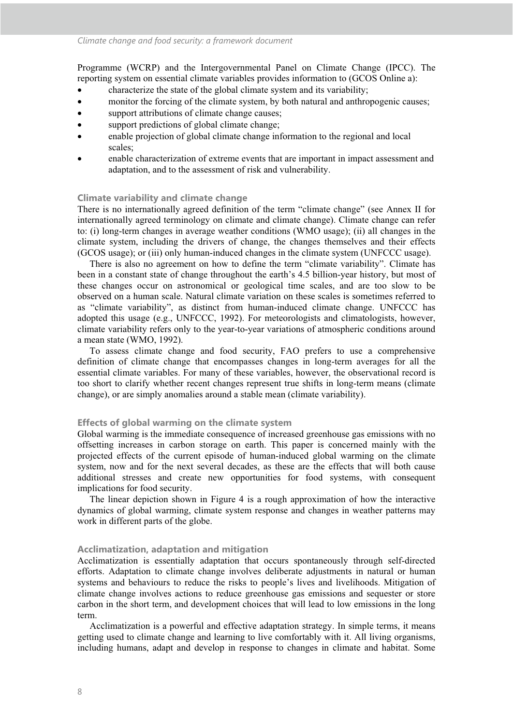Programme (WCRP) and the Intergovernmental Panel on Climate Change (IPCC). The reporting system on essential climate variables provides information to (GCOS Online a):

- characterize the state of the global climate system and its variability;
- monitor the forcing of the climate system, by both natural and anthropogenic causes;
- support attributions of climate change causes;
- support predictions of global climate change;
- enable projection of global climate change information to the regional and local scales;
- enable characterization of extreme events that are important in impact assessment and adaptation, and to the assessment of risk and vulnerability.

#### **Climate variability and climate change**

There is no internationally agreed definition of the term "climate change" (see Annex II for internationally agreed terminology on climate and climate change). Climate change can refer to: (i) long-term changes in average weather conditions (WMO usage); (ii) all changes in the climate system, including the drivers of change, the changes themselves and their effects (GCOS usage); or (iii) only human-induced changes in the climate system (UNFCCC usage).

There is also no agreement on how to define the term "climate variability". Climate has been in a constant state of change throughout the earth's 4.5 billion-year history, but most of these changes occur on astronomical or geological time scales, and are too slow to be observed on a human scale. Natural climate variation on these scales is sometimes referred to as "climate variability", as distinct from human-induced climate change. UNFCCC has adopted this usage (e.g., UNFCCC, 1992). For meteorologists and climatologists, however, climate variability refers only to the year-to-year variations of atmospheric conditions around a mean state (WMO, 1992).

To assess climate change and food security, FAO prefers to use a comprehensive definition of climate change that encompasses changes in long-term averages for all the essential climate variables. For many of these variables, however, the observational record is too short to clarify whether recent changes represent true shifts in long-term means (climate change), or are simply anomalies around a stable mean (climate variability).

#### **Effects of global warming on the climate system**

Global warming is the immediate consequence of increased greenhouse gas emissions with no offsetting increases in carbon storage on earth. This paper is concerned mainly with the projected effects of the current episode of human-induced global warming on the climate system, now and for the next several decades, as these are the effects that will both cause additional stresses and create new opportunities for food systems, with consequent implications for food security.

The linear depiction shown in Figure 4 is a rough approximation of how the interactive dynamics of global warming, climate system response and changes in weather patterns may work in different parts of the globe.

#### **Acclimatization, adaptation and mitigation**

Acclimatization is essentially adaptation that occurs spontaneously through self-directed efforts. Adaptation to climate change involves deliberate adjustments in natural or human systems and behaviours to reduce the risks to people's lives and livelihoods. Mitigation of climate change involves actions to reduce greenhouse gas emissions and sequester or store carbon in the short term, and development choices that will lead to low emissions in the long term.

Acclimatization is a powerful and effective adaptation strategy. In simple terms, it means getting used to climate change and learning to live comfortably with it. All living organisms, including humans, adapt and develop in response to changes in climate and habitat. Some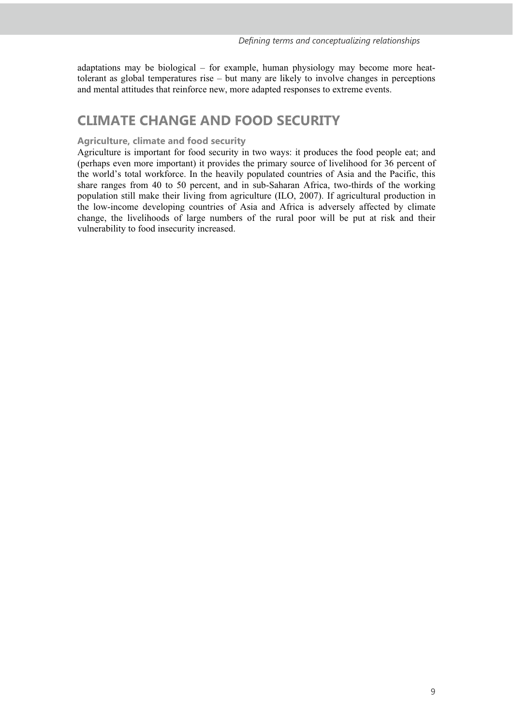adaptations may be biological – for example, human physiology may become more heattolerant as global temperatures rise – but many are likely to involve changes in perceptions and mental attitudes that reinforce new, more adapted responses to extreme events.

### **CLIMATE CHANGE AND FOOD SECURITY**

#### **Agriculture, climate and food security**

Agriculture is important for food security in two ways: it produces the food people eat; and (perhaps even more important) it provides the primary source of livelihood for 36 percent of the world's total workforce. In the heavily populated countries of Asia and the Pacific, this share ranges from 40 to 50 percent, and in sub-Saharan Africa, two-thirds of the working population still make their living from agriculture (ILO, 2007). If agricultural production in the low-income developing countries of Asia and Africa is adversely affected by climate change, the livelihoods of large numbers of the rural poor will be put at risk and their vulnerability to food insecurity increased.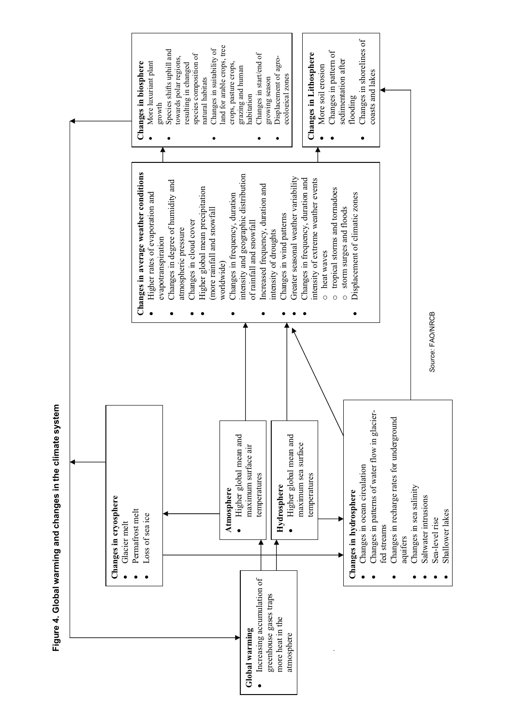

**Figure 4. Global warming and changes in the climate system**  Figure 4. Global warming and changes in the climate system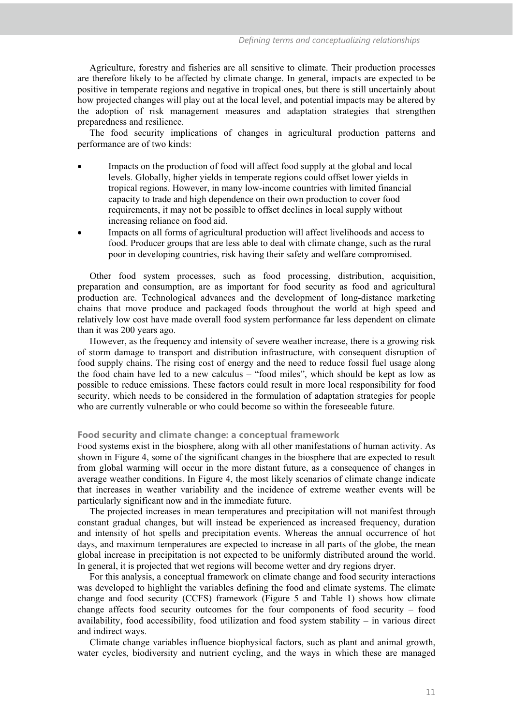Agriculture, forestry and fisheries are all sensitive to climate. Their production processes are therefore likely to be affected by climate change. In general, impacts are expected to be positive in temperate regions and negative in tropical ones, but there is still uncertainly about how projected changes will play out at the local level, and potential impacts may be altered by the adoption of risk management measures and adaptation strategies that strengthen preparedness and resilience.

The food security implications of changes in agricultural production patterns and performance are of two kinds:

- Impacts on the production of food will affect food supply at the global and local levels. Globally, higher yields in temperate regions could offset lower yields in tropical regions. However, in many low-income countries with limited financial capacity to trade and high dependence on their own production to cover food requirements, it may not be possible to offset declines in local supply without increasing reliance on food aid.
- Impacts on all forms of agricultural production will affect livelihoods and access to food. Producer groups that are less able to deal with climate change, such as the rural poor in developing countries, risk having their safety and welfare compromised.

Other food system processes, such as food processing, distribution, acquisition, preparation and consumption, are as important for food security as food and agricultural production are. Technological advances and the development of long-distance marketing chains that move produce and packaged foods throughout the world at high speed and relatively low cost have made overall food system performance far less dependent on climate than it was 200 years ago.

However, as the frequency and intensity of severe weather increase, there is a growing risk of storm damage to transport and distribution infrastructure, with consequent disruption of food supply chains. The rising cost of energy and the need to reduce fossil fuel usage along the food chain have led to a new calculus – "food miles", which should be kept as low as possible to reduce emissions. These factors could result in more local responsibility for food security, which needs to be considered in the formulation of adaptation strategies for people who are currently vulnerable or who could become so within the foreseeable future.

#### **Food security and climate change: a conceptual framework**

Food systems exist in the biosphere, along with all other manifestations of human activity. As shown in Figure 4, some of the significant changes in the biosphere that are expected to result from global warming will occur in the more distant future, as a consequence of changes in average weather conditions. In Figure 4, the most likely scenarios of climate change indicate that increases in weather variability and the incidence of extreme weather events will be particularly significant now and in the immediate future.

The projected increases in mean temperatures and precipitation will not manifest through constant gradual changes, but will instead be experienced as increased frequency, duration and intensity of hot spells and precipitation events. Whereas the annual occurrence of hot days, and maximum temperatures are expected to increase in all parts of the globe, the mean global increase in precipitation is not expected to be uniformly distributed around the world. In general, it is projected that wet regions will become wetter and dry regions dryer.

For this analysis, a conceptual framework on climate change and food security interactions was developed to highlight the variables defining the food and climate systems. The climate change and food security (CCFS) framework (Figure 5 and Table 1) shows how climate change affects food security outcomes for the four components of food security – food availability, food accessibility, food utilization and food system stability – in various direct and indirect ways.

Climate change variables influence biophysical factors, such as plant and animal growth, water cycles, biodiversity and nutrient cycling, and the ways in which these are managed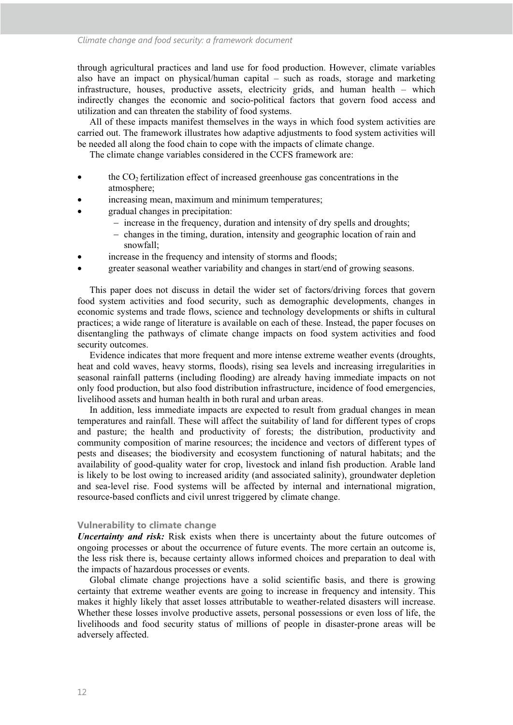through agricultural practices and land use for food production. However, climate variables also have an impact on physical/human capital – such as roads, storage and marketing infrastructure, houses, productive assets, electricity grids, and human health – which indirectly changes the economic and socio-political factors that govern food access and utilization and can threaten the stability of food systems.

All of these impacts manifest themselves in the ways in which food system activities are carried out. The framework illustrates how adaptive adjustments to food system activities will be needed all along the food chain to cope with the impacts of climate change.

The climate change variables considered in the CCFS framework are:

- $\bullet$  the CO<sub>2</sub> fertilization effect of increased greenhouse gas concentrations in the atmosphere;
- increasing mean, maximum and minimum temperatures;
- gradual changes in precipitation:
	- increase in the frequency, duration and intensity of dry spells and droughts;
	- changes in the timing, duration, intensity and geographic location of rain and snowfall;
- increase in the frequency and intensity of storms and floods;
- greater seasonal weather variability and changes in start/end of growing seasons.

This paper does not discuss in detail the wider set of factors/driving forces that govern food system activities and food security, such as demographic developments, changes in economic systems and trade flows, science and technology developments or shifts in cultural practices; a wide range of literature is available on each of these. Instead, the paper focuses on disentangling the pathways of climate change impacts on food system activities and food security outcomes.

Evidence indicates that more frequent and more intense extreme weather events (droughts, heat and cold waves, heavy storms, floods), rising sea levels and increasing irregularities in seasonal rainfall patterns (including flooding) are already having immediate impacts on not only food production, but also food distribution infrastructure, incidence of food emergencies, livelihood assets and human health in both rural and urban areas.

In addition, less immediate impacts are expected to result from gradual changes in mean temperatures and rainfall. These will affect the suitability of land for different types of crops and pasture; the health and productivity of forests; the distribution, productivity and community composition of marine resources; the incidence and vectors of different types of pests and diseases; the biodiversity and ecosystem functioning of natural habitats; and the availability of good-quality water for crop, livestock and inland fish production. Arable land is likely to be lost owing to increased aridity (and associated salinity), groundwater depletion and sea-level rise. Food systems will be affected by internal and international migration, resource-based conflicts and civil unrest triggered by climate change.

#### **Vulnerability to climate change**

*Uncertainty and risk:* Risk exists when there is uncertainty about the future outcomes of ongoing processes or about the occurrence of future events. The more certain an outcome is, the less risk there is, because certainty allows informed choices and preparation to deal with the impacts of hazardous processes or events.

Global climate change projections have a solid scientific basis, and there is growing certainty that extreme weather events are going to increase in frequency and intensity. This makes it highly likely that asset losses attributable to weather-related disasters will increase. Whether these losses involve productive assets, personal possessions or even loss of life, the livelihoods and food security status of millions of people in disaster-prone areas will be adversely affected.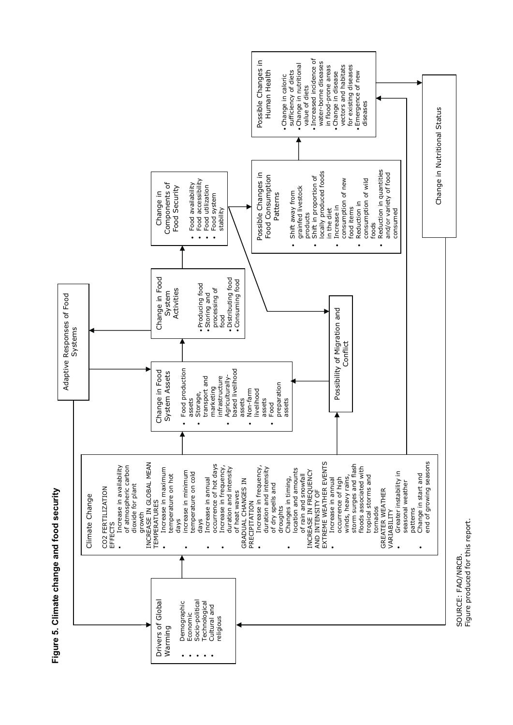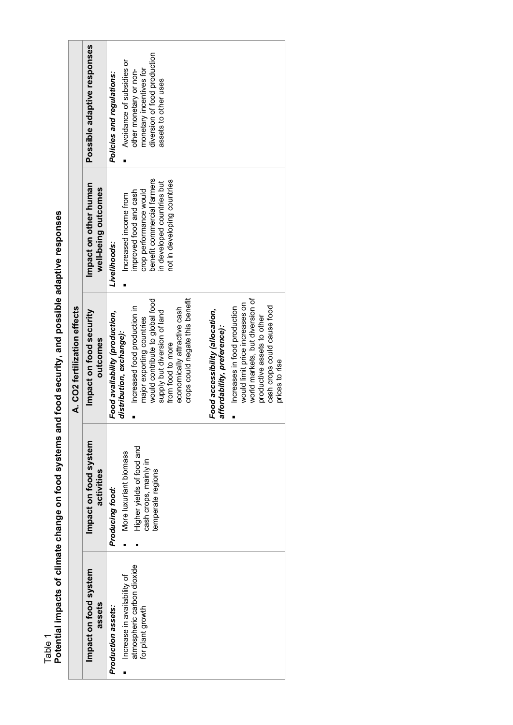Table 1<br>Potential impacts of climate change on food systems and food security, and possible adaptive responses **Potential impacts of climate change on food systems and food security, and possible adaptive responses** 

|                                                                                                     |                                                                                                                      | A. CO2 fertilization effects                                                                                                                                                                                                                                                                                                                                                                                                                                                                                                             |                                                                                                                                                                                      |                                                                                                                                                                     |
|-----------------------------------------------------------------------------------------------------|----------------------------------------------------------------------------------------------------------------------|------------------------------------------------------------------------------------------------------------------------------------------------------------------------------------------------------------------------------------------------------------------------------------------------------------------------------------------------------------------------------------------------------------------------------------------------------------------------------------------------------------------------------------------|--------------------------------------------------------------------------------------------------------------------------------------------------------------------------------------|---------------------------------------------------------------------------------------------------------------------------------------------------------------------|
| Impact on food system<br>assets                                                                     | Impact on food system<br>activities                                                                                  | Impact on food security<br>outcomes                                                                                                                                                                                                                                                                                                                                                                                                                                                                                                      | Impact on other human<br>well-being outcomes                                                                                                                                         | Possible adaptive responses                                                                                                                                         |
| atmospheric carbon dioxide<br>Increase in availability of<br>Production assets:<br>for plant growth | Higher yields of food and<br>More luxuriant biomass<br>cash crops, mainly in<br>temperate regions<br>Producing food: | world markets, but diversion of<br>crops could negate this benefit<br>would contribute to global food<br>would limit price increases on<br>cash crops could cause food<br>Increased food production in<br>economically attractive cash<br>Increases in food production<br>Food accessibility (allocation,<br>supply but diversion of land<br>Food availability (production,<br>productive assets to other<br>major exporting countries<br>affordability, preference):<br>distribution, exchange):<br>from food to more<br>prices to rise | benefit commercial farmers<br>not in developing countries<br>in developed countries but<br>crop performance would<br>improved food and cash<br>Increased income from<br>Livelihoods: | diversion of food production<br>Avoidance of subsidies or<br>monetary incentives for<br>other monetary or non-<br>Policies and regulations:<br>assets to other uses |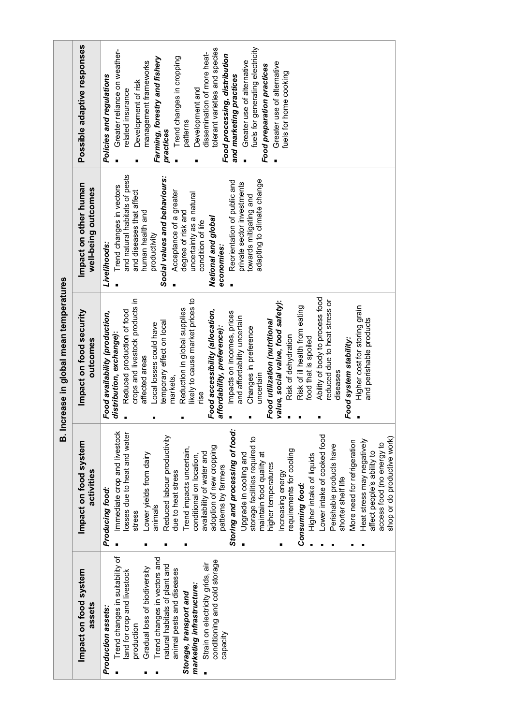| Increase in global mean temperatures | Possible adaptive responses                  | fuels for generating electricity<br>tolerant varieties and species<br>Greater reliance on weather-<br>dissemination of more heat-<br>Food processing, distribution<br>Farming, forestry and fishery<br>Trend changes in cropping<br>management frameworks<br>Greater use of alternative<br>Greater use of alternative<br>Food preparation practices<br>fuels for home cooking<br>and marketing practices<br>Policies and regulations<br>Development of risk<br>Development and<br>related insurance<br>patterns<br>practices                                                                                                                                                                                                                                                                                           |
|--------------------------------------|----------------------------------------------|------------------------------------------------------------------------------------------------------------------------------------------------------------------------------------------------------------------------------------------------------------------------------------------------------------------------------------------------------------------------------------------------------------------------------------------------------------------------------------------------------------------------------------------------------------------------------------------------------------------------------------------------------------------------------------------------------------------------------------------------------------------------------------------------------------------------|
|                                      | Impact on other human<br>well-being outcomes | and natural habitats of pests<br>Social values and behaviours:<br>adapting to climate change<br>Reorientation of public and<br>private sector investments<br>Trend changes in vectors<br>and diseases that affect<br>Acceptance of a greater<br>uncertainty as a natural<br>towards mitigating and<br>human health and<br>degree of risk and<br>National and global<br>condition of life<br>productivity<br>Livelihoods:<br>economies:                                                                                                                                                                                                                                                                                                                                                                                 |
|                                      | Impact on food security<br>outcomes          | Ability of body to process food<br>ikely to cause market prices to<br>crops and livestock products in<br>reduced due to heat stress or<br>value, social value, food safety):<br>Risk of ill health from eating<br>Higher cost for storing grain<br>Reduction in global supplies<br>Food accessibility (allocation,<br>Reduced production of food<br>Impacts on incomes, prices<br>Food availability (production,<br>and affordability uncertain<br>and perishable products<br>Food utilization (nutritional<br>emporary effect on local<br>Local losses could have<br>affordability, preference):<br>Changes in preference<br>distribution, exchange):<br>Risk of dehydration<br>food that is spoiled<br>Food system stability:<br>affected areas<br>diseases<br>uncertain<br>markets,<br>rise<br>п                    |
| ø                                    | Impact on food system<br>activities          | Storing and processing of food:<br>Immediate crop and livestock<br>losses due to heat and water<br>Lower intake of cooked food<br>Reduced labour productivity<br>shop or do productive work)<br>storage facilities required to<br>Heat stress may negatively<br>More need for refrigeration<br>access food (no energy to<br>Perishable products have<br>adoption of new cropping<br>Trend impacts uncertain,<br>requirements for cooling<br>affect people's ability to<br>availability of water and<br>Lower yields from dairy<br>maintain food quality at<br>Higher intake of liquids<br>Upgrade in cooling and<br>conditional on location,<br>higher temperatures<br>patterns by farmers<br>due to heat stress<br>Increasing energy<br>shorter shelf life<br>Consuming food:<br>Producing food:<br>animals<br>stress |
|                                      | Impact on food system<br>assets              | Trend changes in suitability of<br>Trend changes in vectors and<br>conditioning and cold storage<br>Strain on electricity grids, air<br>natural habitats of plant and<br>Gradual loss of biodiversity<br>animal pests and diseases<br>land for crop and livestock<br>marketing infrastructure:<br>Storage, transport and<br>Production assets:<br>production<br>capacity<br>$\blacksquare$                                                                                                                                                                                                                                                                                                                                                                                                                             |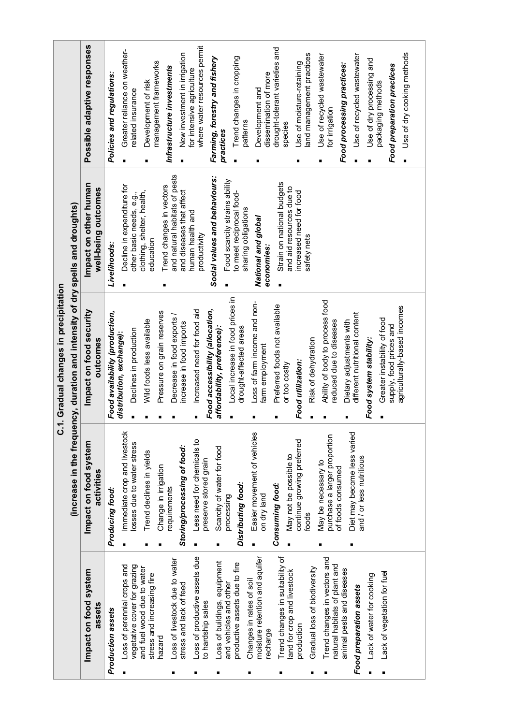| C.1. Gradual changes in precipitation |                                                                                | Possible adaptive responses                  | Policies and regulations:                                  | Greater reliance on weather-<br>related insurance           | management frameworks<br>Development of risk                       | New investment in irrigation<br>Infrastructure investments                            | where water resources permit<br>for intensive agriculture      | Farming, forestry and fishery<br>practices                      | Trend changes in cropping<br>patterns                     | dissemination of more<br>Development and        | drought-tolerant varieties and<br>species                      | and management practices<br>Use of moisture-retaining | Use of recycled wastewater<br>for irrigation                  | Use of recycled wastewater<br>Food processing practices:  | Use of dry processing and | Food preparation practices<br>packaging methods        | Use of dry cooking methods   |
|---------------------------------------|--------------------------------------------------------------------------------|----------------------------------------------|------------------------------------------------------------|-------------------------------------------------------------|--------------------------------------------------------------------|---------------------------------------------------------------------------------------|----------------------------------------------------------------|-----------------------------------------------------------------|-----------------------------------------------------------|-------------------------------------------------|----------------------------------------------------------------|-------------------------------------------------------|---------------------------------------------------------------|-----------------------------------------------------------|---------------------------|--------------------------------------------------------|------------------------------|
|                                       |                                                                                | Impact on other human<br>well-being outcomes | Livelihoods:                                               | Decline in expenditure for<br>other basic needs, e.g.,      | clothing, shelter, health,<br>education                            | and natural habitats of pests<br>Trend changes in vectors<br>and diseases that affect | human health and<br>productivity                               | Social values and behaviours:<br>Food scarcity strains ability  | to meet reciprocal food-<br>sharing obligations           | National and global<br>economies:               | Strain on national budgets<br>and aid resources due to         | increased need for food<br>safety nets                |                                                               |                                                           |                           |                                                        |                              |
|                                       | (increase in the frequency, duration and intensity of dry spells and droughts) | Impact on food security<br>outcomes          | Food availability (production,<br>distribution, exchange): | Declines in production                                      | Pressure on grain reserves<br>Wild foods less available            | Decrease in food exports<br>increase in food imports                                  | Food accessibility (allocation,<br>Increased need for food aid | Local increase in food prices in<br>affordability, preference): | drought-affected areas                                    | Loss of farm income and non-<br>farm employment | Preferred foods not available<br>or too costly                 | Risk of dehydration<br>Food utilization:              | Ability of body to process food<br>reduced due to diseases    | different nutritional content<br>Dietary adjustments with | Food system stability:    | Greater instability of food<br>supply, food prices and | agriculturally-based incomes |
|                                       |                                                                                | Impact on food system<br>activities          | Producing food:                                            | Immediate crop and livestock<br>losses due to water stress  | Trend declines in yields<br>Change in irrigation                   | Storing/processing of food:<br>equirements                                            | Less need for chemicals to<br>preserve stored grain            | Scarcity of water for food<br>processing<br>п                   | Distributing food:                                        | Easier movement of vehicles<br>on dry land      | May not be possible to<br>Consuming food:                      | continue growing preferred<br>foods                   | purchase a larger proportion<br>May be necessary to           | Diet may become less varied<br>of foods consumed          | and / or less nutritious  |                                                        |                              |
|                                       |                                                                                | Impact on food system<br>assets              | Production assets                                          | Loss of perennial crops and<br>vegetative cover for grazing | and fuel wood due to water<br>stress and increasing fire<br>hazard | Loss of livestock due to water<br>stress and lack of feed                             | Loss of productive assets due<br>to hardship sales             | Loss of buildings, equipment<br>and vehicles and other          | productive assets due to fire<br>Changes in rates of soil | moisture retention and aquifer<br>echarge       | Trend changes in suitability of<br>land for crop and livestock | Gradual loss of biodiversity<br>production            | Trend changes in vectors and<br>natural habitats of plant and | animal pests and diseases<br>Food preparation assets      | ack of water for cooking  | Lack of vegetation for fuel                            |                              |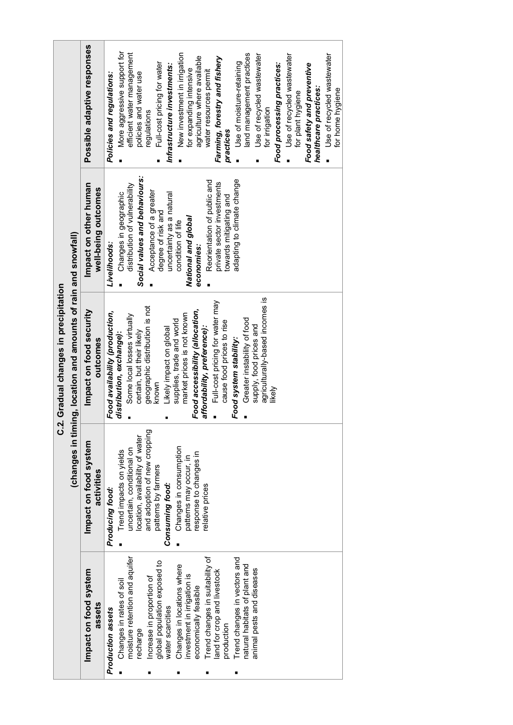|                                                                                                                                                                                                                                                                                                                                                                                                                                                  |                                                                                                                                                                                                                                                                                      | C.2. Gradual changes in precipitation                                                                                                                                                                                                                                                                                                                                                                                                                                                                                      |                                                                                                                                                                                                                                                                                                                                                                     |                                                                                                                                                                                                                                                                                                                                                                                                                                                                                                                                                                                                                                                                     |
|--------------------------------------------------------------------------------------------------------------------------------------------------------------------------------------------------------------------------------------------------------------------------------------------------------------------------------------------------------------------------------------------------------------------------------------------------|--------------------------------------------------------------------------------------------------------------------------------------------------------------------------------------------------------------------------------------------------------------------------------------|----------------------------------------------------------------------------------------------------------------------------------------------------------------------------------------------------------------------------------------------------------------------------------------------------------------------------------------------------------------------------------------------------------------------------------------------------------------------------------------------------------------------------|---------------------------------------------------------------------------------------------------------------------------------------------------------------------------------------------------------------------------------------------------------------------------------------------------------------------------------------------------------------------|---------------------------------------------------------------------------------------------------------------------------------------------------------------------------------------------------------------------------------------------------------------------------------------------------------------------------------------------------------------------------------------------------------------------------------------------------------------------------------------------------------------------------------------------------------------------------------------------------------------------------------------------------------------------|
|                                                                                                                                                                                                                                                                                                                                                                                                                                                  |                                                                                                                                                                                                                                                                                      | (changes in timing, location and amounts of rain and snowfall)                                                                                                                                                                                                                                                                                                                                                                                                                                                             |                                                                                                                                                                                                                                                                                                                                                                     |                                                                                                                                                                                                                                                                                                                                                                                                                                                                                                                                                                                                                                                                     |
| Impact on food system<br>assets                                                                                                                                                                                                                                                                                                                                                                                                                  | Impact on food system<br>activities                                                                                                                                                                                                                                                  | Impact on food security<br>outcomes                                                                                                                                                                                                                                                                                                                                                                                                                                                                                        | Impact on other human<br>well-being outcomes                                                                                                                                                                                                                                                                                                                        | Possible adaptive responses                                                                                                                                                                                                                                                                                                                                                                                                                                                                                                                                                                                                                                         |
| Trend changes in suitability of<br>moisture retention and aquifer<br>Trend changes in vectors and<br>global population exposed to<br>Changes in locations where<br>natural habitats of plant and<br>animal pests and diseases<br>land for crop and livestock<br>investment in irrigation is<br>Increase in proportion of<br>Changes in rates of soil<br>economically feasible<br>water scarcities<br>Production assets<br>production<br>recharge | and adoption of new cropping<br>location, availability of water<br>Changes in consumption<br>uncertain, conditional on<br>Trend impacts on yields<br>response to changes in<br>patterns may occur, in<br>patterns by farmers<br>Consuming food:<br>elative prices<br>Producing food: | agriculturally-based incomes is<br>Full-cost pricing for water may<br>geographic distribution is not<br>Food accessibility (allocation,<br>Food availability (production,<br>market prices is not known<br>Some local losses virtually<br>Greater instability of food<br>supplies, trade and world<br>cause food prices to rise<br>supply, food prices and<br>affordability, preference):<br>Likely impact on global<br>certain, but their likely<br>distribution, exchange):<br>Food system stability:<br>known<br>likely | Social values and behaviours:<br>adapting to climate change<br>Reorientation of public and<br>private sector investments<br>distribution of vulnerability<br>Acceptance of a greater<br>Changes in geographic<br>uncertainty as a natural<br>towards mitigating and<br>degree of risk and<br>National and global<br>condition of life<br>Livelihoods:<br>economies: | More aggressive support for<br>efficient water management<br>land management practices<br>New investment in irrigation<br>Use of recycled wastewater<br>Use of recycled wastewater<br>Use of recycled wastewater<br>agriculture where available<br>Farming, forestry and fishery<br>Full-cost pricing for water<br>Use of moisture-retaining<br>Food processing practices:<br>Food safety and preventive<br>Infrastructure investments:<br>for expanding intensive<br>water resources permit<br>policies and water use<br>Policies and regulations:<br>healthcare practices:<br>for home hygiene<br>for plant hygiene<br>for irrigation<br>regulations<br>practices |
|                                                                                                                                                                                                                                                                                                                                                                                                                                                  |                                                                                                                                                                                                                                                                                      |                                                                                                                                                                                                                                                                                                                                                                                                                                                                                                                            |                                                                                                                                                                                                                                                                                                                                                                     |                                                                                                                                                                                                                                                                                                                                                                                                                                                                                                                                                                                                                                                                     |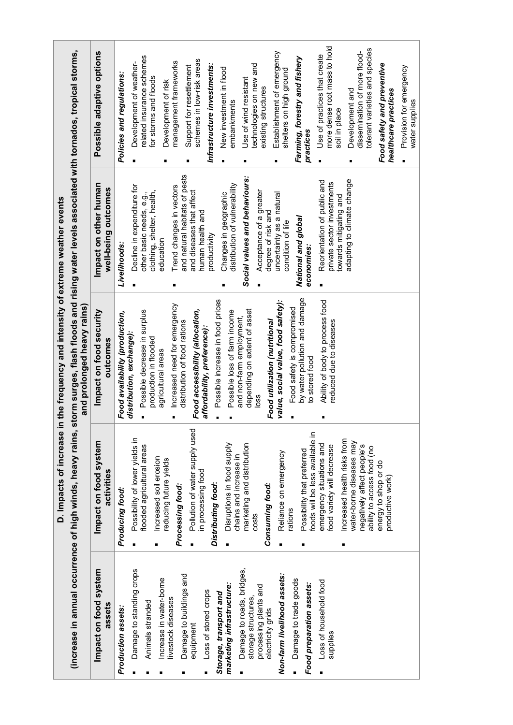|                                                                                                |                                                                                             | D. Impacts of increase in the frequency and intensity of extreme weather events                                             |                                                                                     |                                                                                        |
|------------------------------------------------------------------------------------------------|---------------------------------------------------------------------------------------------|-----------------------------------------------------------------------------------------------------------------------------|-------------------------------------------------------------------------------------|----------------------------------------------------------------------------------------|
|                                                                                                | (increase in annual occurrence of high winds, heavy rains,                                  | storm surges, flash floods and rising water levels associated with tornados, tropical storms,<br>and prolonged heavy rains) |                                                                                     |                                                                                        |
| Impact on food system<br>assets                                                                | Impact on food system<br>activities                                                         | Impact on food security<br>outcomes                                                                                         | Impact on other human<br>well-being outcomes                                        | Possible adaptive options                                                              |
| Production assets:                                                                             | Producing food:<br>$\blacksquare$                                                           | Food availability (production,<br>distribution, exchange):                                                                  | Decline in expenditure for<br>Livelihoods:                                          | Policies and regulations:                                                              |
| Damage to standing crops<br>Animals stranded                                                   | Possibility of lower yields in<br>flooded agricultural areas<br>Increased soil erosion<br>٠ | Possible decrease in surplus<br>production in flooded                                                                       | clothing, shelter, health,<br>other basic needs, e.g.,                              | related insurance schemes<br>Development of weather-<br>for storms and floods          |
| Increase in water-borne<br>livestock diseases                                                  | reducing future yields<br>Processing food:                                                  | Increased need for emergency<br>agricultural areas                                                                          | Trend changes in vectors<br>education<br>■                                          | management frameworks<br>Development of risk                                           |
| Damage to buildings and<br>equipment                                                           | Pollution of water supply used<br>in processing food<br>$\blacksquare$                      | Food accessibility (allocation,<br>distribution of food rations<br>affordability, preference):                              | and natural habitats of pests<br>and diseases that affect<br>human health and       | schemes in low-risk areas<br>Support for resettlement                                  |
| Loss of stored crops                                                                           | Distributing food:                                                                          | Possible increase in food prices                                                                                            | productivity                                                                        | Infrastructure investments:                                                            |
| marketing infrastructure:<br>Storage, transport and                                            | Disruptions in food supply<br>chains and increase in<br>$\blacksquare$                      | Possible loss of farm income                                                                                                | distribution of vulnerability<br>Changes in geographic                              | New investment in flood<br>embankments                                                 |
| Damage to roads, bridges,<br>processing plants and<br>storage structures,<br>electricity grids | marketing and distribution<br>Consuming food:<br>costs                                      | depending on extent of asset<br>and non-farm employment,<br>Food utilization (nutritional<br>loss                           | Social values and behaviours:<br>Acceptance of a greater<br>degree of risk and      | technologies on new and<br>Use of wind resistant<br>existing structures                |
| Non-farm livelihood assets:                                                                    | Reliance on emergency<br>rations<br>٠                                                       | value, social value, food safety):                                                                                          | uncertainty as a natural<br>condition of life                                       | Establishment of emergency<br>shelters on high ground                                  |
| Damage to trade goods<br>Food preparation assets:                                              | foods will be less available in<br>Possibility that preferred<br>п                          | by water pollution and damage<br>Food safety is compromised<br>to stored food                                               | National and global<br>economies:                                                   | Farming, forestry and fishery<br>practices                                             |
| Loss of household food<br>supplies                                                             | Increased health risks from<br>emergency situations and<br>food variety will decrease<br>П  | Ability of body to process food<br>reduced due to diseases                                                                  | Reorientation of public and<br>private sector investments<br>towards mitigating and | more dense root mass to hold<br>Use of practices that create<br>soil in place          |
|                                                                                                | water-borne diseases may<br>negatively affect people's<br>ability to access food (no        |                                                                                                                             | adapting to climate change                                                          | tolerant varieties and species<br>dissemination of more flood-<br>Development and<br>п |
|                                                                                                | energy to shop or do<br>productive work)                                                    |                                                                                                                             |                                                                                     | Food safety and preventive<br>healthcare practices                                     |
|                                                                                                |                                                                                             |                                                                                                                             |                                                                                     | Provision for emergency<br>water supplies                                              |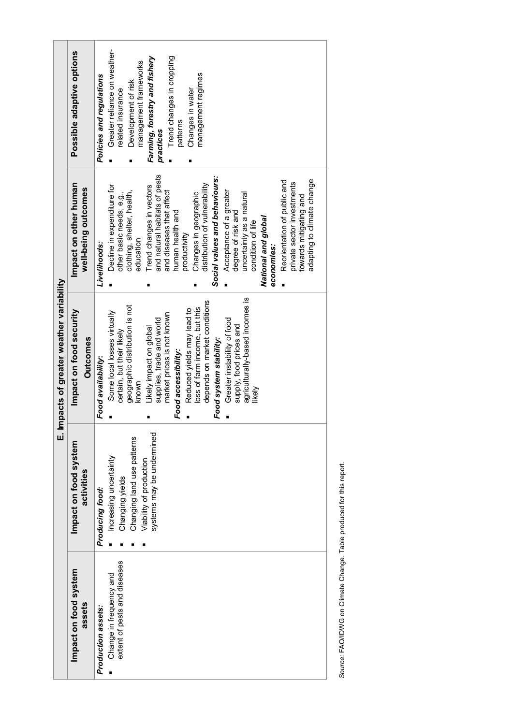|                                                         |                                                                                                                                 | E. Impacts of greater weather variability                                                                                                                                                                                                                                                                                                                                                                                                        |                                                                                                                                                                                                                                                                                                                                                                                                                                                                                                                                                                                       |                                                                                                                                                                                                                                    |
|---------------------------------------------------------|---------------------------------------------------------------------------------------------------------------------------------|--------------------------------------------------------------------------------------------------------------------------------------------------------------------------------------------------------------------------------------------------------------------------------------------------------------------------------------------------------------------------------------------------------------------------------------------------|---------------------------------------------------------------------------------------------------------------------------------------------------------------------------------------------------------------------------------------------------------------------------------------------------------------------------------------------------------------------------------------------------------------------------------------------------------------------------------------------------------------------------------------------------------------------------------------|------------------------------------------------------------------------------------------------------------------------------------------------------------------------------------------------------------------------------------|
| Impact on food system<br>assets                         | Impact on food system<br>activities                                                                                             | Impact on food security<br><b>Outcomes</b>                                                                                                                                                                                                                                                                                                                                                                                                       | Impact on other human<br>well-being outcomes                                                                                                                                                                                                                                                                                                                                                                                                                                                                                                                                          | Possible adaptive options                                                                                                                                                                                                          |
| Production assets:                                      | Producing food:                                                                                                                 | Food availability:                                                                                                                                                                                                                                                                                                                                                                                                                               | Livelihoods:                                                                                                                                                                                                                                                                                                                                                                                                                                                                                                                                                                          | Policies and regulations                                                                                                                                                                                                           |
| extent of pests and diseases<br>Change in frequency and | systems may be undermined<br>Changing land use patterns<br>Increasing uncertainty<br>Viability of production<br>Changing yields | agriculturally-based incomes is<br>depends on market conditions<br>geographic distribution is not<br>loss of farm income, but this<br>Reduced yields may lead to<br>Some local losses virtually<br>market prices is not known<br>supplies, trade and world<br>Greater instability of food<br>supply, food prices and<br>Likely impact on global<br>certain, but their likely<br>Food system stability:<br>Food accessibility:<br>known<br>likely | and natural habitats of pests<br>Social values and behaviours:<br>adapting to climate change<br>Reorientation of public and<br>private sector investments<br>distribution of vulnerability<br>Decline in expenditure for<br>Trend changes in vectors<br>and diseases that affect<br>Acceptance of a greater<br>clothing, shelter, health,<br>other basic needs, e.g.,<br>Changes in geographic<br>uncertainty as a natural<br>towards mitigating and<br>human health and<br>degree of risk and<br>National and global<br>condition of life<br>productivity<br>education<br>economies: | Greater reliance on weather-<br>Trend changes in cropping<br>Farming, forestry and fishery<br>management frameworks<br>management regimes<br>Development of risk<br>Changes in water<br>related insurance<br>patterns<br>practices |

Source: FAO/IDWG on Climate Change. Table produced for this report. *Source:* FAO/IDWG on Climate Change. Table produced for this report.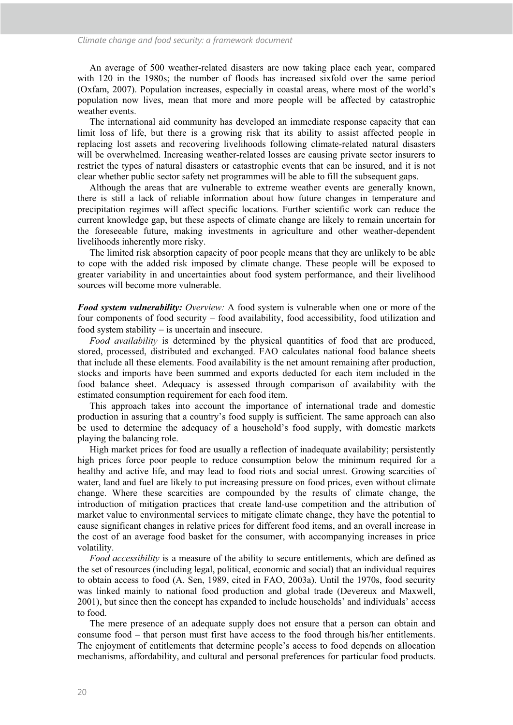An average of 500 weather-related disasters are now taking place each year, compared with 120 in the 1980s; the number of floods has increased sixfold over the same period (Oxfam, 2007). Population increases, especially in coastal areas, where most of the world's population now lives, mean that more and more people will be affected by catastrophic weather events.

The international aid community has developed an immediate response capacity that can limit loss of life, but there is a growing risk that its ability to assist affected people in replacing lost assets and recovering livelihoods following climate-related natural disasters will be overwhelmed. Increasing weather-related losses are causing private sector insurers to restrict the types of natural disasters or catastrophic events that can be insured, and it is not clear whether public sector safety net programmes will be able to fill the subsequent gaps.

Although the areas that are vulnerable to extreme weather events are generally known, there is still a lack of reliable information about how future changes in temperature and precipitation regimes will affect specific locations. Further scientific work can reduce the current knowledge gap, but these aspects of climate change are likely to remain uncertain for the foreseeable future, making investments in agriculture and other weather-dependent livelihoods inherently more risky.

The limited risk absorption capacity of poor people means that they are unlikely to be able to cope with the added risk imposed by climate change. These people will be exposed to greater variability in and uncertainties about food system performance, and their livelihood sources will become more vulnerable.

*Food system vulnerability: Overview:* A food system is vulnerable when one or more of the four components of food security – food availability, food accessibility, food utilization and food system stability - is uncertain and insecure.

*Food availability* is determined by the physical quantities of food that are produced, stored, processed, distributed and exchanged. FAO calculates national food balance sheets that include all these elements. Food availability is the net amount remaining after production, stocks and imports have been summed and exports deducted for each item included in the food balance sheet. Adequacy is assessed through comparison of availability with the estimated consumption requirement for each food item.

This approach takes into account the importance of international trade and domestic production in assuring that a country's food supply is sufficient. The same approach can also be used to determine the adequacy of a household's food supply, with domestic markets playing the balancing role.

High market prices for food are usually a reflection of inadequate availability; persistently high prices force poor people to reduce consumption below the minimum required for a healthy and active life, and may lead to food riots and social unrest. Growing scarcities of water, land and fuel are likely to put increasing pressure on food prices, even without climate change. Where these scarcities are compounded by the results of climate change, the introduction of mitigation practices that create land-use competition and the attribution of market value to environmental services to mitigate climate change, they have the potential to cause significant changes in relative prices for different food items, and an overall increase in the cost of an average food basket for the consumer, with accompanying increases in price volatility.

*Food accessibility* is a measure of the ability to secure entitlements, which are defined as the set of resources (including legal, political, economic and social) that an individual requires to obtain access to food (A. Sen, 1989, cited in FAO, 2003a). Until the 1970s, food security was linked mainly to national food production and global trade (Devereux and Maxwell, 2001), but since then the concept has expanded to include households' and individuals' access to food.

The mere presence of an adequate supply does not ensure that a person can obtain and consume food – that person must first have access to the food through his/her entitlements. The enjoyment of entitlements that determine people's access to food depends on allocation mechanisms, affordability, and cultural and personal preferences for particular food products.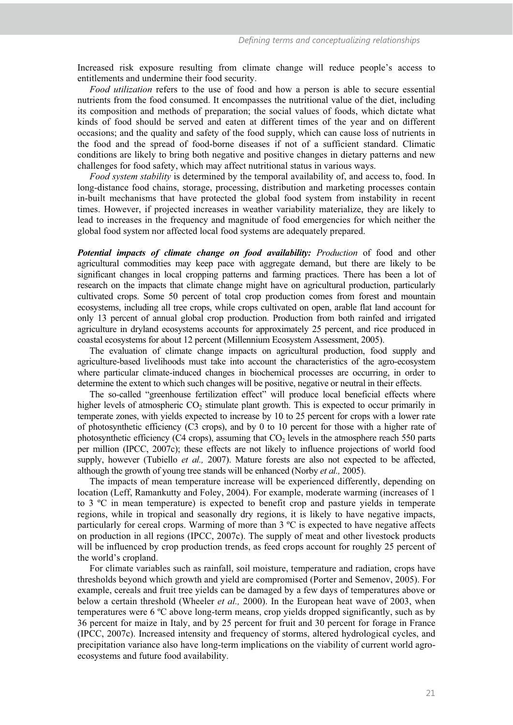Increased risk exposure resulting from climate change will reduce people's access to entitlements and undermine their food security.

*Food utilization* refers to the use of food and how a person is able to secure essential nutrients from the food consumed. It encompasses the nutritional value of the diet, including its composition and methods of preparation; the social values of foods, which dictate what kinds of food should be served and eaten at different times of the year and on different occasions; and the quality and safety of the food supply, which can cause loss of nutrients in the food and the spread of food-borne diseases if not of a sufficient standard. Climatic conditions are likely to bring both negative and positive changes in dietary patterns and new challenges for food safety, which may affect nutritional status in various ways.

*Food system stability* is determined by the temporal availability of, and access to, food. In long-distance food chains, storage, processing, distribution and marketing processes contain in-built mechanisms that have protected the global food system from instability in recent times. However, if projected increases in weather variability materialize, they are likely to lead to increases in the frequency and magnitude of food emergencies for which neither the global food system nor affected local food systems are adequately prepared.

*Potential impacts of climate change on food availability: Production* of food and other agricultural commodities may keep pace with aggregate demand, but there are likely to be significant changes in local cropping patterns and farming practices. There has been a lot of research on the impacts that climate change might have on agricultural production, particularly cultivated crops. Some 50 percent of total crop production comes from forest and mountain ecosystems, including all tree crops, while crops cultivated on open, arable flat land account for only 13 percent of annual global crop production. Production from both rainfed and irrigated agriculture in dryland ecosystems accounts for approximately 25 percent, and rice produced in coastal ecosystems for about 12 percent (Millennium Ecosystem Assessment, 2005).

The evaluation of climate change impacts on agricultural production, food supply and agriculture-based livelihoods must take into account the characteristics of the agro-ecosystem where particular climate-induced changes in biochemical processes are occurring, in order to determine the extent to which such changes will be positive, negative or neutral in their effects.

The so-called "greenhouse fertilization effect" will produce local beneficial effects where higher levels of atmospheric  $CO<sub>2</sub>$  stimulate plant growth. This is expected to occur primarily in temperate zones, with yields expected to increase by 10 to 25 percent for crops with a lower rate of photosynthetic efficiency (C3 crops), and by 0 to 10 percent for those with a higher rate of photosynthetic efficiency (C4 crops), assuming that  $CO<sub>2</sub>$  levels in the atmosphere reach 550 parts per million (IPCC, 2007c); these effects are not likely to influence projections of world food supply, however (Tubiello *et al.,* 2007). Mature forests are also not expected to be affected, although the growth of young tree stands will be enhanced (Norby *et al.,* 2005).

The impacts of mean temperature increase will be experienced differently, depending on location (Leff, Ramankutty and Foley, 2004). For example, moderate warming (increases of 1 to 3 ºC in mean temperature) is expected to benefit crop and pasture yields in temperate regions, while in tropical and seasonally dry regions, it is likely to have negative impacts, particularly for cereal crops. Warming of more than 3 ºC is expected to have negative affects on production in all regions (IPCC, 2007c). The supply of meat and other livestock products will be influenced by crop production trends, as feed crops account for roughly 25 percent of the world's cropland.

For climate variables such as rainfall, soil moisture, temperature and radiation, crops have thresholds beyond which growth and yield are compromised (Porter and Semenov, 2005). For example, cereals and fruit tree yields can be damaged by a few days of temperatures above or below a certain threshold (Wheeler *et al.,* 2000). In the European heat wave of 2003, when temperatures were 6 ºC above long-term means, crop yields dropped significantly, such as by 36 percent for maize in Italy, and by 25 percent for fruit and 30 percent for forage in France (IPCC, 2007c). Increased intensity and frequency of storms, altered hydrological cycles, and precipitation variance also have long-term implications on the viability of current world agroecosystems and future food availability.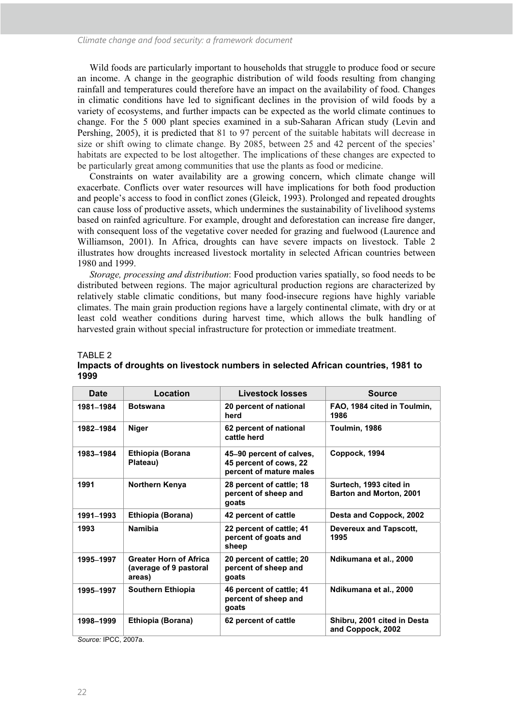Wild foods are particularly important to households that struggle to produce food or secure an income. A change in the geographic distribution of wild foods resulting from changing rainfall and temperatures could therefore have an impact on the availability of food. Changes in climatic conditions have led to significant declines in the provision of wild foods by a variety of ecosystems, and further impacts can be expected as the world climate continues to change. For the 5 000 plant species examined in a sub-Saharan African study (Levin and Pershing, 2005), it is predicted that 81 to 97 percent of the suitable habitats will decrease in size or shift owing to climate change. By 2085, between 25 and 42 percent of the species' habitats are expected to be lost altogether. The implications of these changes are expected to be particularly great among communities that use the plants as food or medicine.

Constraints on water availability are a growing concern, which climate change will exacerbate. Conflicts over water resources will have implications for both food production and people's access to food in conflict zones (Gleick, 1993). Prolonged and repeated droughts can cause loss of productive assets, which undermines the sustainability of livelihood systems based on rainfed agriculture. For example, drought and deforestation can increase fire danger, with consequent loss of the vegetative cover needed for grazing and fuelwood (Laurence and Williamson, 2001). In Africa, droughts can have severe impacts on livestock. Table 2 illustrates how droughts increased livestock mortality in selected African countries between 1980 and 1999.

*Storage, processing and distribution*: Food production varies spatially, so food needs to be distributed between regions. The major agricultural production regions are characterized by relatively stable climatic conditions, but many food-insecure regions have highly variable climates. The main grain production regions have a largely continental climate, with dry or at least cold weather conditions during harvest time, which allows the bulk handling of harvested grain without special infrastructure for protection or immediate treatment.

| Date      | Location                                                          | Livestock losses                                                              | <b>Source</b>                                     |
|-----------|-------------------------------------------------------------------|-------------------------------------------------------------------------------|---------------------------------------------------|
| 1981-1984 | <b>Botswana</b>                                                   | 20 percent of national<br>herd                                                | FAO, 1984 cited in Toulmin,<br>1986               |
| 1982-1984 | <b>Niger</b>                                                      | 62 percent of national<br>cattle herd                                         | Toulmin, 1986                                     |
| 1983-1984 | Ethiopia (Borana<br>Plateau)                                      | 45-90 percent of calves,<br>45 percent of cows, 22<br>percent of mature males | Coppock, 1994                                     |
| 1991      | Northern Kenya                                                    | 28 percent of cattle; 18<br>percent of sheep and<br>goats                     | Surtech, 1993 cited in<br>Barton and Morton, 2001 |
| 1991-1993 | Ethiopia (Borana)                                                 | 42 percent of cattle                                                          | Desta and Coppock, 2002                           |
| 1993      | <b>Namibia</b>                                                    | 22 percent of cattle; 41<br>percent of goats and<br>sheep                     | <b>Devereux and Tapscott,</b><br>1995             |
| 1995-1997 | <b>Greater Horn of Africa</b><br>(average of 9 pastoral<br>areas) | 20 percent of cattle; 20<br>percent of sheep and<br>goats                     | Ndikumana et al., 2000                            |
| 1995-1997 | Southern Ethiopia                                                 | 46 percent of cattle; 41<br>percent of sheep and<br>goats                     | Ndikumana et al., 2000                            |
| 1998-1999 | Ethiopia (Borana)                                                 | 62 percent of cattle                                                          | Shibru, 2001 cited in Desta<br>and Coppock, 2002  |

#### TABLE 2 **Impacts of droughts on livestock numbers in selected African countries, 1981 to 1999**

*Source:* IPCC, 2007a.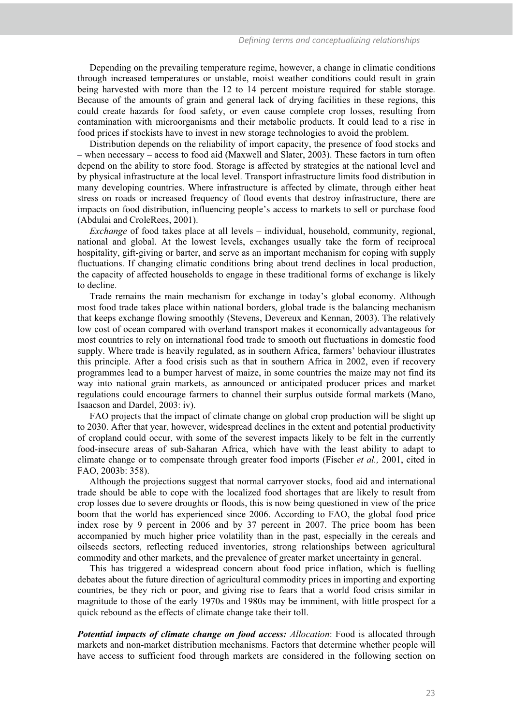Depending on the prevailing temperature regime, however, a change in climatic conditions through increased temperatures or unstable, moist weather conditions could result in grain being harvested with more than the 12 to 14 percent moisture required for stable storage. Because of the amounts of grain and general lack of drying facilities in these regions, this could create hazards for food safety, or even cause complete crop losses, resulting from contamination with microorganisms and their metabolic products. It could lead to a rise in food prices if stockists have to invest in new storage technologies to avoid the problem.

Distribution depends on the reliability of import capacity, the presence of food stocks and – when necessary – access to food aid (Maxwell and Slater, 2003). These factors in turn often depend on the ability to store food. Storage is affected by strategies at the national level and by physical infrastructure at the local level. Transport infrastructure limits food distribution in many developing countries. Where infrastructure is affected by climate, through either heat stress on roads or increased frequency of flood events that destroy infrastructure, there are impacts on food distribution, influencing people's access to markets to sell or purchase food (Abdulai and CroleRees, 2001).

*Exchange* of food takes place at all levels – individual, household, community, regional, national and global. At the lowest levels, exchanges usually take the form of reciprocal hospitality, gift-giving or barter, and serve as an important mechanism for coping with supply fluctuations. If changing climatic conditions bring about trend declines in local production, the capacity of affected households to engage in these traditional forms of exchange is likely to decline.

Trade remains the main mechanism for exchange in today's global economy. Although most food trade takes place within national borders, global trade is the balancing mechanism that keeps exchange flowing smoothly (Stevens, Devereux and Kennan, 2003). The relatively low cost of ocean compared with overland transport makes it economically advantageous for most countries to rely on international food trade to smooth out fluctuations in domestic food supply. Where trade is heavily regulated, as in southern Africa, farmers' behaviour illustrates this principle. After a food crisis such as that in southern Africa in 2002, even if recovery programmes lead to a bumper harvest of maize, in some countries the maize may not find its way into national grain markets, as announced or anticipated producer prices and market regulations could encourage farmers to channel their surplus outside formal markets (Mano, Isaacson and Dardel, 2003: iv).

FAO projects that the impact of climate change on global crop production will be slight up to 2030. After that year, however, widespread declines in the extent and potential productivity of cropland could occur, with some of the severest impacts likely to be felt in the currently food-insecure areas of sub-Saharan Africa, which have with the least ability to adapt to climate change or to compensate through greater food imports (Fischer *et al.,* 2001, cited in FAO, 2003b: 358).

Although the projections suggest that normal carryover stocks, food aid and international trade should be able to cope with the localized food shortages that are likely to result from crop losses due to severe droughts or floods, this is now being questioned in view of the price boom that the world has experienced since 2006. According to FAO, the global food price index rose by 9 percent in 2006 and by 37 percent in 2007. The price boom has been accompanied by much higher price volatility than in the past, especially in the cereals and oilseeds sectors, reflecting reduced inventories, strong relationships between agricultural commodity and other markets, and the prevalence of greater market uncertainty in general.

This has triggered a widespread concern about food price inflation, which is fuelling debates about the future direction of agricultural commodity prices in importing and exporting countries, be they rich or poor, and giving rise to fears that a world food crisis similar in magnitude to those of the early 1970s and 1980s may be imminent, with little prospect for a quick rebound as the effects of climate change take their toll.

*Potential impacts of climate change on food access: Allocation*: Food is allocated through markets and non-market distribution mechanisms. Factors that determine whether people will have access to sufficient food through markets are considered in the following section on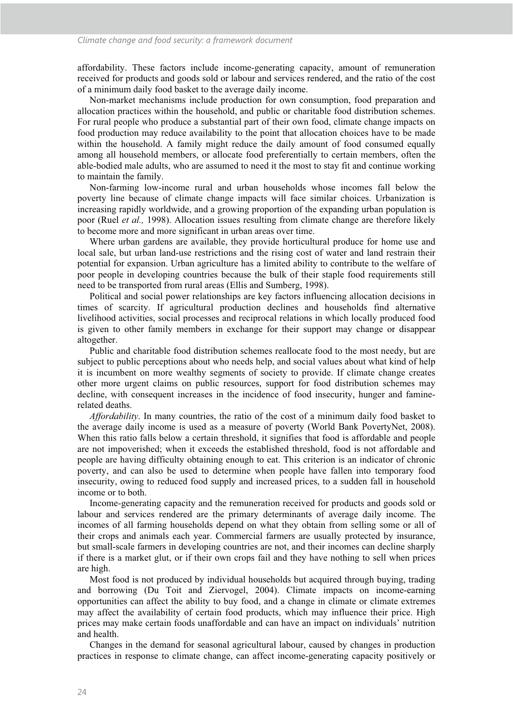affordability. These factors include income-generating capacity, amount of remuneration received for products and goods sold or labour and services rendered, and the ratio of the cost of a minimum daily food basket to the average daily income.

Non-market mechanisms include production for own consumption, food preparation and allocation practices within the household, and public or charitable food distribution schemes. For rural people who produce a substantial part of their own food, climate change impacts on food production may reduce availability to the point that allocation choices have to be made within the household. A family might reduce the daily amount of food consumed equally among all household members, or allocate food preferentially to certain members, often the able-bodied male adults, who are assumed to need it the most to stay fit and continue working to maintain the family.

Non-farming low-income rural and urban households whose incomes fall below the poverty line because of climate change impacts will face similar choices. Urbanization is increasing rapidly worldwide, and a growing proportion of the expanding urban population is poor (Ruel *et al.,* 1998). Allocation issues resulting from climate change are therefore likely to become more and more significant in urban areas over time.

Where urban gardens are available, they provide horticultural produce for home use and local sale, but urban land-use restrictions and the rising cost of water and land restrain their potential for expansion. Urban agriculture has a limited ability to contribute to the welfare of poor people in developing countries because the bulk of their staple food requirements still need to be transported from rural areas (Ellis and Sumberg, 1998).

Political and social power relationships are key factors influencing allocation decisions in times of scarcity. If agricultural production declines and households find alternative livelihood activities, social processes and reciprocal relations in which locally produced food is given to other family members in exchange for their support may change or disappear altogether.

Public and charitable food distribution schemes reallocate food to the most needy, but are subject to public perceptions about who needs help, and social values about what kind of help it is incumbent on more wealthy segments of society to provide. If climate change creates other more urgent claims on public resources, support for food distribution schemes may decline, with consequent increases in the incidence of food insecurity, hunger and faminerelated deaths.

*Affordability*. In many countries, the ratio of the cost of a minimum daily food basket to the average daily income is used as a measure of poverty (World Bank PovertyNet, 2008). When this ratio falls below a certain threshold, it signifies that food is affordable and people are not impoverished; when it exceeds the established threshold, food is not affordable and people are having difficulty obtaining enough to eat. This criterion is an indicator of chronic poverty, and can also be used to determine when people have fallen into temporary food insecurity, owing to reduced food supply and increased prices, to a sudden fall in household income or to both.

Income-generating capacity and the remuneration received for products and goods sold or labour and services rendered are the primary determinants of average daily income. The incomes of all farming households depend on what they obtain from selling some or all of their crops and animals each year. Commercial farmers are usually protected by insurance, but small-scale farmers in developing countries are not, and their incomes can decline sharply if there is a market glut, or if their own crops fail and they have nothing to sell when prices are high.

Most food is not produced by individual households but acquired through buying, trading and borrowing (Du Toit and Ziervogel, 2004). Climate impacts on income-earning opportunities can affect the ability to buy food, and a change in climate or climate extremes may affect the availability of certain food products, which may influence their price. High prices may make certain foods unaffordable and can have an impact on individuals' nutrition and health.

Changes in the demand for seasonal agricultural labour, caused by changes in production practices in response to climate change, can affect income-generating capacity positively or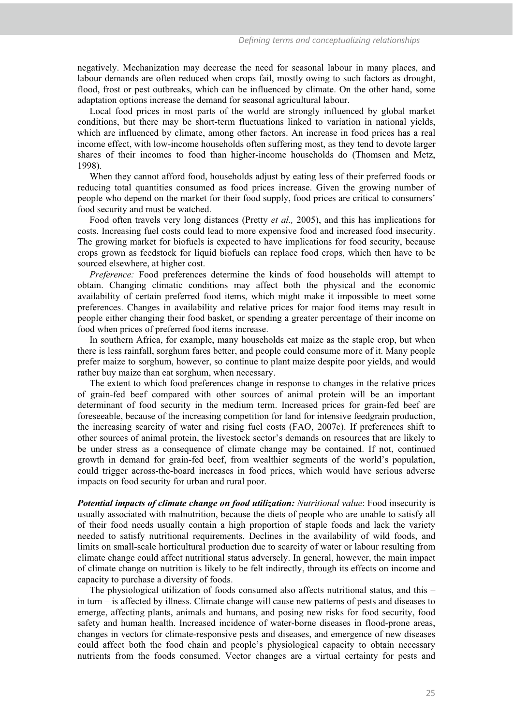negatively. Mechanization may decrease the need for seasonal labour in many places, and labour demands are often reduced when crops fail, mostly owing to such factors as drought, flood, frost or pest outbreaks, which can be influenced by climate. On the other hand, some adaptation options increase the demand for seasonal agricultural labour.

Local food prices in most parts of the world are strongly influenced by global market conditions, but there may be short-term fluctuations linked to variation in national yields, which are influenced by climate, among other factors. An increase in food prices has a real income effect, with low-income households often suffering most, as they tend to devote larger shares of their incomes to food than higher-income households do (Thomsen and Metz, 1998).

When they cannot afford food, households adjust by eating less of their preferred foods or reducing total quantities consumed as food prices increase. Given the growing number of people who depend on the market for their food supply, food prices are critical to consumers' food security and must be watched.

Food often travels very long distances (Pretty *et al.,* 2005), and this has implications for costs. Increasing fuel costs could lead to more expensive food and increased food insecurity. The growing market for biofuels is expected to have implications for food security, because crops grown as feedstock for liquid biofuels can replace food crops, which then have to be sourced elsewhere, at higher cost.

*Preference:* Food preferences determine the kinds of food households will attempt to obtain. Changing climatic conditions may affect both the physical and the economic availability of certain preferred food items, which might make it impossible to meet some preferences. Changes in availability and relative prices for major food items may result in people either changing their food basket, or spending a greater percentage of their income on food when prices of preferred food items increase.

In southern Africa, for example, many households eat maize as the staple crop, but when there is less rainfall, sorghum fares better, and people could consume more of it. Many people prefer maize to sorghum, however, so continue to plant maize despite poor yields, and would rather buy maize than eat sorghum, when necessary.

The extent to which food preferences change in response to changes in the relative prices of grain-fed beef compared with other sources of animal protein will be an important determinant of food security in the medium term. Increased prices for grain-fed beef are foreseeable, because of the increasing competition for land for intensive feedgrain production, the increasing scarcity of water and rising fuel costs (FAO, 2007c). If preferences shift to other sources of animal protein, the livestock sector's demands on resources that are likely to be under stress as a consequence of climate change may be contained. If not, continued growth in demand for grain-fed beef, from wealthier segments of the world's population, could trigger across-the-board increases in food prices, which would have serious adverse impacts on food security for urban and rural poor.

*Potential impacts of climate change on food utilization: Nutritional value*: Food insecurity is usually associated with malnutrition, because the diets of people who are unable to satisfy all of their food needs usually contain a high proportion of staple foods and lack the variety needed to satisfy nutritional requirements. Declines in the availability of wild foods, and limits on small-scale horticultural production due to scarcity of water or labour resulting from climate change could affect nutritional status adversely. In general, however, the main impact of climate change on nutrition is likely to be felt indirectly, through its effects on income and capacity to purchase a diversity of foods.

The physiological utilization of foods consumed also affects nutritional status, and this  $$ in turn – is affected by illness. Climate change will cause new patterns of pests and diseases to emerge, affecting plants, animals and humans, and posing new risks for food security, food safety and human health. Increased incidence of water-borne diseases in flood-prone areas, changes in vectors for climate-responsive pests and diseases, and emergence of new diseases could affect both the food chain and people's physiological capacity to obtain necessary nutrients from the foods consumed. Vector changes are a virtual certainty for pests and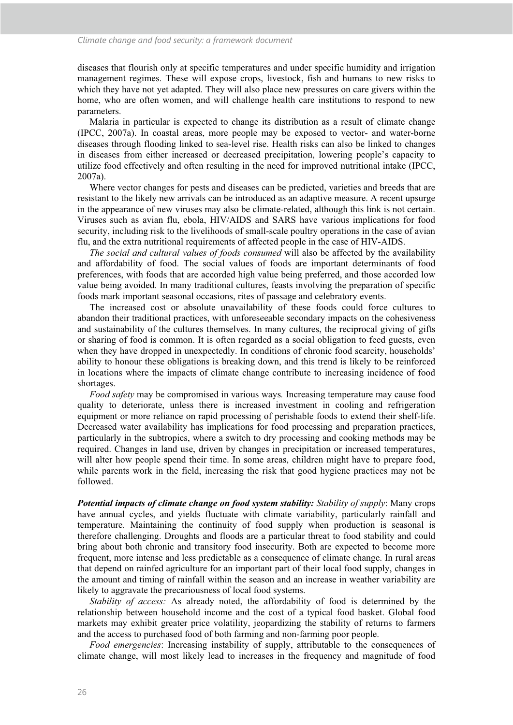diseases that flourish only at specific temperatures and under specific humidity and irrigation management regimes. These will expose crops, livestock, fish and humans to new risks to which they have not yet adapted. They will also place new pressures on care givers within the home, who are often women, and will challenge health care institutions to respond to new parameters.

Malaria in particular is expected to change its distribution as a result of climate change (IPCC, 2007a). In coastal areas, more people may be exposed to vector- and water-borne diseases through flooding linked to sea-level rise. Health risks can also be linked to changes in diseases from either increased or decreased precipitation, lowering people's capacity to utilize food effectively and often resulting in the need for improved nutritional intake (IPCC, 2007a).

Where vector changes for pests and diseases can be predicted, varieties and breeds that are resistant to the likely new arrivals can be introduced as an adaptive measure. A recent upsurge in the appearance of new viruses may also be climate-related, although this link is not certain. Viruses such as avian flu, ebola, HIV/AIDS and SARS have various implications for food security, including risk to the livelihoods of small-scale poultry operations in the case of avian flu, and the extra nutritional requirements of affected people in the case of HIV-AIDS.

*The social and cultural values of foods consumed* will also be affected by the availability and affordability of food. The social values of foods are important determinants of food preferences, with foods that are accorded high value being preferred, and those accorded low value being avoided. In many traditional cultures, feasts involving the preparation of specific foods mark important seasonal occasions, rites of passage and celebratory events.

The increased cost or absolute unavailability of these foods could force cultures to abandon their traditional practices, with unforeseeable secondary impacts on the cohesiveness and sustainability of the cultures themselves. In many cultures, the reciprocal giving of gifts or sharing of food is common. It is often regarded as a social obligation to feed guests, even when they have dropped in unexpectedly. In conditions of chronic food scarcity, households' ability to honour these obligations is breaking down, and this trend is likely to be reinforced in locations where the impacts of climate change contribute to increasing incidence of food shortages.

*Food safety* may be compromised in various ways*.* Increasing temperature may cause food quality to deteriorate, unless there is increased investment in cooling and refrigeration equipment or more reliance on rapid processing of perishable foods to extend their shelf-life. Decreased water availability has implications for food processing and preparation practices, particularly in the subtropics, where a switch to dry processing and cooking methods may be required. Changes in land use, driven by changes in precipitation or increased temperatures, will alter how people spend their time. In some areas, children might have to prepare food, while parents work in the field, increasing the risk that good hygiene practices may not be followed.

*Potential impacts of climate change on food system stability: Stability of supply*: Many crops have annual cycles, and yields fluctuate with climate variability, particularly rainfall and temperature. Maintaining the continuity of food supply when production is seasonal is therefore challenging. Droughts and floods are a particular threat to food stability and could bring about both chronic and transitory food insecurity. Both are expected to become more frequent, more intense and less predictable as a consequence of climate change. In rural areas that depend on rainfed agriculture for an important part of their local food supply, changes in the amount and timing of rainfall within the season and an increase in weather variability are likely to aggravate the precariousness of local food systems.

*Stability of access:* As already noted, the affordability of food is determined by the relationship between household income and the cost of a typical food basket. Global food markets may exhibit greater price volatility, jeopardizing the stability of returns to farmers and the access to purchased food of both farming and non-farming poor people.

*Food emergencies*: Increasing instability of supply, attributable to the consequences of climate change, will most likely lead to increases in the frequency and magnitude of food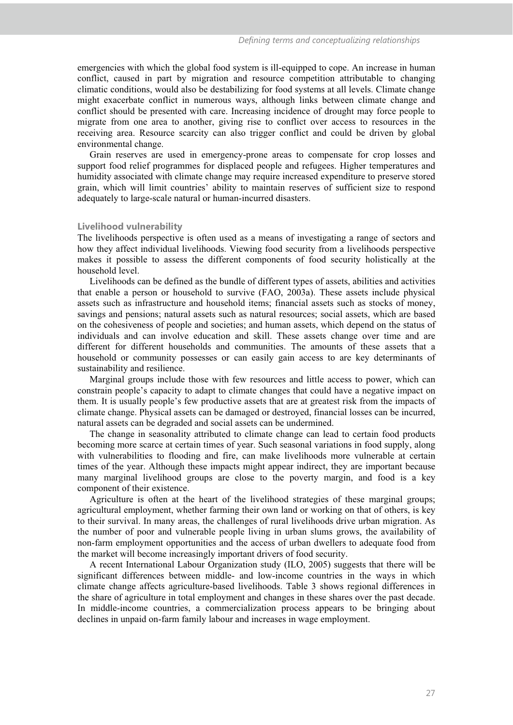emergencies with which the global food system is ill-equipped to cope. An increase in human conflict, caused in part by migration and resource competition attributable to changing climatic conditions, would also be destabilizing for food systems at all levels. Climate change might exacerbate conflict in numerous ways, although links between climate change and conflict should be presented with care. Increasing incidence of drought may force people to migrate from one area to another, giving rise to conflict over access to resources in the receiving area. Resource scarcity can also trigger conflict and could be driven by global environmental change.

Grain reserves are used in emergency-prone areas to compensate for crop losses and support food relief programmes for displaced people and refugees. Higher temperatures and humidity associated with climate change may require increased expenditure to preserve stored grain, which will limit countries' ability to maintain reserves of sufficient size to respond adequately to large-scale natural or human-incurred disasters.

#### **Livelihood vulnerability**

The livelihoods perspective is often used as a means of investigating a range of sectors and how they affect individual livelihoods. Viewing food security from a livelihoods perspective makes it possible to assess the different components of food security holistically at the household level.

Livelihoods can be defined as the bundle of different types of assets, abilities and activities that enable a person or household to survive (FAO, 2003a). These assets include physical assets such as infrastructure and household items; financial assets such as stocks of money, savings and pensions; natural assets such as natural resources; social assets, which are based on the cohesiveness of people and societies; and human assets, which depend on the status of individuals and can involve education and skill. These assets change over time and are different for different households and communities. The amounts of these assets that a household or community possesses or can easily gain access to are key determinants of sustainability and resilience.

Marginal groups include those with few resources and little access to power, which can constrain people's capacity to adapt to climate changes that could have a negative impact on them. It is usually people's few productive assets that are at greatest risk from the impacts of climate change. Physical assets can be damaged or destroyed, financial losses can be incurred, natural assets can be degraded and social assets can be undermined.

The change in seasonality attributed to climate change can lead to certain food products becoming more scarce at certain times of year. Such seasonal variations in food supply, along with vulnerabilities to flooding and fire, can make livelihoods more vulnerable at certain times of the year. Although these impacts might appear indirect, they are important because many marginal livelihood groups are close to the poverty margin, and food is a key component of their existence.

Agriculture is often at the heart of the livelihood strategies of these marginal groups; agricultural employment, whether farming their own land or working on that of others, is key to their survival. In many areas, the challenges of rural livelihoods drive urban migration. As the number of poor and vulnerable people living in urban slums grows, the availability of non-farm employment opportunities and the access of urban dwellers to adequate food from the market will become increasingly important drivers of food security.

A recent International Labour Organization study (ILO, 2005) suggests that there will be significant differences between middle- and low-income countries in the ways in which climate change affects agriculture-based livelihoods. Table 3 shows regional differences in the share of agriculture in total employment and changes in these shares over the past decade. In middle-income countries, a commercialization process appears to be bringing about declines in unpaid on-farm family labour and increases in wage employment.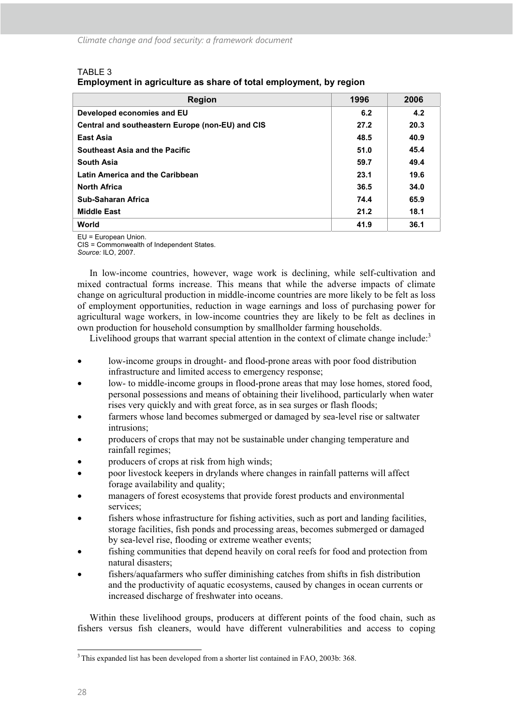# TABLE 3

**Employment in agriculture as share of total employment, by region** 

| <b>Region</b>                                    | 1996 | 2006 |
|--------------------------------------------------|------|------|
| Developed economies and EU                       | 6.2  | 4.2  |
| Central and southeastern Europe (non-EU) and CIS | 27.2 | 20.3 |
| East Asia                                        | 48.5 | 40.9 |
| Southeast Asia and the Pacific                   | 51.0 | 45.4 |
| <b>South Asia</b>                                | 59.7 | 49.4 |
| <b>Latin America and the Caribbean</b>           | 23.1 | 19.6 |
| <b>North Africa</b>                              | 36.5 | 34.0 |
| Sub-Saharan Africa                               | 74.4 | 65.9 |
| <b>Middle East</b>                               | 21.2 | 18.1 |
| World                                            | 41.9 | 36.1 |

EU = European Union.

CIS = Commonwealth of Independent States. *Source:* ILO, 2007.

In low-income countries, however, wage work is declining, while self-cultivation and mixed contractual forms increase. This means that while the adverse impacts of climate change on agricultural production in middle-income countries are more likely to be felt as loss of employment opportunities, reduction in wage earnings and loss of purchasing power for agricultural wage workers, in low-income countries they are likely to be felt as declines in own production for household consumption by smallholder farming households.

Livelihood groups that warrant special attention in the context of climate change include: $3$ 

- low-income groups in drought- and flood-prone areas with poor food distribution infrastructure and limited access to emergency response;
- low- to middle-income groups in flood-prone areas that may lose homes, stored food, personal possessions and means of obtaining their livelihood, particularly when water rises very quickly and with great force, as in sea surges or flash floods;
- farmers whose land becomes submerged or damaged by sea-level rise or saltwater intrusions;
- producers of crops that may not be sustainable under changing temperature and rainfall regimes;
- producers of crops at risk from high winds;
- poor livestock keepers in drylands where changes in rainfall patterns will affect forage availability and quality;
- managers of forest ecosystems that provide forest products and environmental services;
- fishers whose infrastructure for fishing activities, such as port and landing facilities, storage facilities, fish ponds and processing areas, becomes submerged or damaged by sea-level rise, flooding or extreme weather events;
- fishing communities that depend heavily on coral reefs for food and protection from natural disasters;
- fishers/aquafarmers who suffer diminishing catches from shifts in fish distribution and the productivity of aquatic ecosystems, caused by changes in ocean currents or increased discharge of freshwater into oceans.

Within these livelihood groups, producers at different points of the food chain, such as fishers versus fish cleaners, would have different vulnerabilities and access to coping

 $\ddot{\phantom{a}}$ <sup>3</sup> This expanded list has been developed from a shorter list contained in FAO, 2003b: 368.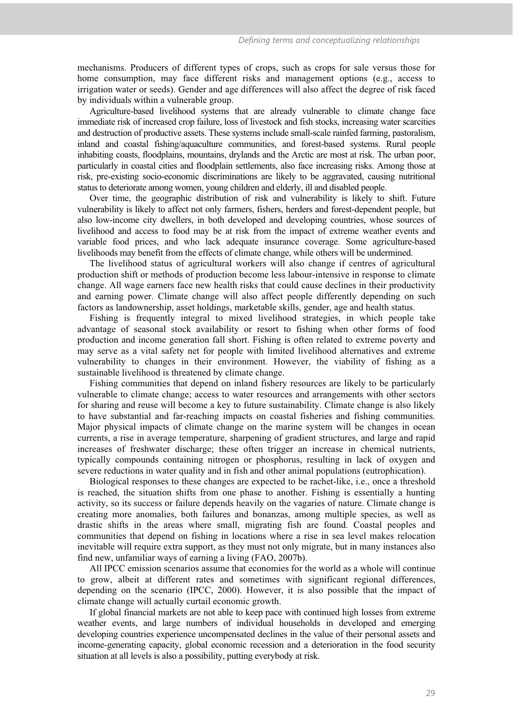mechanisms. Producers of different types of crops, such as crops for sale versus those for home consumption, may face different risks and management options (e.g., access to irrigation water or seeds). Gender and age differences will also affect the degree of risk faced by individuals within a vulnerable group.

Agriculture-based livelihood systems that are already vulnerable to climate change face immediate risk of increased crop failure, loss of livestock and fish stocks, increasing water scarcities and destruction of productive assets. These systems include small-scale rainfed farming, pastoralism, inland and coastal fishing/aquaculture communities, and forest-based systems. Rural people inhabiting coasts, floodplains, mountains, drylands and the Arctic are most at risk. The urban poor, particularly in coastal cities and floodplain settlements, also face increasing risks. Among those at risk, pre-existing socio-economic discriminations are likely to be aggravated, causing nutritional status to deteriorate among women, young children and elderly, ill and disabled people.

Over time, the geographic distribution of risk and vulnerability is likely to shift. Future vulnerability is likely to affect not only farmers, fishers, herders and forest-dependent people, but also low-income city dwellers, in both developed and developing countries, whose sources of livelihood and access to food may be at risk from the impact of extreme weather events and variable food prices, and who lack adequate insurance coverage. Some agriculture-based livelihoods may benefit from the effects of climate change, while others will be undermined.

The livelihood status of agricultural workers will also change if centres of agricultural production shift or methods of production become less labour-intensive in response to climate change. All wage earners face new health risks that could cause declines in their productivity and earning power. Climate change will also affect people differently depending on such factors as landownership, asset holdings, marketable skills, gender, age and health status.

Fishing is frequently integral to mixed livelihood strategies, in which people take advantage of seasonal stock availability or resort to fishing when other forms of food production and income generation fall short. Fishing is often related to extreme poverty and may serve as a vital safety net for people with limited livelihood alternatives and extreme vulnerability to changes in their environment. However, the viability of fishing as a sustainable livelihood is threatened by climate change.

Fishing communities that depend on inland fishery resources are likely to be particularly vulnerable to climate change; access to water resources and arrangements with other sectors for sharing and reuse will become a key to future sustainability. Climate change is also likely to have substantial and far-reaching impacts on coastal fisheries and fishing communities. Major physical impacts of climate change on the marine system will be changes in ocean currents, a rise in average temperature, sharpening of gradient structures, and large and rapid increases of freshwater discharge; these often trigger an increase in chemical nutrients, typically compounds containing nitrogen or phosphorus, resulting in lack of oxygen and severe reductions in water quality and in fish and other animal populations (eutrophication).

Biological responses to these changes are expected to be rachet-like, i.e., once a threshold is reached, the situation shifts from one phase to another. Fishing is essentially a hunting activity, so its success or failure depends heavily on the vagaries of nature. Climate change is creating more anomalies, both failures and bonanzas, among multiple species, as well as drastic shifts in the areas where small, migrating fish are found. Coastal peoples and communities that depend on fishing in locations where a rise in sea level makes relocation inevitable will require extra support, as they must not only migrate, but in many instances also find new, unfamiliar ways of earning a living (FAO, 2007b).

All IPCC emission scenarios assume that economies for the world as a whole will continue to grow, albeit at different rates and sometimes with significant regional differences, depending on the scenario (IPCC, 2000). However, it is also possible that the impact of climate change will actually curtail economic growth.

If global financial markets are not able to keep pace with continued high losses from extreme weather events, and large numbers of individual households in developed and emerging developing countries experience uncompensated declines in the value of their personal assets and income-generating capacity, global economic recession and a deterioration in the food security situation at all levels is also a possibility, putting everybody at risk.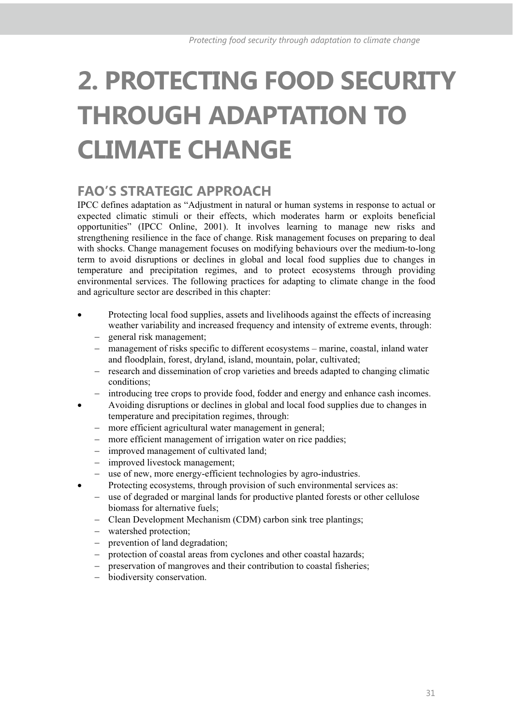# **2. PROTECTING FOOD SECURITY THROUGH ADAPTATION TO CLIMATE CHANGE**

# **FAO'S STRATEGIC APPROACH**

IPCC defines adaptation as "Adjustment in natural or human systems in response to actual or expected climatic stimuli or their effects, which moderates harm or exploits beneficial opportunities" (IPCC Online, 2001). It involves learning to manage new risks and strengthening resilience in the face of change. Risk management focuses on preparing to deal with shocks. Change management focuses on modifying behaviours over the medium-to-long term to avoid disruptions or declines in global and local food supplies due to changes in temperature and precipitation regimes, and to protect ecosystems through providing environmental services. The following practices for adapting to climate change in the food and agriculture sector are described in this chapter:

- Protecting local food supplies, assets and livelihoods against the effects of increasing weather variability and increased frequency and intensity of extreme events, through:
	- general risk management;
	- management of risks specific to different ecosystems – marine, coastal, inland water and floodplain, forest, dryland, island, mountain, polar, cultivated;
	- research and dissemination of crop varieties and breeds adapted to changing climatic conditions;
	- $$ introducing tree crops to provide food, fodder and energy and enhance cash incomes.
- Avoiding disruptions or declines in global and local food supplies due to changes in temperature and precipitation regimes, through:
	- $$ more efficient agricultural water management in general;
	- more efficient management of irrigation water on rice paddies;
	- $$ improved management of cultivated land;
	- improved livestock management;
	- $$ use of new, more energy-efficient technologies by agro-industries.
- Protecting ecosystems, through provision of such environmental services as:
	- use of degraded or marginal lands for productive planted forests or other cellulose biomass for alternative fuels;
	- Clean Development Mechanism (CDM) carbon sink tree plantings;
	- watershed protection;
	- prevention of land degradation;
	- protection of coastal areas from cyclones and other coastal hazards;
	- preservation of mangroves and their contribution to coastal fisheries;
	- biodiversity conservation.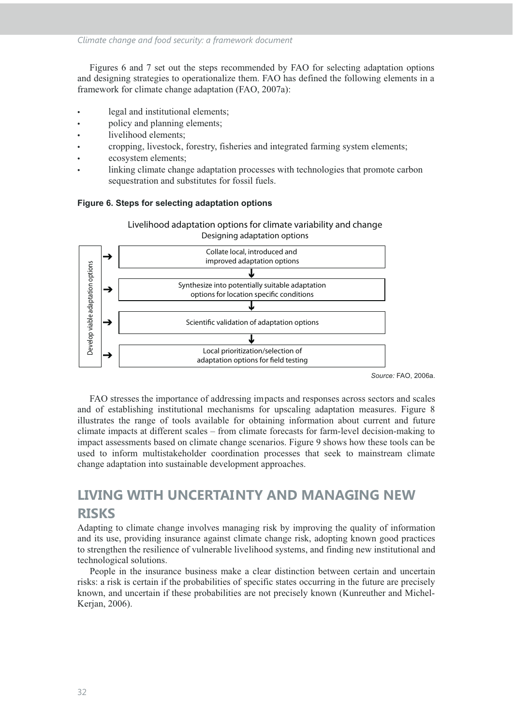Figures 6 and 7 set out the steps recommended by FAO for selecting adaptation options and designing strategies to operationalize them. FAO has defined the following elements in a framework for climate change adaptation (FAO, 2007a):

- legal and institutional elements;
- policy and planning elements;
- livelihood elements;
- t cropping, livestock, forestry, fisheries and integrated farming system elements;
- ecosystem elements;
- linking climate change adaptation processes with technologies that promote carbon sequestration and substitutes for fossil fuels.





*Source:* FAO, 2006a.

FAO stresses the importance of addressing impacts and responses across sectors and scales and of establishing institutional mechanisms for upscaling adaptation measures. Figure 8 illustrates the range of tools available for obtaining information about current and future climate impacts at different scales – from climate forecasts for farm-level decision-making to impact assessments based on climate change scenarios. Figure 9 shows how these tools can be used to inform multistakeholder coordination processes that seek to mainstream climate change adaptation into sustainable development approaches.

# **LIVING WITH UNCERTAINTY AND MANAGING NEW RISKS**

Adapting to climate change involves managing risk by improving the quality of information and its use, providing insurance against climate change risk, adopting known good practices to strengthen the resilience of vulnerable livelihood systems, and finding new institutional and technological solutions.

People in the insurance business make a clear distinction between certain and uncertain risks: a risk is certain if the probabilities of specific states occurring in the future are precisely known, and uncertain if these probabilities are not precisely known (Kunreuther and Michel-Kerjan, 2006).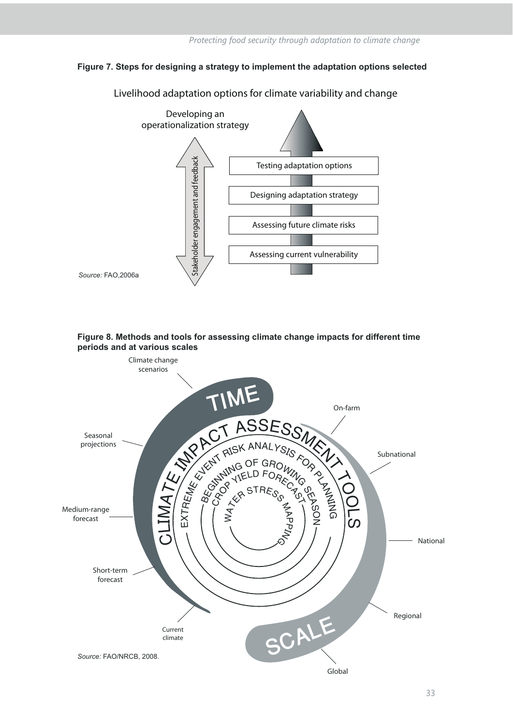# **Figure 7. Steps for designing a strategy to implement the adaptation options selected**



**Livelihood adaptation options for climate variability and change**



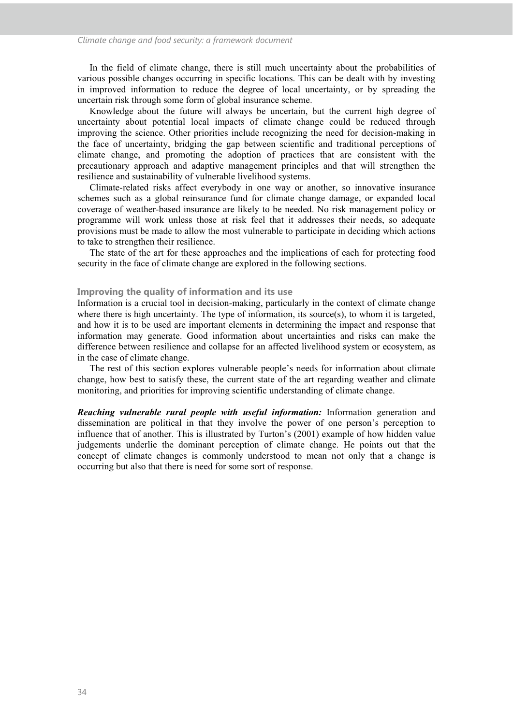In the field of climate change, there is still much uncertainty about the probabilities of various possible changes occurring in specific locations. This can be dealt with by investing in improved information to reduce the degree of local uncertainty, or by spreading the uncertain risk through some form of global insurance scheme.

Knowledge about the future will always be uncertain, but the current high degree of uncertainty about potential local impacts of climate change could be reduced through improving the science. Other priorities include recognizing the need for decision-making in the face of uncertainty, bridging the gap between scientific and traditional perceptions of climate change, and promoting the adoption of practices that are consistent with the precautionary approach and adaptive management principles and that will strengthen the resilience and sustainability of vulnerable livelihood systems.

Climate-related risks affect everybody in one way or another, so innovative insurance schemes such as a global reinsurance fund for climate change damage, or expanded local coverage of weather-based insurance are likely to be needed. No risk management policy or programme will work unless those at risk feel that it addresses their needs, so adequate provisions must be made to allow the most vulnerable to participate in deciding which actions to take to strengthen their resilience.

The state of the art for these approaches and the implications of each for protecting food security in the face of climate change are explored in the following sections.

#### **Improving the quality of information and its use**

Information is a crucial tool in decision-making, particularly in the context of climate change where there is high uncertainty. The type of information, its source(s), to whom it is targeted. and how it is to be used are important elements in determining the impact and response that information may generate. Good information about uncertainties and risks can make the difference between resilience and collapse for an affected livelihood system or ecosystem, as in the case of climate change.

The rest of this section explores vulnerable people's needs for information about climate change, how best to satisfy these, the current state of the art regarding weather and climate monitoring, and priorities for improving scientific understanding of climate change.

*Reaching vulnerable rural people with useful information:* Information generation and dissemination are political in that they involve the power of one person's perception to influence that of another. This is illustrated by Turton's (2001) example of how hidden value judgements underlie the dominant perception of climate change. He points out that the concept of climate changes is commonly understood to mean not only that a change is occurring but also that there is need for some sort of response.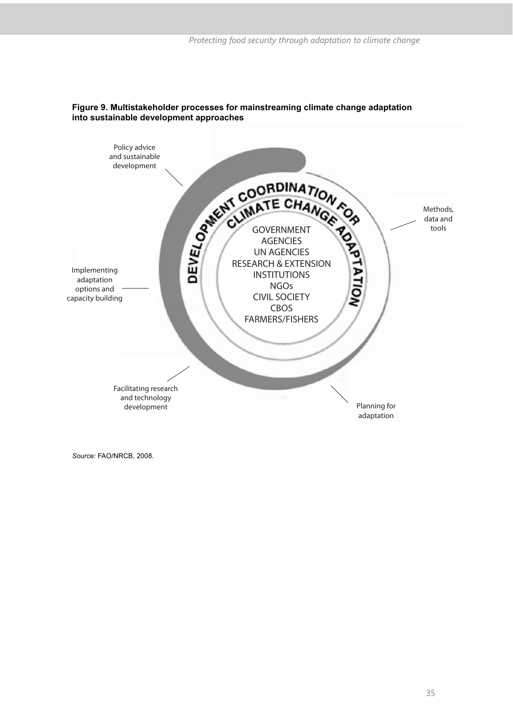

# **Figure 9. Multistakeholder processes for mainstreaming climate change adaptation into sustainable development approaches**

*Source:* FAO/NRCB, 2008.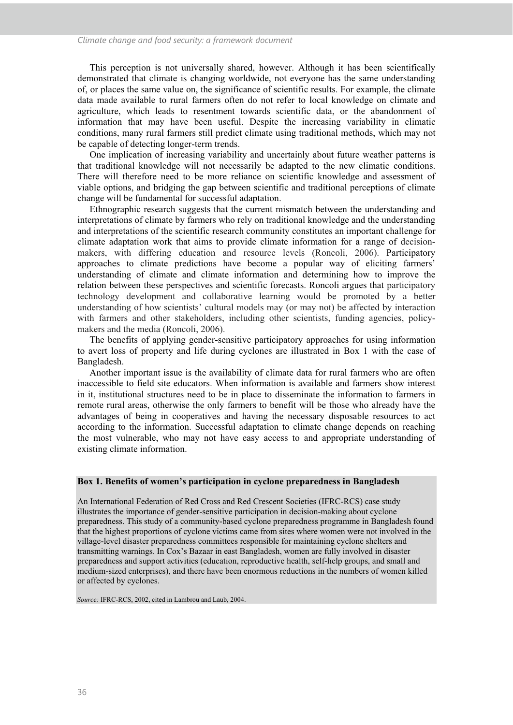This perception is not universally shared, however. Although it has been scientifically demonstrated that climate is changing worldwide, not everyone has the same understanding of, or places the same value on, the significance of scientific results. For example, the climate data made available to rural farmers often do not refer to local knowledge on climate and agriculture, which leads to resentment towards scientific data, or the abandonment of information that may have been useful. Despite the increasing variability in climatic conditions, many rural farmers still predict climate using traditional methods, which may not be capable of detecting longer-term trends.

One implication of increasing variability and uncertainly about future weather patterns is that traditional knowledge will not necessarily be adapted to the new climatic conditions. There will therefore need to be more reliance on scientific knowledge and assessment of viable options, and bridging the gap between scientific and traditional perceptions of climate change will be fundamental for successful adaptation.

Ethnographic research suggests that the current mismatch between the understanding and interpretations of climate by farmers who rely on traditional knowledge and the understanding and interpretations of the scientific research community constitutes an important challenge for climate adaptation work that aims to provide climate information for a range of decisionmakers, with differing education and resource levels (Roncoli, 2006). Participatory approaches to climate predictions have become a popular way of eliciting farmers' understanding of climate and climate information and determining how to improve the relation between these perspectives and scientific forecasts. Roncoli argues that participatory technology development and collaborative learning would be promoted by a better understanding of how scientists' cultural models may (or may not) be affected by interaction with farmers and other stakeholders, including other scientists, funding agencies, policymakers and the media (Roncoli, 2006).

The benefits of applying gender-sensitive participatory approaches for using information to avert loss of property and life during cyclones are illustrated in Box 1 with the case of Bangladesh.

Another important issue is the availability of climate data for rural farmers who are often inaccessible to field site educators. When information is available and farmers show interest in it, institutional structures need to be in place to disseminate the information to farmers in remote rural areas, otherwise the only farmers to benefit will be those who already have the advantages of being in cooperatives and having the necessary disposable resources to act according to the information. Successful adaptation to climate change depends on reaching the most vulnerable, who may not have easy access to and appropriate understanding of existing climate information.

#### **Box 1. Benefits of women's participation in cyclone preparedness in Bangladesh**

An International Federation of Red Cross and Red Crescent Societies (IFRC-RCS) case study illustrates the importance of gender-sensitive participation in decision-making about cyclone preparedness. This study of a community-based cyclone preparedness programme in Bangladesh found that the highest proportions of cyclone victims came from sites where women were not involved in the village-level disaster preparedness committees responsible for maintaining cyclone shelters and transmitting warnings. In Cox's Bazaar in east Bangladesh, women are fully involved in disaster preparedness and support activities (education, reproductive health, self-help groups, and small and medium-sized enterprises), and there have been enormous reductions in the numbers of women killed or affected by cyclones.

*Source:* IFRC-RCS, 2002, cited in Lambrou and Laub, 2004.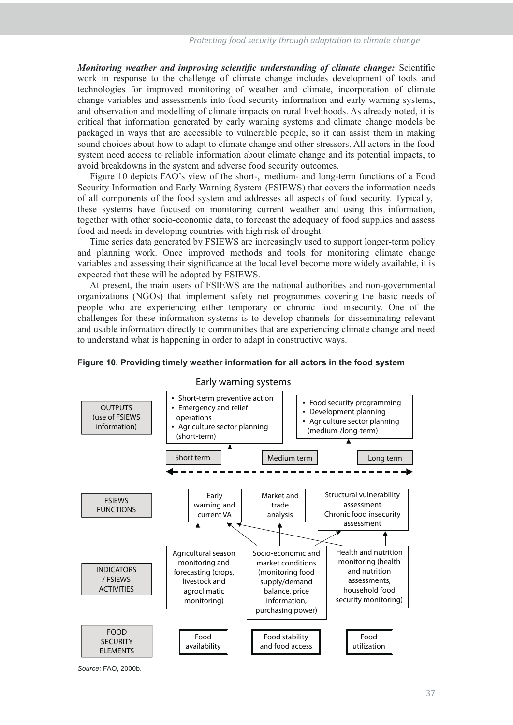*Monitoring weather and improving scientific understanding of climate change:* Scientific work in response to the challenge of climate change includes development of tools and technologies for improved monitoring of weather and climate, incorporation of climate change variables and assessments into food security information and early warning systems, and observation and modelling of climate impacts on rural livelihoods. As already noted, it is critical that information generated by early warning systems and climate change models be packaged in ways that are accessible to vulnerable people, so it can assist them in making sound choices about how to adapt to climate change and other stressors. All actors in the food system need access to reliable information about climate change and its potential impacts, to avoid breakdowns in the system and adverse food security outcomes.

Figure 10 depicts FAO's view of the short-, medium- and long-term functions of a Food Security Information and Early Warning System (FSIEWS) that covers the information needs of all components of the food system and addresses all aspects of food security. Typically, these systems have focused on monitoring current weather and using this information, together with other socio-economic data, to forecast the adequacy of food supplies and assess food aid needs in developing countries with high risk of drought.

Time series data generated by FSIEWS are increasingly used to support longer-term policy and planning work. Once improved methods and tools for monitoring climate change variables and assessing their significance at the local level become more widely available, it is expected that these will be adopted by FSIEWS.

At present, the main users of FSIEWS are the national authorities and non-governmental organizations (NGOs) that implement safety net programmes covering the basic needs of people who are experiencing either temporary or chronic food insecurity. One of the challenges for these information systems is to develop channels for disseminating relevant and usable information directly to communities that are experiencing climate change and need to understand what is happening in order to adapt in constructive ways.



## **Early warning systems**

**Figure 10. Providing timely weather information for all actors in the food system** 

*Source:* FAO, 2000b.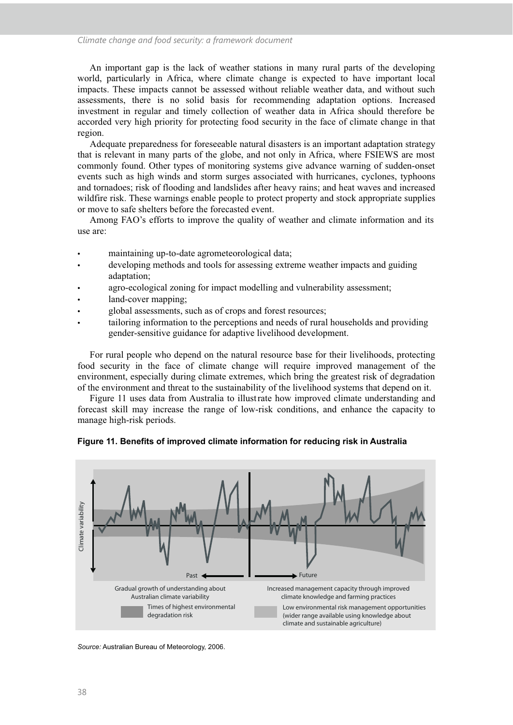An important gap is the lack of weather stations in many rural parts of the developing world, particularly in Africa, where climate change is expected to have important local impacts. These impacts cannot be assessed without reliable weather data, and without such assessments, there is no solid basis for recommending adaptation options. Increased investment in regular and timely collection of weather data in Africa should therefore be accorded very high priority for protecting food security in the face of climate change in that region.

Adequate preparedness for foreseeable natural disasters is an important adaptation strategy that is relevant in many parts of the globe, and not only in Africa, where FSIEWS are most commonly found. Other types of monitoring systems give advance warning of sudden-onset events such as high winds and storm surges associated with hurricanes, cyclones, typhoons and tornadoes; risk of flooding and landslides after heavy rains; and heat waves and increased wildfire risk. These warnings enable people to protect property and stock appropriate supplies or move to safe shelters before the forecasted event.

Among FAO's efforts to improve the quality of weather and climate information and its use are:

- maintaining up-to-date agrometeorological data;
- developing methods and tools for assessing extreme weather impacts and guiding adaptation;
- agro-ecological zoning for impact modelling and vulnerability assessment;
- land-cover mapping;
- global assessments, such as of crops and forest resources;
- tailoring information to the perceptions and needs of rural households and providing gender-sensitive guidance for adaptive livelihood development.

For rural people who depend on the natural resource base for their livelihoods, protecting food security in the face of climate change will require improved management of the environment, especially during climate extremes, which bring the greatest risk of degradation of the environment and threat to the sustainability of the livelihood systems that depend on it.

Figure 11 uses data from Australia to illustrate how improved climate understanding and forecast skill may increase the range of low-risk conditions, and enhance the capacity to manage high-risk periods.



**Figure 11. Benefits of improved climate information for reducing risk in Australia**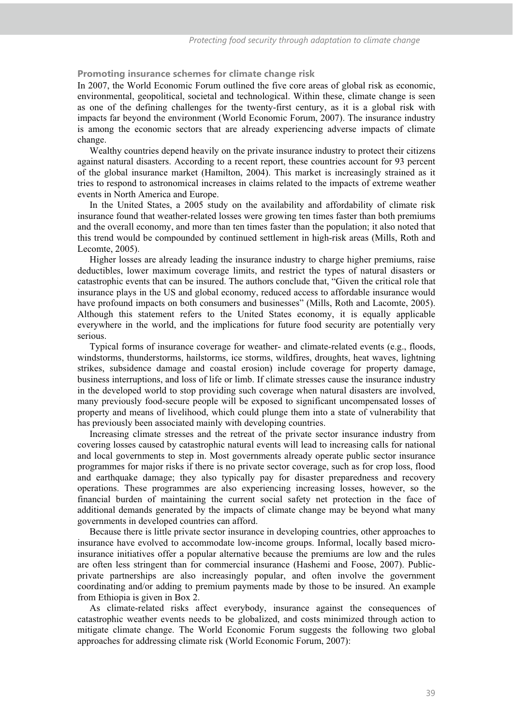**Promoting insurance schemes for climate change risk** 

In 2007, the World Economic Forum outlined the five core areas of global risk as economic, environmental, geopolitical, societal and technological. Within these, climate change is seen as one of the defining challenges for the twenty-first century, as it is a global risk with impacts far beyond the environment (World Economic Forum, 2007). The insurance industry is among the economic sectors that are already experiencing adverse impacts of climate change.

Wealthy countries depend heavily on the private insurance industry to protect their citizens against natural disasters. According to a recent report, these countries account for 93 percent of the global insurance market (Hamilton, 2004). This market is increasingly strained as it tries to respond to astronomical increases in claims related to the impacts of extreme weather events in North America and Europe.

In the United States, a 2005 study on the availability and affordability of climate risk insurance found that weather-related losses were growing ten times faster than both premiums and the overall economy, and more than ten times faster than the population; it also noted that this trend would be compounded by continued settlement in high-risk areas (Mills, Roth and Lecomte, 2005).

Higher losses are already leading the insurance industry to charge higher premiums, raise deductibles, lower maximum coverage limits, and restrict the types of natural disasters or catastrophic events that can be insured. The authors conclude that, "Given the critical role that insurance plays in the US and global economy, reduced access to affordable insurance would have profound impacts on both consumers and businesses" (Mills, Roth and Lacomte, 2005). Although this statement refers to the United States economy, it is equally applicable everywhere in the world, and the implications for future food security are potentially very serious.

Typical forms of insurance coverage for weather- and climate-related events (e.g., floods, windstorms, thunderstorms, hailstorms, ice storms, wildfires, droughts, heat waves, lightning strikes, subsidence damage and coastal erosion) include coverage for property damage, business interruptions, and loss of life or limb. If climate stresses cause the insurance industry in the developed world to stop providing such coverage when natural disasters are involved, many previously food-secure people will be exposed to significant uncompensated losses of property and means of livelihood, which could plunge them into a state of vulnerability that has previously been associated mainly with developing countries.

Increasing climate stresses and the retreat of the private sector insurance industry from covering losses caused by catastrophic natural events will lead to increasing calls for national and local governments to step in. Most governments already operate public sector insurance programmes for major risks if there is no private sector coverage, such as for crop loss, flood and earthquake damage; they also typically pay for disaster preparedness and recovery operations. These programmes are also experiencing increasing losses, however, so the financial burden of maintaining the current social safety net protection in the face of additional demands generated by the impacts of climate change may be beyond what many governments in developed countries can afford.

Because there is little private sector insurance in developing countries, other approaches to insurance have evolved to accommodate low-income groups. Informal, locally based microinsurance initiatives offer a popular alternative because the premiums are low and the rules are often less stringent than for commercial insurance (Hashemi and Foose, 2007). Publicprivate partnerships are also increasingly popular, and often involve the government coordinating and/or adding to premium payments made by those to be insured. An example from Ethiopia is given in Box 2.

As climate-related risks affect everybody, insurance against the consequences of catastrophic weather events needs to be globalized, and costs minimized through action to mitigate climate change. The World Economic Forum suggests the following two global approaches for addressing climate risk (World Economic Forum, 2007):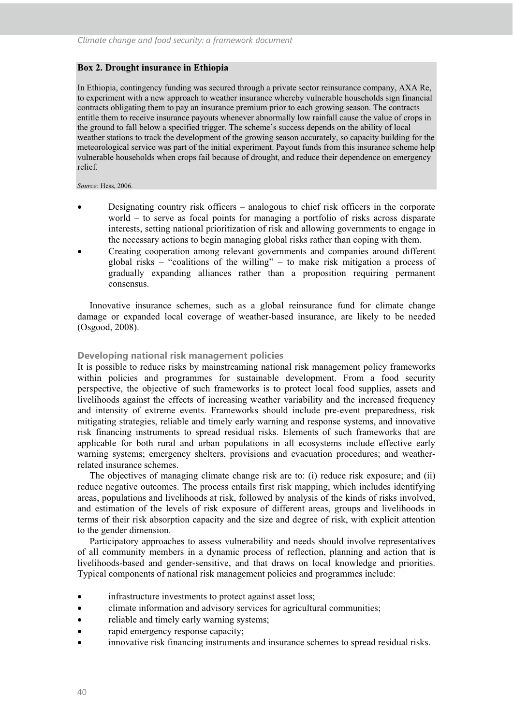#### **Box 2. Drought insurance in Ethiopia**

In Ethiopia, contingency funding was secured through a private sector reinsurance company, AXA Re, to experiment with a new approach to weather insurance whereby vulnerable households sign financial contracts obligating them to pay an insurance premium prior to each growing season. The contracts entitle them to receive insurance payouts whenever abnormally low rainfall cause the value of crops in the ground to fall below a specified trigger. The scheme's success depends on the ability of local weather stations to track the development of the growing season accurately, so capacity building for the meteorological service was part of the initial experiment. Payout funds from this insurance scheme help vulnerable households when crops fail because of drought, and reduce their dependence on emergency relief.

#### *Source:* Hess, 2006.

- Designating country risk officers analogous to chief risk officers in the corporate world – to serve as focal points for managing a portfolio of risks across disparate interests, setting national prioritization of risk and allowing governments to engage in the necessary actions to begin managing global risks rather than coping with them.
- Creating cooperation among relevant governments and companies around different global risks – "coalitions of the willing" – to make risk mitigation a process of gradually expanding alliances rather than a proposition requiring permanent consensus.

Innovative insurance schemes, such as a global reinsurance fund for climate change damage or expanded local coverage of weather-based insurance, are likely to be needed (Osgood, 2008).

#### **Developing national risk management policies**

It is possible to reduce risks by mainstreaming national risk management policy frameworks within policies and programmes for sustainable development. From a food security perspective, the objective of such frameworks is to protect local food supplies, assets and livelihoods against the effects of increasing weather variability and the increased frequency and intensity of extreme events. Frameworks should include pre-event preparedness, risk mitigating strategies, reliable and timely early warning and response systems, and innovative risk financing instruments to spread residual risks. Elements of such frameworks that are applicable for both rural and urban populations in all ecosystems include effective early warning systems; emergency shelters, provisions and evacuation procedures; and weatherrelated insurance schemes.

The objectives of managing climate change risk are to: (i) reduce risk exposure; and (ii) reduce negative outcomes. The process entails first risk mapping, which includes identifying areas, populations and livelihoods at risk, followed by analysis of the kinds of risks involved, and estimation of the levels of risk exposure of different areas, groups and livelihoods in terms of their risk absorption capacity and the size and degree of risk, with explicit attention to the gender dimension.

Participatory approaches to assess vulnerability and needs should involve representatives of all community members in a dynamic process of reflection, planning and action that is livelihoods-based and gender-sensitive, and that draws on local knowledge and priorities. Typical components of national risk management policies and programmes include:

- infrastructure investments to protect against asset loss;
- climate information and advisory services for agricultural communities;
- reliable and timely early warning systems;
- rapid emergency response capacity;
- innovative risk financing instruments and insurance schemes to spread residual risks.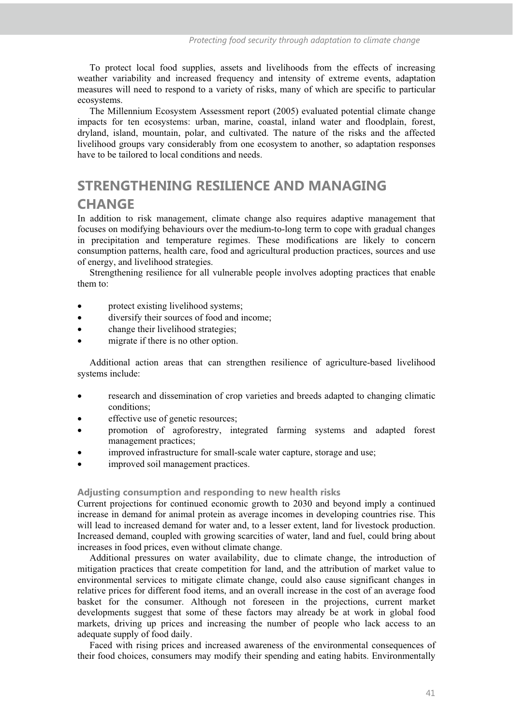To protect local food supplies, assets and livelihoods from the effects of increasing weather variability and increased frequency and intensity of extreme events, adaptation measures will need to respond to a variety of risks, many of which are specific to particular ecosystems.

The Millennium Ecosystem Assessment report (2005) evaluated potential climate change impacts for ten ecosystems: urban, marine, coastal, inland water and floodplain, forest, dryland, island, mountain, polar, and cultivated. The nature of the risks and the affected livelihood groups vary considerably from one ecosystem to another, so adaptation responses have to be tailored to local conditions and needs.

# **STRENGTHENING RESILIENCE AND MANAGING CHANGE**

In addition to risk management, climate change also requires adaptive management that focuses on modifying behaviours over the medium-to-long term to cope with gradual changes in precipitation and temperature regimes. These modifications are likely to concern consumption patterns, health care, food and agricultural production practices, sources and use of energy, and livelihood strategies.

Strengthening resilience for all vulnerable people involves adopting practices that enable them to:

- protect existing livelihood systems;
- diversify their sources of food and income;
- change their livelihood strategies;
- migrate if there is no other option.

Additional action areas that can strengthen resilience of agriculture-based livelihood systems include:

- research and dissemination of crop varieties and breeds adapted to changing climatic conditions;
- effective use of genetic resources;
- promotion of agroforestry, integrated farming systems and adapted forest management practices;
- improved infrastructure for small-scale water capture, storage and use;
- improved soil management practices.

#### **Adjusting consumption and responding to new health risks**

Current projections for continued economic growth to 2030 and beyond imply a continued increase in demand for animal protein as average incomes in developing countries rise. This will lead to increased demand for water and, to a lesser extent, land for livestock production. Increased demand, coupled with growing scarcities of water, land and fuel, could bring about increases in food prices, even without climate change.

Additional pressures on water availability, due to climate change, the introduction of mitigation practices that create competition for land, and the attribution of market value to environmental services to mitigate climate change, could also cause significant changes in relative prices for different food items, and an overall increase in the cost of an average food basket for the consumer. Although not foreseen in the projections, current market developments suggest that some of these factors may already be at work in global food markets, driving up prices and increasing the number of people who lack access to an adequate supply of food daily.

Faced with rising prices and increased awareness of the environmental consequences of their food choices, consumers may modify their spending and eating habits. Environmentally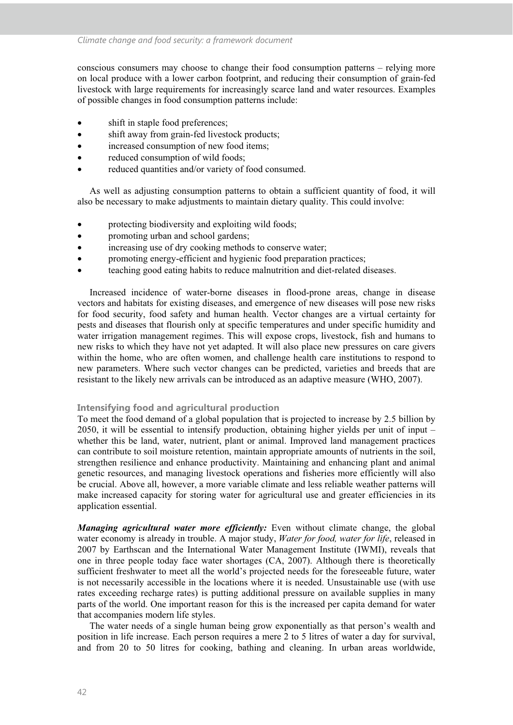conscious consumers may choose to change their food consumption patterns – relying more on local produce with a lower carbon footprint, and reducing their consumption of grain-fed livestock with large requirements for increasingly scarce land and water resources. Examples of possible changes in food consumption patterns include:

- shift in staple food preferences;
- shift away from grain-fed livestock products;
- increased consumption of new food items;
- reduced consumption of wild foods;
- reduced quantities and/or variety of food consumed.

As well as adjusting consumption patterns to obtain a sufficient quantity of food, it will also be necessary to make adjustments to maintain dietary quality. This could involve:

- protecting biodiversity and exploiting wild foods;
- promoting urban and school gardens;
- increasing use of dry cooking methods to conserve water;
- promoting energy-efficient and hygienic food preparation practices;
- teaching good eating habits to reduce malnutrition and diet-related diseases.

Increased incidence of water-borne diseases in flood-prone areas, change in disease vectors and habitats for existing diseases, and emergence of new diseases will pose new risks for food security, food safety and human health. Vector changes are a virtual certainty for pests and diseases that flourish only at specific temperatures and under specific humidity and water irrigation management regimes. This will expose crops, livestock, fish and humans to new risks to which they have not yet adapted. It will also place new pressures on care givers within the home, who are often women, and challenge health care institutions to respond to new parameters. Where such vector changes can be predicted, varieties and breeds that are resistant to the likely new arrivals can be introduced as an adaptive measure (WHO, 2007).

## **Intensifying food and agricultural production**

To meet the food demand of a global population that is projected to increase by 2.5 billion by 2050, it will be essential to intensify production, obtaining higher yields per unit of input – whether this be land, water, nutrient, plant or animal. Improved land management practices can contribute to soil moisture retention, maintain appropriate amounts of nutrients in the soil, strengthen resilience and enhance productivity. Maintaining and enhancing plant and animal genetic resources, and managing livestock operations and fisheries more efficiently will also be crucial. Above all, however, a more variable climate and less reliable weather patterns will make increased capacity for storing water for agricultural use and greater efficiencies in its application essential.

*Managing agricultural water more efficiently:* Even without climate change, the global water economy is already in trouble. A major study, *Water for food, water for life*, released in 2007 by Earthscan and the International Water Management Institute (IWMI), reveals that one in three people today face water shortages (CA, 2007). Although there is theoretically sufficient freshwater to meet all the world's projected needs for the foreseeable future, water is not necessarily accessible in the locations where it is needed. Unsustainable use (with use rates exceeding recharge rates) is putting additional pressure on available supplies in many parts of the world. One important reason for this is the increased per capita demand for water that accompanies modern life styles.

The water needs of a single human being grow exponentially as that person's wealth and position in life increase. Each person requires a mere 2 to 5 litres of water a day for survival, and from 20 to 50 litres for cooking, bathing and cleaning. In urban areas worldwide,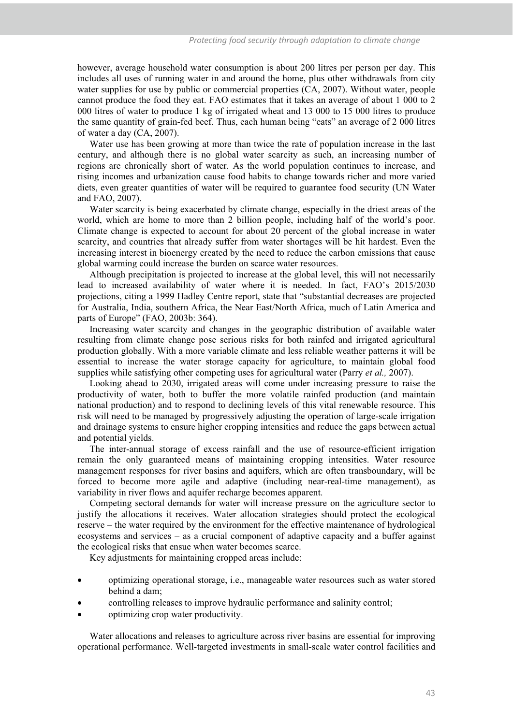however, average household water consumption is about 200 litres per person per day. This includes all uses of running water in and around the home, plus other withdrawals from city water supplies for use by public or commercial properties (CA, 2007). Without water, people cannot produce the food they eat. FAO estimates that it takes an average of about 1 000 to 2 000 litres of water to produce 1 kg of irrigated wheat and 13 000 to 15 000 litres to produce the same quantity of grain-fed beef. Thus, each human being "eats" an average of 2 000 litres of water a day (CA, 2007).

Water use has been growing at more than twice the rate of population increase in the last century, and although there is no global water scarcity as such, an increasing number of regions are chronically short of water. As the world population continues to increase, and rising incomes and urbanization cause food habits to change towards richer and more varied diets, even greater quantities of water will be required to guarantee food security (UN Water and FAO, 2007).

Water scarcity is being exacerbated by climate change, especially in the driest areas of the world, which are home to more than 2 billion people, including half of the world's poor. Climate change is expected to account for about 20 percent of the global increase in water scarcity, and countries that already suffer from water shortages will be hit hardest. Even the increasing interest in bioenergy created by the need to reduce the carbon emissions that cause global warming could increase the burden on scarce water resources.

Although precipitation is projected to increase at the global level, this will not necessarily lead to increased availability of water where it is needed. In fact, FAO's 2015/2030 projections, citing a 1999 Hadley Centre report, state that "substantial decreases are projected for Australia, India, southern Africa, the Near East/North Africa, much of Latin America and parts of Europe" (FAO, 2003b: 364).

Increasing water scarcity and changes in the geographic distribution of available water resulting from climate change pose serious risks for both rainfed and irrigated agricultural production globally. With a more variable climate and less reliable weather patterns it will be essential to increase the water storage capacity for agriculture, to maintain global food supplies while satisfying other competing uses for agricultural water (Parry *et al.,* 2007).

Looking ahead to 2030, irrigated areas will come under increasing pressure to raise the productivity of water, both to buffer the more volatile rainfed production (and maintain national production) and to respond to declining levels of this vital renewable resource. This risk will need to be managed by progressively adjusting the operation of large-scale irrigation and drainage systems to ensure higher cropping intensities and reduce the gaps between actual and potential yields.

The inter-annual storage of excess rainfall and the use of resource-efficient irrigation remain the only guaranteed means of maintaining cropping intensities. Water resource management responses for river basins and aquifers, which are often transboundary, will be forced to become more agile and adaptive (including near-real-time management), as variability in river flows and aquifer recharge becomes apparent.

Competing sectoral demands for water will increase pressure on the agriculture sector to justify the allocations it receives. Water allocation strategies should protect the ecological reserve – the water required by the environment for the effective maintenance of hydrological ecosystems and services – as a crucial component of adaptive capacity and a buffer against the ecological risks that ensue when water becomes scarce.

Key adjustments for maintaining cropped areas include:

- optimizing operational storage, i.e., manageable water resources such as water stored behind a dam;
- controlling releases to improve hydraulic performance and salinity control;
- optimizing crop water productivity.

Water allocations and releases to agriculture across river basins are essential for improving operational performance. Well-targeted investments in small-scale water control facilities and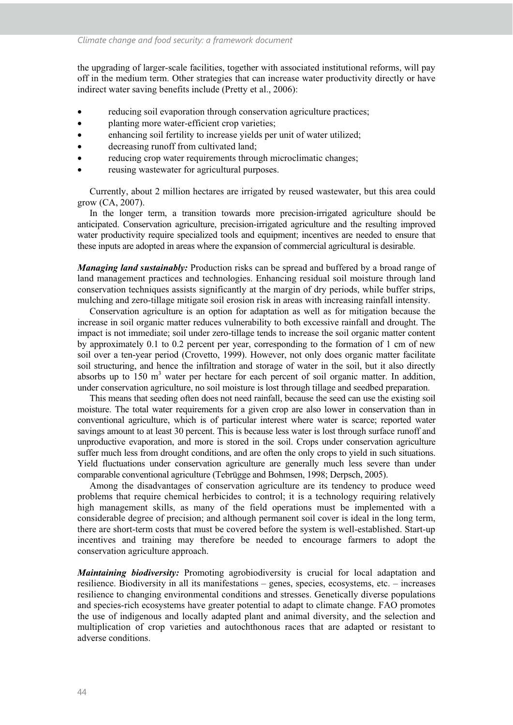the upgrading of larger-scale facilities, together with associated institutional reforms, will pay off in the medium term. Other strategies that can increase water productivity directly or have indirect water saving benefits include (Pretty et al., 2006):

- reducing soil evaporation through conservation agriculture practices;
- planting more water-efficient crop varieties;
- enhancing soil fertility to increase yields per unit of water utilized;
- decreasing runoff from cultivated land;
- reducing crop water requirements through microclimatic changes;
- reusing wastewater for agricultural purposes.

Currently, about 2 million hectares are irrigated by reused wastewater, but this area could grow (CA, 2007).

In the longer term, a transition towards more precision-irrigated agriculture should be anticipated. Conservation agriculture, precision-irrigated agriculture and the resulting improved water productivity require specialized tools and equipment; incentives are needed to ensure that these inputs are adopted in areas where the expansion of commercial agricultural is desirable.

*Managing land sustainably:* Production risks can be spread and buffered by a broad range of land management practices and technologies. Enhancing residual soil moisture through land conservation techniques assists significantly at the margin of dry periods, while buffer strips, mulching and zero-tillage mitigate soil erosion risk in areas with increasing rainfall intensity.

Conservation agriculture is an option for adaptation as well as for mitigation because the increase in soil organic matter reduces vulnerability to both excessive rainfall and drought. The impact is not immediate; soil under zero-tillage tends to increase the soil organic matter content by approximately 0.1 to 0.2 percent per year, corresponding to the formation of 1 cm of new soil over a ten-year period (Crovetto, 1999). However, not only does organic matter facilitate soil structuring, and hence the infiltration and storage of water in the soil, but it also directly absorbs up to  $150 \text{ m}^3$  water per hectare for each percent of soil organic matter. In addition, under conservation agriculture, no soil moisture is lost through tillage and seedbed preparation.

This means that seeding often does not need rainfall, because the seed can use the existing soil moisture. The total water requirements for a given crop are also lower in conservation than in conventional agriculture, which is of particular interest where water is scarce; reported water savings amount to at least 30 percent. This is because less water is lost through surface runoff and unproductive evaporation, and more is stored in the soil. Crops under conservation agriculture suffer much less from drought conditions, and are often the only crops to yield in such situations. Yield fluctuations under conservation agriculture are generally much less severe than under comparable conventional agriculture (Tebrügge and Bohmsen, 1998; Derpsch, 2005).

Among the disadvantages of conservation agriculture are its tendency to produce weed problems that require chemical herbicides to control; it is a technology requiring relatively high management skills, as many of the field operations must be implemented with a considerable degree of precision; and although permanent soil cover is ideal in the long term, there are short-term costs that must be covered before the system is well-established. Start-up incentives and training may therefore be needed to encourage farmers to adopt the conservation agriculture approach.

*Maintaining biodiversity:* Promoting agrobiodiversity is crucial for local adaptation and resilience. Biodiversity in all its manifestations – genes, species, ecosystems, etc. – increases resilience to changing environmental conditions and stresses. Genetically diverse populations and species-rich ecosystems have greater potential to adapt to climate change. FAO promotes the use of indigenous and locally adapted plant and animal diversity, and the selection and multiplication of crop varieties and autochthonous races that are adapted or resistant to adverse conditions.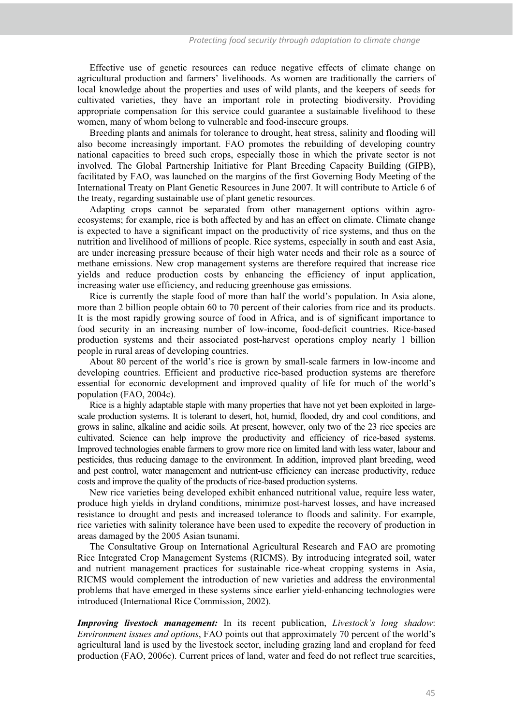Effective use of genetic resources can reduce negative effects of climate change on agricultural production and farmers' livelihoods. As women are traditionally the carriers of local knowledge about the properties and uses of wild plants, and the keepers of seeds for cultivated varieties, they have an important role in protecting biodiversity. Providing appropriate compensation for this service could guarantee a sustainable livelihood to these women, many of whom belong to vulnerable and food-insecure groups.

Breeding plants and animals for tolerance to drought, heat stress, salinity and flooding will also become increasingly important. FAO promotes the rebuilding of developing country national capacities to breed such crops, especially those in which the private sector is not involved. The Global Partnership Initiative for Plant Breeding Capacity Building (GIPB), facilitated by FAO, was launched on the margins of the first Governing Body Meeting of the International Treaty on Plant Genetic Resources in June 2007. It will contribute to Article 6 of the treaty, regarding sustainable use of plant genetic resources.

Adapting crops cannot be separated from other management options within agroecosystems; for example, rice is both affected by and has an effect on climate. Climate change is expected to have a significant impact on the productivity of rice systems, and thus on the nutrition and livelihood of millions of people. Rice systems, especially in south and east Asia, are under increasing pressure because of their high water needs and their role as a source of methane emissions. New crop management systems are therefore required that increase rice yields and reduce production costs by enhancing the efficiency of input application, increasing water use efficiency, and reducing greenhouse gas emissions.

Rice is currently the staple food of more than half the world's population. In Asia alone, more than 2 billion people obtain 60 to 70 percent of their calories from rice and its products. It is the most rapidly growing source of food in Africa, and is of significant importance to food security in an increasing number of low-income, food-deficit countries. Rice-based production systems and their associated post-harvest operations employ nearly 1 billion people in rural areas of developing countries.

About 80 percent of the world's rice is grown by small-scale farmers in low-income and developing countries. Efficient and productive rice-based production systems are therefore essential for economic development and improved quality of life for much of the world's population (FAO, 2004c).

Rice is a highly adaptable staple with many properties that have not yet been exploited in largescale production systems. It is tolerant to desert, hot, humid, flooded, dry and cool conditions, and grows in saline, alkaline and acidic soils. At present, however, only two of the 23 rice species are cultivated. Science can help improve the productivity and efficiency of rice-based systems. Improved technologies enable farmers to grow more rice on limited land with less water, labour and pesticides, thus reducing damage to the environment. In addition, improved plant breeding, weed and pest control, water management and nutrient-use efficiency can increase productivity, reduce costs and improve the quality of the products of rice-based production systems.

New rice varieties being developed exhibit enhanced nutritional value, require less water, produce high yields in dryland conditions, minimize post-harvest losses, and have increased resistance to drought and pests and increased tolerance to floods and salinity. For example, rice varieties with salinity tolerance have been used to expedite the recovery of production in areas damaged by the 2005 Asian tsunami.

The Consultative Group on International Agricultural Research and FAO are promoting Rice Integrated Crop Management Systems (RICMS). By introducing integrated soil, water and nutrient management practices for sustainable rice-wheat cropping systems in Asia, RICMS would complement the introduction of new varieties and address the environmental problems that have emerged in these systems since earlier yield-enhancing technologies were introduced (International Rice Commission, 2002).

*Improving livestock management:* In its recent publication, *Livestock's long shadow*: *Environment issues and options*, FAO points out that approximately 70 percent of the world's agricultural land is used by the livestock sector, including grazing land and cropland for feed production (FAO, 2006c). Current prices of land, water and feed do not reflect true scarcities,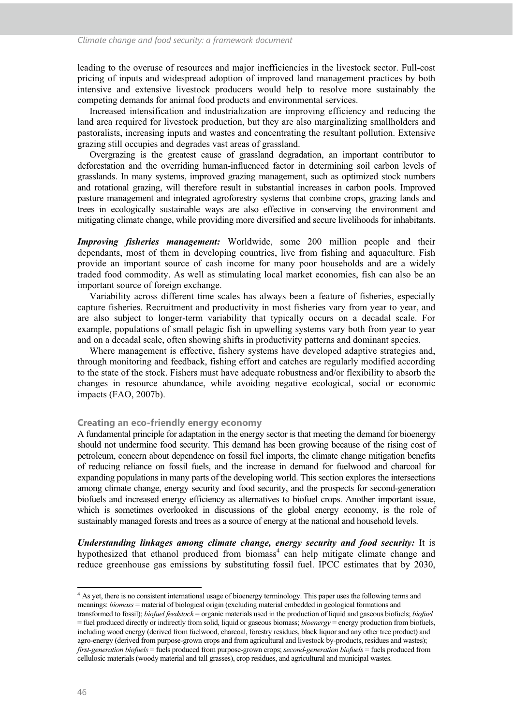leading to the overuse of resources and major inefficiencies in the livestock sector. Full-cost pricing of inputs and widespread adoption of improved land management practices by both intensive and extensive livestock producers would help to resolve more sustainably the competing demands for animal food products and environmental services.

Increased intensification and industrialization are improving efficiency and reducing the land area required for livestock production, but they are also marginalizing smallholders and pastoralists, increasing inputs and wastes and concentrating the resultant pollution. Extensive grazing still occupies and degrades vast areas of grassland.

Overgrazing is the greatest cause of grassland degradation, an important contributor to deforestation and the overriding human-influenced factor in determining soil carbon levels of grasslands. In many systems, improved grazing management, such as optimized stock numbers and rotational grazing, will therefore result in substantial increases in carbon pools. Improved pasture management and integrated agroforestry systems that combine crops, grazing lands and trees in ecologically sustainable ways are also effective in conserving the environment and mitigating climate change, while providing more diversified and secure livelihoods for inhabitants.

*Improving fisheries management:* Worldwide, some 200 million people and their dependants, most of them in developing countries, live from fishing and aquaculture. Fish provide an important source of cash income for many poor households and are a widely traded food commodity. As well as stimulating local market economies, fish can also be an important source of foreign exchange.

Variability across different time scales has always been a feature of fisheries, especially capture fisheries. Recruitment and productivity in most fisheries vary from year to year, and are also subject to longer-term variability that typically occurs on a decadal scale. For example, populations of small pelagic fish in upwelling systems vary both from year to year and on a decadal scale, often showing shifts in productivity patterns and dominant species.

Where management is effective, fishery systems have developed adaptive strategies and, through monitoring and feedback, fishing effort and catches are regularly modified according to the state of the stock. Fishers must have adequate robustness and/or flexibility to absorb the changes in resource abundance, while avoiding negative ecological, social or economic impacts (FAO, 2007b).

#### **Creating an eco-friendly energy economy**

A fundamental principle for adaptation in the energy sector is that meeting the demand for bioenergy should not undermine food security. This demand has been growing because of the rising cost of petroleum, concern about dependence on fossil fuel imports, the climate change mitigation benefits of reducing reliance on fossil fuels, and the increase in demand for fuelwood and charcoal for expanding populations in many parts of the developing world. This section explores the intersections among climate change, energy security and food security, and the prospects for second-generation biofuels and increased energy efficiency as alternatives to biofuel crops. Another important issue, which is sometimes overlooked in discussions of the global energy economy, is the role of sustainably managed forests and trees as a source of energy at the national and household levels.

*Understanding linkages among climate change, energy security and food security:* It is hypothesized that ethanol produced from biomass<sup>4</sup> can help mitigate climate change and reduce greenhouse gas emissions by substituting fossil fuel. IPCC estimates that by 2030,

 $\ddot{\phantom{a}}$ 4 As yet, there is no consistent international usage of bioenergy terminology. This paper uses the following terms and meanings: *biomass* = material of biological origin (excluding material embedded in geological formations and

transformed to fossil); *biofuel feedstock* = organic materials used in the production of liquid and gaseous biofuels; *biofuel* = fuel produced directly or indirectly from solid, liquid or gaseous biomass; *bioenergy* = energy production from biofuels, including wood energy (derived from fuelwood, charcoal, forestry residues, black liquor and any other tree product) and agro-energy (derived from purpose-grown crops and from agricultural and livestock by-products, residues and wastes); *first-generation biofuels* = fuels produced from purpose-grown crops; *second-generation biofuels* = fuels produced from cellulosic materials (woody material and tall grasses), crop residues, and agricultural and municipal wastes.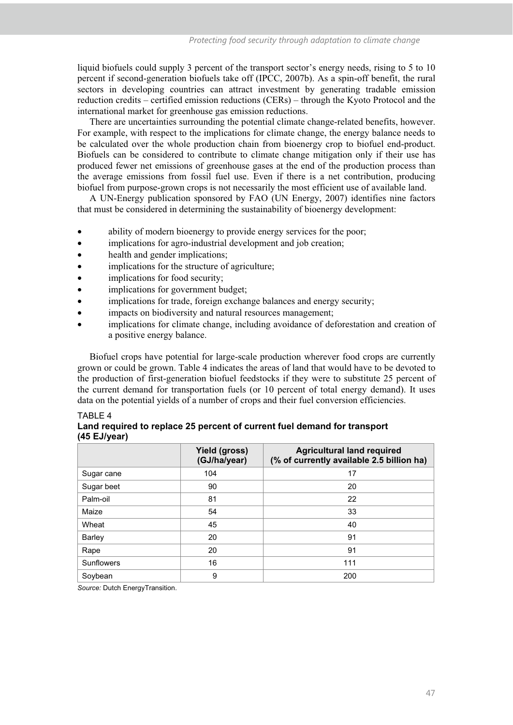liquid biofuels could supply 3 percent of the transport sector's energy needs, rising to 5 to 10 percent if second-generation biofuels take off (IPCC, 2007b). As a spin-off benefit, the rural sectors in developing countries can attract investment by generating tradable emission reduction credits – certified emission reductions (CERs) – through the Kyoto Protocol and the international market for greenhouse gas emission reductions.

There are uncertainties surrounding the potential climate change-related benefits, however. For example, with respect to the implications for climate change, the energy balance needs to be calculated over the whole production chain from bioenergy crop to biofuel end-product. Biofuels can be considered to contribute to climate change mitigation only if their use has produced fewer net emissions of greenhouse gases at the end of the production process than the average emissions from fossil fuel use. Even if there is a net contribution, producing biofuel from purpose-grown crops is not necessarily the most efficient use of available land.

A UN-Energy publication sponsored by FAO (UN Energy, 2007) identifies nine factors that must be considered in determining the sustainability of bioenergy development:

- ability of modern bioenergy to provide energy services for the poor;
- implications for agro-industrial development and job creation;
- health and gender implications;
- implications for the structure of agriculture:
- implications for food security;
- implications for government budget;
- implications for trade, foreign exchange balances and energy security;
- impacts on biodiversity and natural resources management;
- implications for climate change, including avoidance of deforestation and creation of a positive energy balance.

Biofuel crops have potential for large-scale production wherever food crops are currently grown or could be grown. Table 4 indicates the areas of land that would have to be devoted to the production of first-generation biofuel feedstocks if they were to substitute 25 percent of the current demand for transportation fuels (or 10 percent of total energy demand). It uses data on the potential yields of a number of crops and their fuel conversion efficiencies.

#### TABLE 4

# **Land required to replace 25 percent of current fuel demand for transport (45 EJ/year)**

|               | Yield (gross)<br>(GJ/ha/year) | <b>Agricultural land required</b><br>(% of currently available 2.5 billion ha) |
|---------------|-------------------------------|--------------------------------------------------------------------------------|
| Sugar cane    | 104                           | 17                                                                             |
| Sugar beet    | 90                            | 20                                                                             |
| Palm-oil      | 81                            | 22                                                                             |
| Maize         | 54                            | 33                                                                             |
| Wheat         | 45                            | 40                                                                             |
| <b>Barley</b> | 20                            | 91                                                                             |
| Rape          | 20                            | 91                                                                             |
| Sunflowers    | 16                            | 111                                                                            |
| Soybean       | 9                             | 200                                                                            |

*Source:* Dutch EnergyTransition.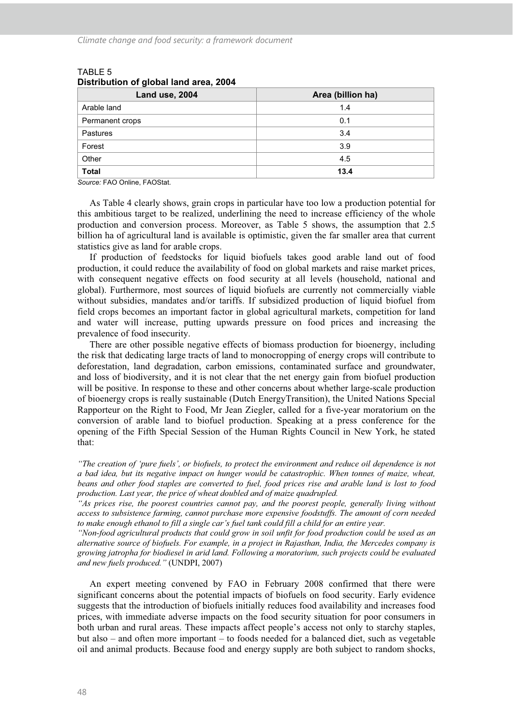| . .<br>Land use, 2004 | Area (billion ha) |
|-----------------------|-------------------|
| Arable land           | 1.4               |
| Permanent crops       | 0.1               |
| Pastures              | 3.4               |
| Forest                | 3.9               |
| Other                 | 4.5               |
| <b>Total</b>          | 13.4              |

## TABLE 5 **Distribution of global land area, 2004**

*Source:* FAO Online, FAOStat.

As Table 4 clearly shows, grain crops in particular have too low a production potential for this ambitious target to be realized, underlining the need to increase efficiency of the whole production and conversion process. Moreover, as Table 5 shows, the assumption that 2.5 billion ha of agricultural land is available is optimistic, given the far smaller area that current statistics give as land for arable crops.

If production of feedstocks for liquid biofuels takes good arable land out of food production, it could reduce the availability of food on global markets and raise market prices, with consequent negative effects on food security at all levels (household, national and global). Furthermore, most sources of liquid biofuels are currently not commercially viable without subsidies, mandates and/or tariffs. If subsidized production of liquid biofuel from field crops becomes an important factor in global agricultural markets, competition for land and water will increase, putting upwards pressure on food prices and increasing the prevalence of food insecurity.

There are other possible negative effects of biomass production for bioenergy, including the risk that dedicating large tracts of land to monocropping of energy crops will contribute to deforestation, land degradation, carbon emissions, contaminated surface and groundwater, and loss of biodiversity, and it is not clear that the net energy gain from biofuel production will be positive. In response to these and other concerns about whether large-scale production of bioenergy crops is really sustainable (Dutch EnergyTransition), the United Nations Special Rapporteur on the Right to Food, Mr Jean Ziegler, called for a five-year moratorium on the conversion of arable land to biofuel production. Speaking at a press conference for the opening of the Fifth Special Session of the Human Rights Council in New York, he stated that:

*"The creation of 'pure fuels', or biofuels, to protect the environment and reduce oil dependence is not a bad idea, but its negative impact on hunger would be catastrophic. When tonnes of maize, wheat, beans and other food staples are converted to fuel, food prices rise and arable land is lost to food production. Last year, the price of wheat doubled and of maize quadrupled.* 

*"As prices rise, the poorest countries cannot pay, and the poorest people, generally living without access to subsistence farming, cannot purchase more expensive foodstuffs. The amount of corn needed to make enough ethanol to fill a single car's fuel tank could fill a child for an entire year.* 

*"Non-food agricultural products that could grow in soil unfit for food production could be used as an alternative source of biofuels. For example, in a project in Rajasthan, India, the Mercedes company is growing jatropha for biodiesel in arid land. Following a moratorium, such projects could be evaluated and new fuels produced."* (UNDPI, 2007)

An expert meeting convened by FAO in February 2008 confirmed that there were significant concerns about the potential impacts of biofuels on food security. Early evidence suggests that the introduction of biofuels initially reduces food availability and increases food prices, with immediate adverse impacts on the food security situation for poor consumers in both urban and rural areas. These impacts affect people's access not only to starchy staples, but also – and often more important – to foods needed for a balanced diet, such as vegetable oil and animal products. Because food and energy supply are both subject to random shocks,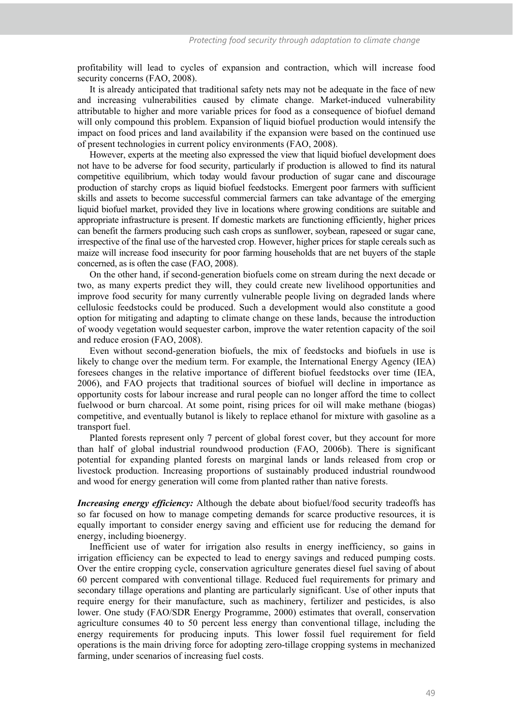profitability will lead to cycles of expansion and contraction, which will increase food security concerns (FAO, 2008).

It is already anticipated that traditional safety nets may not be adequate in the face of new and increasing vulnerabilities caused by climate change. Market-induced vulnerability attributable to higher and more variable prices for food as a consequence of biofuel demand will only compound this problem. Expansion of liquid biofuel production would intensify the impact on food prices and land availability if the expansion were based on the continued use of present technologies in current policy environments (FAO, 2008).

However, experts at the meeting also expressed the view that liquid biofuel development does not have to be adverse for food security, particularly if production is allowed to find its natural competitive equilibrium, which today would favour production of sugar cane and discourage production of starchy crops as liquid biofuel feedstocks. Emergent poor farmers with sufficient skills and assets to become successful commercial farmers can take advantage of the emerging liquid biofuel market, provided they live in locations where growing conditions are suitable and appropriate infrastructure is present. If domestic markets are functioning efficiently, higher prices can benefit the farmers producing such cash crops as sunflower, soybean, rapeseed or sugar cane, irrespective of the final use of the harvested crop. However, higher prices for staple cereals such as maize will increase food insecurity for poor farming households that are net buyers of the staple concerned, as is often the case (FAO, 2008).

On the other hand, if second-generation biofuels come on stream during the next decade or two, as many experts predict they will, they could create new livelihood opportunities and improve food security for many currently vulnerable people living on degraded lands where cellulosic feedstocks could be produced. Such a development would also constitute a good option for mitigating and adapting to climate change on these lands, because the introduction of woody vegetation would sequester carbon, improve the water retention capacity of the soil and reduce erosion (FAO, 2008).

Even without second-generation biofuels, the mix of feedstocks and biofuels in use is likely to change over the medium term. For example, the International Energy Agency (IEA) foresees changes in the relative importance of different biofuel feedstocks over time (IEA, 2006), and FAO projects that traditional sources of biofuel will decline in importance as opportunity costs for labour increase and rural people can no longer afford the time to collect fuelwood or burn charcoal. At some point, rising prices for oil will make methane (biogas) competitive, and eventually butanol is likely to replace ethanol for mixture with gasoline as a transport fuel.

Planted forests represent only 7 percent of global forest cover, but they account for more than half of global industrial roundwood production (FAO, 2006b). There is significant potential for expanding planted forests on marginal lands or lands released from crop or livestock production. Increasing proportions of sustainably produced industrial roundwood and wood for energy generation will come from planted rather than native forests.

*Increasing energy efficiency:* Although the debate about biofuel/food security tradeoffs has so far focused on how to manage competing demands for scarce productive resources, it is equally important to consider energy saving and efficient use for reducing the demand for energy, including bioenergy.

Inefficient use of water for irrigation also results in energy inefficiency, so gains in irrigation efficiency can be expected to lead to energy savings and reduced pumping costs. Over the entire cropping cycle, conservation agriculture generates diesel fuel saving of about 60 percent compared with conventional tillage. Reduced fuel requirements for primary and secondary tillage operations and planting are particularly significant. Use of other inputs that require energy for their manufacture, such as machinery, fertilizer and pesticides, is also lower. One study (FAO/SDR Energy Programme, 2000) estimates that overall, conservation agriculture consumes 40 to 50 percent less energy than conventional tillage, including the energy requirements for producing inputs. This lower fossil fuel requirement for field operations is the main driving force for adopting zero-tillage cropping systems in mechanized farming, under scenarios of increasing fuel costs.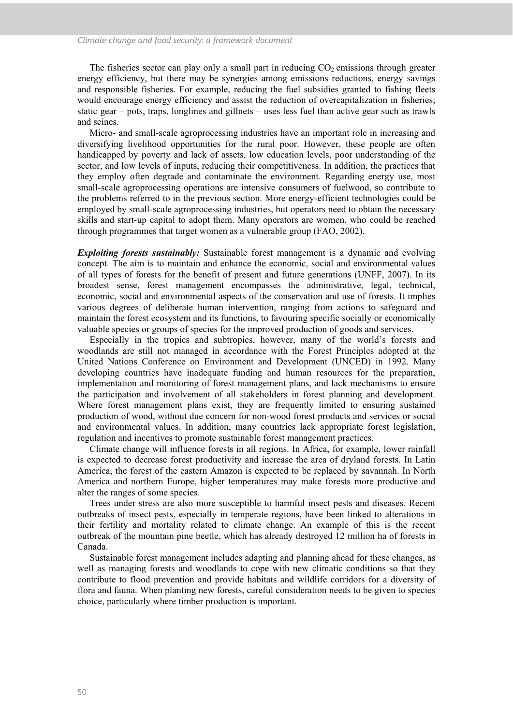The fisheries sector can play only a small part in reducing  $CO<sub>2</sub>$  emissions through greater energy efficiency, but there may be synergies among emissions reductions, energy savings and responsible fisheries. For example, reducing the fuel subsidies granted to fishing fleets would encourage energy efficiency and assist the reduction of overcapitalization in fisheries; static gear – pots, traps, longlines and gillnets – uses less fuel than active gear such as trawls and seines.

Micro- and small-scale agroprocessing industries have an important role in increasing and diversifying livelihood opportunities for the rural poor. However, these people are often handicapped by poverty and lack of assets, low education levels, poor understanding of the sector, and low levels of inputs, reducing their competitiveness. In addition, the practices that they employ often degrade and contaminate the environment. Regarding energy use, most small-scale agroprocessing operations are intensive consumers of fuelwood, so contribute to the problems referred to in the previous section. More energy-efficient technologies could be employed by small-scale agroprocessing industries, but operators need to obtain the necessary skills and start-up capital to adopt them. Many operators are women, who could be reached through programmes that target women as a vulnerable group (FAO, 2002).

*Exploiting forests sustainably:* Sustainable forest management is a dynamic and evolving concept. The aim is to maintain and enhance the economic, social and environmental values of all types of forests for the benefit of present and future generations (UNFF, 2007). In its broadest sense, forest management encompasses the administrative, legal, technical, economic, social and environmental aspects of the conservation and use of forests. It implies various degrees of deliberate human intervention, ranging from actions to safeguard and maintain the forest ecosystem and its functions, to favouring specific socially or economically valuable species or groups of species for the improved production of goods and services.

Especially in the tropics and subtropics, however, many of the world's forests and woodlands are still not managed in accordance with the Forest Principles adopted at the United Nations Conference on Environment and Development (UNCED) in 1992. Many developing countries have inadequate funding and human resources for the preparation, implementation and monitoring of forest management plans, and lack mechanisms to ensure the participation and involvement of all stakeholders in forest planning and development. Where forest management plans exist, they are frequently limited to ensuring sustained production of wood, without due concern for non-wood forest products and services or social and environmental values. In addition, many countries lack appropriate forest legislation, regulation and incentives to promote sustainable forest management practices.

Climate change will influence forests in all regions. In Africa, for example, lower rainfall is expected to decrease forest productivity and increase the area of dryland forests. In Latin America, the forest of the eastern Amazon is expected to be replaced by savannah. In North America and northern Europe, higher temperatures may make forests more productive and alter the ranges of some species.

Trees under stress are also more susceptible to harmful insect pests and diseases. Recent outbreaks of insect pests, especially in temperate regions, have been linked to alterations in their fertility and mortality related to climate change. An example of this is the recent outbreak of the mountain pine beetle, which has already destroyed 12 million ha of forests in Canada.

Sustainable forest management includes adapting and planning ahead for these changes, as well as managing forests and woodlands to cope with new climatic conditions so that they contribute to flood prevention and provide habitats and wildlife corridors for a diversity of flora and fauna. When planting new forests, careful consideration needs to be given to species choice, particularly where timber production is important.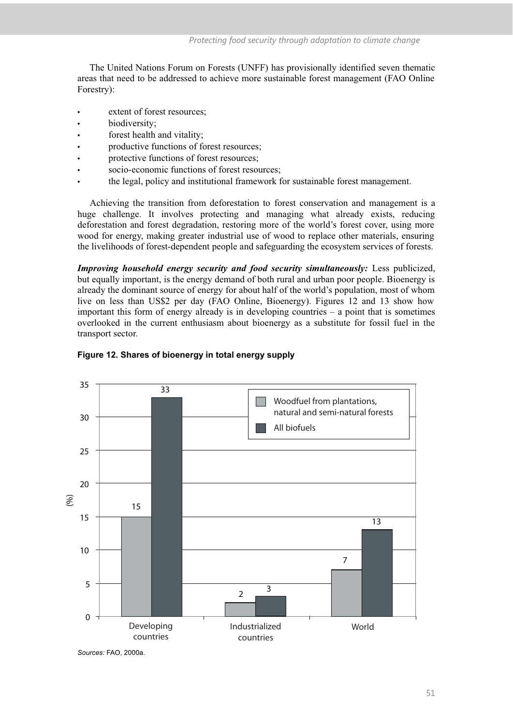The United Nations Forum on Forests (UNFF) has provisionally identified seven thematic areas that need to be addressed to achieve more sustainable forest management (FAO Online Forestry):

- extent of forest resources;
- biodiversity:
- forest health and vitality;
- productive functions of forest resources;
- protective functions of forest resources;
- socio-economic functions of forest resources;
- the legal, policy and institutional framework for sustainable forest management.

Achieving the transition from deforestation to forest conservation and management is a huge challenge. It involves protecting and managing what already exists, reducing deforestation and forest degradation, restoring more of the world's forest cover, using more wood for energy, making greater industrial use of wood to replace other materials, ensuring the livelihoods of forest-dependent people and safeguarding the ecosystem services of forests.

*Improving household energy security and food security simultaneously:* Less publicized, but equally important, is the energy demand of both rural and urban poor people. Bioenergy is already the dominant source of energy for about half of the world's population, most of whom live on less than US\$2 per day (FAO Online, Bioenergy). Figures 12 and 13 show how important this form of energy already is in developing countries – a point that is sometimes overlooked in the current enthusiasm about bioenergy as a substitute for fossil fuel in the transport sector.



#### **Figure 12. Shares of bioenergy in total energy supply**

*Sources:* FAO, 2000a.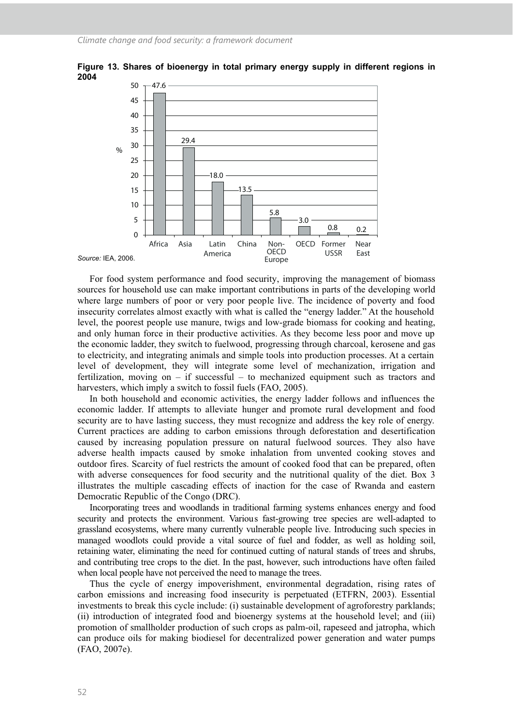

**Figure 13. Shares of bioenergy in total primary energy supply in different regions in 2004** 

For food system performance and food security, improving the management of biomass sources for household use can make important contributions in parts of the developing world where large numbers of poor or very poor people live. The incidence of poverty and food insecurity correlates almost exactly with what is called the "energy ladder." At the household level, the poorest people use manure, twigs and low-grade biomass for cooking and heating, and only human force in their productive activities. As they become less poor and move up the economic ladder, they switch to fuelwood, progressing through charcoal, kerosene and gas to electricity, and integrating animals and simple tools into production processes. At a certain level of development, they will integrate some level of mechanization, irrigation and fertilization, moving on – if successful – to mechanized equipment such as tractors and harvesters, which imply a switch to fossil fuels (FAO, 2005).

In both household and economic activities, the energy ladder follows and influences the economic ladder. If attempts to alleviate hunger and promote rural development and food security are to have lasting success, they must recognize and address the key role of energy. Current practices are adding to carbon emissions through deforestation and desertification caused by increasing population pressure on natural fuelwood sources. They also have adverse health impacts caused by smoke inhalation from unvented cooking stoves and outdoor fires. Scarcity of fuel restricts the amount of cooked food that can be prepared, often with adverse consequences for food security and the nutritional quality of the diet. Box 3 illustrates the multiple cascading effects of inaction for the case of Rwanda and eastern Democratic Republic of the Congo (DRC).

Incorporating trees and woodlands in traditional farming systems enhances energy and food security and protects the environment. Various fast-growing tree species are well-adapted to grassland ecosystems, where many currently vulnerable people live. Introducing such species in managed woodlots could provide a vital source of fuel and fodder, as well as holding soil, retaining water, eliminating the need for continued cutting of natural stands of trees and shrubs, and contributing tree crops to the diet. In the past, however, such introductions have often failed when local people have not perceived the need to manage the trees.

Thus the cycle of energy impoverishment, environmental degradation, rising rates of carbon emissions and increasing food insecurity is perpetuated (ETFRN, 2003). Essential investments to break this cycle include: (i) sustainable development of agroforestry parklands; (ii) introduction of integrated food and bioenergy systems at the household level; and (iii) promotion of smallholder production of such crops as palm-oil, rapeseed and jatropha, which can produce oils for making biodiesel for decentralized power generation and water pumps (FAO, 2007e).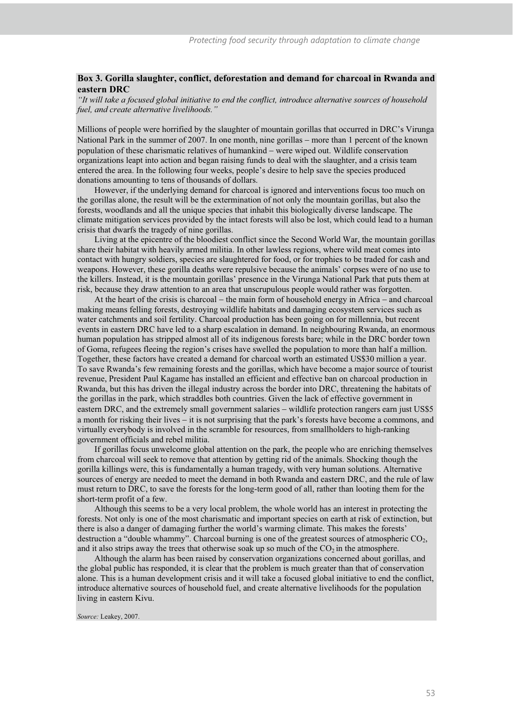#### **Box 3. Gorilla slaughter, conflict, deforestation and demand for charcoal in Rwanda and eastern DRC**

*"It will take a focused global initiative to end the conflict, introduce alternative sources of household fuel, and create alternative livelihoods."* 

Millions of people were horrified by the slaughter of mountain gorillas that occurred in DRC's Virunga National Park in the summer of 2007. In one month, nine gorillas – more than 1 percent of the known population of these charismatic relatives of humankind - were wiped out. Wildlife conservation organizations leapt into action and began raising funds to deal with the slaughter, and a crisis team entered the area. In the following four weeks, people's desire to help save the species produced donations amounting to tens of thousands of dollars.

However, if the underlying demand for charcoal is ignored and interventions focus too much on the gorillas alone, the result will be the extermination of not only the mountain gorillas, but also the forests, woodlands and all the unique species that inhabit this biologically diverse landscape. The climate mitigation services provided by the intact forests will also be lost, which could lead to a human crisis that dwarfs the tragedy of nine gorillas.

Living at the epicentre of the bloodiest conflict since the Second World War, the mountain gorillas share their habitat with heavily armed militia. In other lawless regions, where wild meat comes into contact with hungry soldiers, species are slaughtered for food, or for trophies to be traded for cash and weapons. However, these gorilla deaths were repulsive because the animals' corpses were of no use to the killers. Instead, it is the mountain gorillas' presence in the Virunga National Park that puts them at risk, because they draw attention to an area that unscrupulous people would rather was forgotten.

At the heart of the crisis is charcoal – the main form of household energy in Africa – and charcoal making means felling forests, destroying wildlife habitats and damaging ecosystem services such as water catchments and soil fertility. Charcoal production has been going on for millennia, but recent events in eastern DRC have led to a sharp escalation in demand. In neighbouring Rwanda, an enormous human population has stripped almost all of its indigenous forests bare; while in the DRC border town of Goma, refugees fleeing the region's crises have swelled the population to more than half a million. Together, these factors have created a demand for charcoal worth an estimated US\$30 million a year. To save Rwanda's few remaining forests and the gorillas, which have become a major source of tourist revenue, President Paul Kagame has installed an efficient and effective ban on charcoal production in Rwanda, but this has driven the illegal industry across the border into DRC, threatening the habitats of the gorillas in the park, which straddles both countries. Given the lack of effective government in eastern DRC, and the extremely small government salaries - wildlife protection rangers earn just US\$5 a month for risking their lives - it is not surprising that the park's forests have become a commons, and virtually everybody is involved in the scramble for resources, from smallholders to high-ranking government officials and rebel militia.

If gorillas focus unwelcome global attention on the park, the people who are enriching themselves from charcoal will seek to remove that attention by getting rid of the animals. Shocking though the gorilla killings were, this is fundamentally a human tragedy, with very human solutions. Alternative sources of energy are needed to meet the demand in both Rwanda and eastern DRC, and the rule of law must return to DRC, to save the forests for the long-term good of all, rather than looting them for the short-term profit of a few.

Although this seems to be a very local problem, the whole world has an interest in protecting the forests. Not only is one of the most charismatic and important species on earth at risk of extinction, but there is also a danger of damaging further the world's warming climate. This makes the forests' destruction a "double whammy". Charcoal burning is one of the greatest sources of atmospheric  $CO<sub>2</sub>$ , and it also strips away the trees that otherwise soak up so much of the  $CO<sub>2</sub>$  in the atmosphere.

Although the alarm has been raised by conservation organizations concerned about gorillas, and the global public has responded, it is clear that the problem is much greater than that of conservation alone. This is a human development crisis and it will take a focused global initiative to end the conflict, introduce alternative sources of household fuel, and create alternative livelihoods for the population living in eastern Kivu.

*Source:* Leakey, 2007.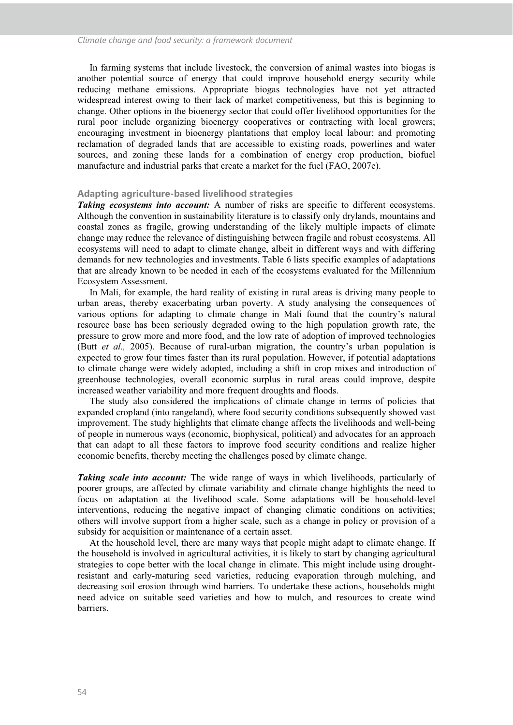In farming systems that include livestock, the conversion of animal wastes into biogas is another potential source of energy that could improve household energy security while reducing methane emissions. Appropriate biogas technologies have not yet attracted widespread interest owing to their lack of market competitiveness, but this is beginning to change. Other options in the bioenergy sector that could offer livelihood opportunities for the rural poor include organizing bioenergy cooperatives or contracting with local growers; encouraging investment in bioenergy plantations that employ local labour; and promoting reclamation of degraded lands that are accessible to existing roads, powerlines and water sources, and zoning these lands for a combination of energy crop production, biofuel manufacture and industrial parks that create a market for the fuel (FAO, 2007e).

#### **Adapting agriculture-based livelihood strategies**

*Taking ecosystems into account:* A number of risks are specific to different ecosystems. Although the convention in sustainability literature is to classify only drylands, mountains and coastal zones as fragile, growing understanding of the likely multiple impacts of climate change may reduce the relevance of distinguishing between fragile and robust ecosystems. All ecosystems will need to adapt to climate change, albeit in different ways and with differing demands for new technologies and investments. Table 6 lists specific examples of adaptations that are already known to be needed in each of the ecosystems evaluated for the Millennium Ecosystem Assessment.

In Mali, for example, the hard reality of existing in rural areas is driving many people to urban areas, thereby exacerbating urban poverty. A study analysing the consequences of various options for adapting to climate change in Mali found that the country's natural resource base has been seriously degraded owing to the high population growth rate, the pressure to grow more and more food, and the low rate of adoption of improved technologies (Butt *et al.,* 2005). Because of rural-urban migration, the country's urban population is expected to grow four times faster than its rural population. However, if potential adaptations to climate change were widely adopted, including a shift in crop mixes and introduction of greenhouse technologies, overall economic surplus in rural areas could improve, despite increased weather variability and more frequent droughts and floods.

The study also considered the implications of climate change in terms of policies that expanded cropland (into rangeland), where food security conditions subsequently showed vast improvement. The study highlights that climate change affects the livelihoods and well-being of people in numerous ways (economic, biophysical, political) and advocates for an approach that can adapt to all these factors to improve food security conditions and realize higher economic benefits, thereby meeting the challenges posed by climate change.

*Taking scale into account:* The wide range of ways in which livelihoods, particularly of poorer groups, are affected by climate variability and climate change highlights the need to focus on adaptation at the livelihood scale. Some adaptations will be household-level interventions, reducing the negative impact of changing climatic conditions on activities; others will involve support from a higher scale, such as a change in policy or provision of a subsidy for acquisition or maintenance of a certain asset.

At the household level, there are many ways that people might adapt to climate change. If the household is involved in agricultural activities, it is likely to start by changing agricultural strategies to cope better with the local change in climate. This might include using droughtresistant and early-maturing seed varieties, reducing evaporation through mulching, and decreasing soil erosion through wind barriers. To undertake these actions, households might need advice on suitable seed varieties and how to mulch, and resources to create wind barriers.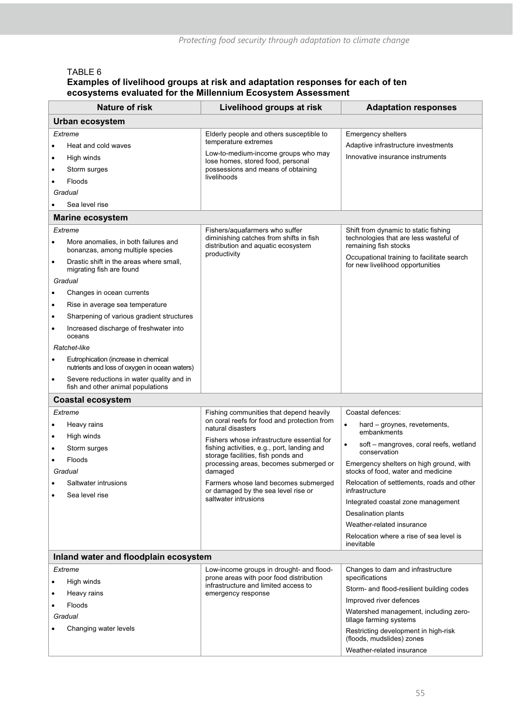# TABLE 6

## **Examples of livelihood groups at risk and adaptation responses for each of ten ecosystems evaluated for the Millennium Ecosystem Assessment**

|           | <b>Nature of risk</b>                                                                 | Livelihood groups at risk                                                           | <b>Adaptation responses</b>                                                    |
|-----------|---------------------------------------------------------------------------------------|-------------------------------------------------------------------------------------|--------------------------------------------------------------------------------|
|           | <b>Urban ecosystem</b>                                                                |                                                                                     |                                                                                |
|           | Extreme                                                                               |                                                                                     | Emergency shelters                                                             |
| ٠         | Heat and cold waves                                                                   | Elderly people and others susceptible to<br>temperature extremes                    | Adaptive infrastructure investments                                            |
|           | High winds                                                                            | Low-to-medium-income groups who may                                                 | Innovative insurance instruments                                               |
| $\bullet$ |                                                                                       | lose homes, stored food, personal                                                   |                                                                                |
| ٠         | Storm surges                                                                          | possessions and means of obtaining<br>livelihoods                                   |                                                                                |
|           | <b>Floods</b>                                                                         |                                                                                     |                                                                                |
|           | Gradual<br>Sea level rise                                                             |                                                                                     |                                                                                |
|           | <b>Marine ecosystem</b>                                                               |                                                                                     |                                                                                |
|           |                                                                                       | Fishers/aquafarmers who suffer                                                      |                                                                                |
|           | Extreme                                                                               | diminishing catches from shifts in fish                                             | Shift from dynamic to static fishing<br>technologies that are less wasteful of |
|           | More anomalies, in both failures and<br>bonanzas, among multiple species              | distribution and aquatic ecosystem<br>productivity                                  | remaining fish stocks<br>Occupational training to facilitate search            |
| $\bullet$ | Drastic shift in the areas where small,<br>migrating fish are found                   |                                                                                     | for new livelihood opportunities                                               |
|           | Gradual                                                                               |                                                                                     |                                                                                |
| $\bullet$ | Changes in ocean currents                                                             |                                                                                     |                                                                                |
| $\bullet$ | Rise in average sea temperature                                                       |                                                                                     |                                                                                |
| $\bullet$ | Sharpening of various gradient structures                                             |                                                                                     |                                                                                |
| ٠         | Increased discharge of freshwater into<br>oceans                                      |                                                                                     |                                                                                |
|           | Ratchet-like                                                                          |                                                                                     |                                                                                |
| $\bullet$ | Eutrophication (increase in chemical<br>nutrients and loss of oxygen in ocean waters) |                                                                                     |                                                                                |
| $\bullet$ | Severe reductions in water quality and in<br>fish and other animal populations        |                                                                                     |                                                                                |
|           | <b>Coastal ecosystem</b>                                                              |                                                                                     |                                                                                |
|           | Extreme                                                                               | Fishing communities that depend heavily                                             | Coastal defences:                                                              |
| ٠         | Heavy rains                                                                           | on coral reefs for food and protection from<br>natural disasters                    | hard - groynes, revetements,<br>$\bullet$                                      |
| $\bullet$ | High winds                                                                            | Fishers whose infrastructure essential for                                          | embankments                                                                    |
| ٠         | Storm surges                                                                          | fishing activities, e.g., port, landing and                                         | soft - mangroves, coral reefs, wetland<br>conservation                         |
|           | Floods                                                                                | storage facilities, fish ponds and<br>processing areas, becomes submerged or        | Emergency shelters on high ground, with                                        |
|           | Gradual                                                                               | damaged                                                                             | stocks of food, water and medicine                                             |
| $\bullet$ | Saltwater intrusions<br>Sea level rise                                                | Farmers whose land becomes submerged<br>or damaged by the sea level rise or         | Relocation of settlements, roads and other<br>infrastructure                   |
|           |                                                                                       | saltwater intrusions                                                                | Integrated coastal zone management                                             |
|           |                                                                                       |                                                                                     | Desalination plants                                                            |
|           |                                                                                       |                                                                                     | Weather-related insurance                                                      |
|           |                                                                                       |                                                                                     | Relocation where a rise of sea level is<br>inevitable                          |
|           | Inland water and floodplain ecosystem                                                 |                                                                                     |                                                                                |
|           | Extreme                                                                               | Low-income groups in drought- and flood-<br>prone areas with poor food distribution | Changes to dam and infrastructure<br>specifications                            |
|           | High winds                                                                            | infrastructure and limited access to                                                | Storm- and flood-resilient building codes                                      |
| ٠         | Heavy rains                                                                           | emergency response                                                                  | Improved river defences                                                        |
|           | Floods<br>Gradual                                                                     |                                                                                     | Watershed management, including zero-<br>tillage farming systems               |
|           | Changing water levels                                                                 |                                                                                     | Restricting development in high-risk<br>(floods, mudslides) zones              |
|           |                                                                                       |                                                                                     | Weather-related insurance                                                      |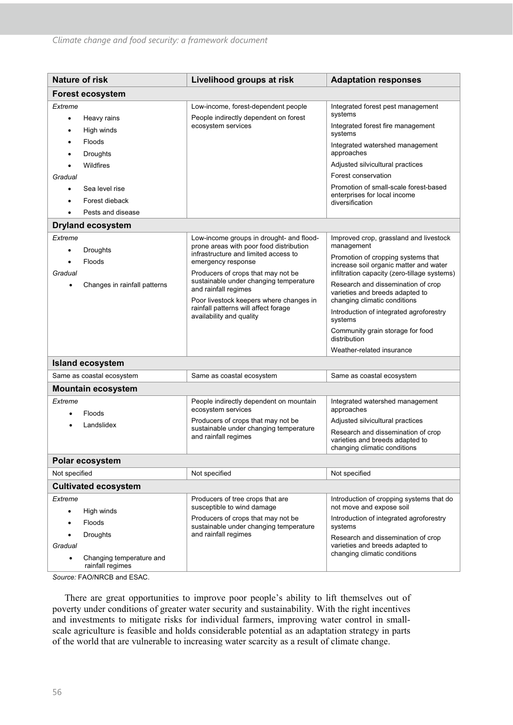| <b>Nature of risk</b>                                                                                                         | Livelihood groups at risk                                                                                                                                                                                                                                                                                                                                                | <b>Adaptation responses</b>                                                                                                                                                                                                                                                                                                                                                                                                          |  |  |  |
|-------------------------------------------------------------------------------------------------------------------------------|--------------------------------------------------------------------------------------------------------------------------------------------------------------------------------------------------------------------------------------------------------------------------------------------------------------------------------------------------------------------------|--------------------------------------------------------------------------------------------------------------------------------------------------------------------------------------------------------------------------------------------------------------------------------------------------------------------------------------------------------------------------------------------------------------------------------------|--|--|--|
| <b>Forest ecosystem</b>                                                                                                       |                                                                                                                                                                                                                                                                                                                                                                          |                                                                                                                                                                                                                                                                                                                                                                                                                                      |  |  |  |
| Extreme<br>Heavy rains                                                                                                        | Low-income, forest-dependent people<br>People indirectly dependent on forest<br>ecosystem services                                                                                                                                                                                                                                                                       | Integrated forest pest management<br>systems<br>Integrated forest fire management                                                                                                                                                                                                                                                                                                                                                    |  |  |  |
| High winds<br>Floods<br>Droughts<br>Wildfires<br>Gradual                                                                      |                                                                                                                                                                                                                                                                                                                                                                          | systems<br>Integrated watershed management<br>approaches<br>Adjusted silvicultural practices<br>Forest conservation                                                                                                                                                                                                                                                                                                                  |  |  |  |
| Sea level rise<br>Forest dieback<br>Pests and disease                                                                         |                                                                                                                                                                                                                                                                                                                                                                          | Promotion of small-scale forest-based<br>enterprises for local income<br>diversification                                                                                                                                                                                                                                                                                                                                             |  |  |  |
| <b>Dryland ecosystem</b>                                                                                                      |                                                                                                                                                                                                                                                                                                                                                                          |                                                                                                                                                                                                                                                                                                                                                                                                                                      |  |  |  |
| Extreme<br>Droughts<br>$\bullet$<br>Floods<br>Gradual<br>Changes in rainfall patterns<br>$\bullet$<br><b>Island ecosystem</b> | Low-income groups in drought- and flood-<br>prone areas with poor food distribution<br>infrastructure and limited access to<br>emergency response<br>Producers of crops that may not be<br>sustainable under changing temperature<br>and rainfall regimes<br>Poor livestock keepers where changes in<br>rainfall patterns will affect forage<br>availability and quality | Improved crop, grassland and livestock<br>management<br>Promotion of cropping systems that<br>increase soil organic matter and water<br>infiltration capacity (zero-tillage systems)<br>Research and dissemination of crop<br>varieties and breeds adapted to<br>changing climatic conditions<br>Introduction of integrated agroforestry<br>systems<br>Community grain storage for food<br>distribution<br>Weather-related insurance |  |  |  |
| Same as coastal ecosystem                                                                                                     | Same as coastal ecosystem                                                                                                                                                                                                                                                                                                                                                | Same as coastal ecosystem                                                                                                                                                                                                                                                                                                                                                                                                            |  |  |  |
| <b>Mountain ecosystem</b>                                                                                                     |                                                                                                                                                                                                                                                                                                                                                                          |                                                                                                                                                                                                                                                                                                                                                                                                                                      |  |  |  |
| Extreme<br>Floods<br>Landslidex                                                                                               | People indirectly dependent on mountain<br>ecosystem services<br>Producers of crops that may not be<br>sustainable under changing temperature<br>and rainfall regimes                                                                                                                                                                                                    | Integrated watershed management<br>approaches<br>Adjusted silvicultural practices<br>Research and dissemination of crop<br>varieties and breeds adapted to<br>changing climatic conditions                                                                                                                                                                                                                                           |  |  |  |
| Polar ecosystem                                                                                                               |                                                                                                                                                                                                                                                                                                                                                                          |                                                                                                                                                                                                                                                                                                                                                                                                                                      |  |  |  |
| Not specified                                                                                                                 | Not specified                                                                                                                                                                                                                                                                                                                                                            | Not specified                                                                                                                                                                                                                                                                                                                                                                                                                        |  |  |  |
| <b>Cultivated ecosystem</b>                                                                                                   |                                                                                                                                                                                                                                                                                                                                                                          |                                                                                                                                                                                                                                                                                                                                                                                                                                      |  |  |  |
| Extreme<br>High winds<br>$\bullet$<br>Floods<br>Droughts<br>Gradual<br>Changing temperature and<br>rainfall regimes           | Producers of tree crops that are<br>susceptible to wind damage<br>Producers of crops that may not be<br>sustainable under changing temperature<br>and rainfall regimes                                                                                                                                                                                                   | Introduction of cropping systems that do<br>not move and expose soil<br>Introduction of integrated agroforestry<br>systems<br>Research and dissemination of crop<br>varieties and breeds adapted to<br>changing climatic conditions                                                                                                                                                                                                  |  |  |  |

*Source:* FAO/NRCB and ESAC.

There are great opportunities to improve poor people's ability to lift themselves out of poverty under conditions of greater water security and sustainability. With the right incentives and investments to mitigate risks for individual farmers, improving water control in smallscale agriculture is feasible and holds considerable potential as an adaptation strategy in parts of the world that are vulnerable to increasing water scarcity as a result of climate change.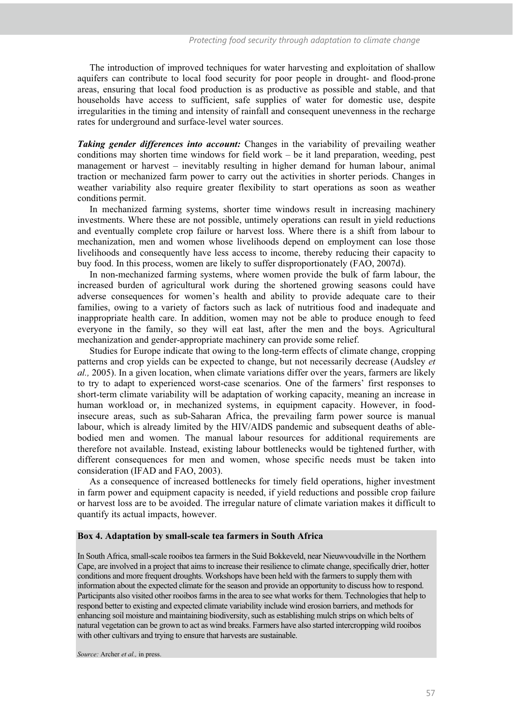The introduction of improved techniques for water harvesting and exploitation of shallow aquifers can contribute to local food security for poor people in drought- and flood-prone areas, ensuring that local food production is as productive as possible and stable, and that households have access to sufficient, safe supplies of water for domestic use, despite irregularities in the timing and intensity of rainfall and consequent unevenness in the recharge rates for underground and surface-level water sources.

*Taking gender differences into account:* Changes in the variability of prevailing weather conditions may shorten time windows for field work – be it land preparation, weeding, pest management or harvest – inevitably resulting in higher demand for human labour, animal traction or mechanized farm power to carry out the activities in shorter periods. Changes in weather variability also require greater flexibility to start operations as soon as weather conditions permit.

In mechanized farming systems, shorter time windows result in increasing machinery investments. Where these are not possible, untimely operations can result in yield reductions and eventually complete crop failure or harvest loss. Where there is a shift from labour to mechanization, men and women whose livelihoods depend on employment can lose those livelihoods and consequently have less access to income, thereby reducing their capacity to buy food. In this process, women are likely to suffer disproportionately (FAO, 2007d).

In non-mechanized farming systems, where women provide the bulk of farm labour, the increased burden of agricultural work during the shortened growing seasons could have adverse consequences for women's health and ability to provide adequate care to their families, owing to a variety of factors such as lack of nutritious food and inadequate and inappropriate health care. In addition, women may not be able to produce enough to feed everyone in the family, so they will eat last, after the men and the boys. Agricultural mechanization and gender-appropriate machinery can provide some relief.

Studies for Europe indicate that owing to the long-term effects of climate change, cropping patterns and crop yields can be expected to change, but not necessarily decrease (Audsley *et al.,* 2005). In a given location, when climate variations differ over the years, farmers are likely to try to adapt to experienced worst-case scenarios. One of the farmers' first responses to short-term climate variability will be adaptation of working capacity, meaning an increase in human workload or, in mechanized systems, in equipment capacity. However, in foodinsecure areas, such as sub-Saharan Africa, the prevailing farm power source is manual labour, which is already limited by the HIV/AIDS pandemic and subsequent deaths of ablebodied men and women. The manual labour resources for additional requirements are therefore not available. Instead, existing labour bottlenecks would be tightened further, with different consequences for men and women, whose specific needs must be taken into consideration (IFAD and FAO, 2003).

As a consequence of increased bottlenecks for timely field operations, higher investment in farm power and equipment capacity is needed, if yield reductions and possible crop failure or harvest loss are to be avoided. The irregular nature of climate variation makes it difficult to quantify its actual impacts, however.

#### **Box 4. Adaptation by small-scale tea farmers in South Africa**

In South Africa, small-scale rooibos tea farmers in the Suid Bokkeveld, near Nieuwvoudville in the Northern Cape, are involved in a project that aims to increase their resilience to climate change, specifically drier, hotter conditions and more frequent droughts. Workshops have been held with the farmers to supply them with information about the expected climate for the season and provide an opportunity to discuss how to respond. Participants also visited other rooibos farms in the area to see what works for them. Technologies that help to respond better to existing and expected climate variability include wind erosion barriers, and methods for enhancing soil moisture and maintaining biodiversity, such as establishing mulch strips on which belts of natural vegetation can be grown to act as wind breaks. Farmers have also started intercropping wild rooibos with other cultivars and trying to ensure that harvests are sustainable.

*Source:* Archer *et al.,* in press.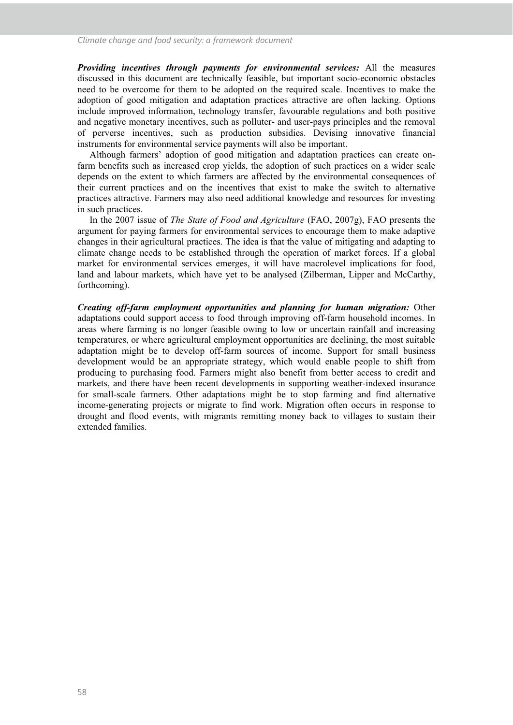*Providing incentives through payments for environmental services:* All the measures discussed in this document are technically feasible, but important socio-economic obstacles need to be overcome for them to be adopted on the required scale. Incentives to make the adoption of good mitigation and adaptation practices attractive are often lacking. Options include improved information, technology transfer, favourable regulations and both positive and negative monetary incentives, such as polluter- and user-pays principles and the removal of perverse incentives, such as production subsidies. Devising innovative financial instruments for environmental service payments will also be important.

Although farmers' adoption of good mitigation and adaptation practices can create onfarm benefits such as increased crop yields, the adoption of such practices on a wider scale depends on the extent to which farmers are affected by the environmental consequences of their current practices and on the incentives that exist to make the switch to alternative practices attractive. Farmers may also need additional knowledge and resources for investing in such practices.

In the 2007 issue of *The State of Food and Agriculture* (FAO, 2007g), FAO presents the argument for paying farmers for environmental services to encourage them to make adaptive changes in their agricultural practices. The idea is that the value of mitigating and adapting to climate change needs to be established through the operation of market forces. If a global market for environmental services emerges, it will have macrolevel implications for food, land and labour markets, which have yet to be analysed (Zilberman, Lipper and McCarthy, forthcoming).

*Creating off-farm employment opportunities and planning for human migration:* Other adaptations could support access to food through improving off-farm household incomes. In areas where farming is no longer feasible owing to low or uncertain rainfall and increasing temperatures, or where agricultural employment opportunities are declining, the most suitable adaptation might be to develop off-farm sources of income. Support for small business development would be an appropriate strategy, which would enable people to shift from producing to purchasing food. Farmers might also benefit from better access to credit and markets, and there have been recent developments in supporting weather-indexed insurance for small-scale farmers. Other adaptations might be to stop farming and find alternative income-generating projects or migrate to find work. Migration often occurs in response to drought and flood events, with migrants remitting money back to villages to sustain their extended families.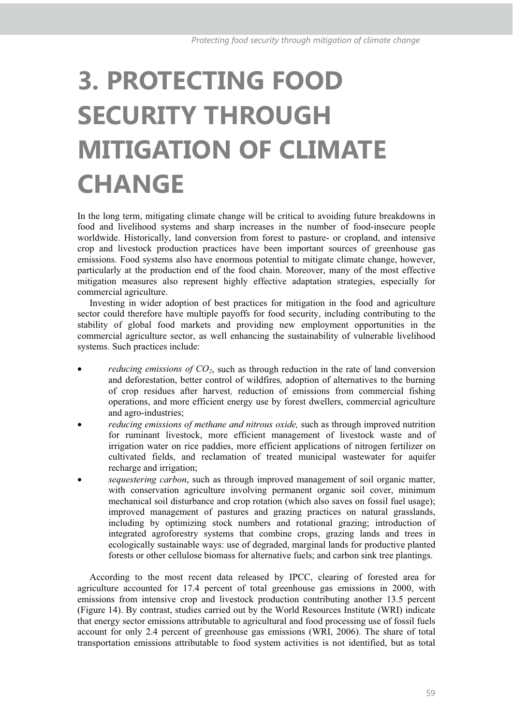# **3. PROTECTING FOOD SECURITY THROUGH MITIGATION OF CLIMATE CHANGE**

In the long term, mitigating climate change will be critical to avoiding future breakdowns in food and livelihood systems and sharp increases in the number of food-insecure people worldwide. Historically, land conversion from forest to pasture- or cropland, and intensive crop and livestock production practices have been important sources of greenhouse gas emissions. Food systems also have enormous potential to mitigate climate change, however, particularly at the production end of the food chain. Moreover, many of the most effective mitigation measures also represent highly effective adaptation strategies, especially for commercial agriculture.

Investing in wider adoption of best practices for mitigation in the food and agriculture sector could therefore have multiple payoffs for food security, including contributing to the stability of global food markets and providing new employment opportunities in the commercial agriculture sector, as well enhancing the sustainability of vulnerable livelihood systems. Such practices include:

- *reducing emissions of CO<sub>2</sub>*, such as through reduction in the rate of land conversion and deforestation, better control of wildfires*,* adoption of alternatives to the burning of crop residues after harvest*,* reduction of emissions from commercial fishing operations, and more efficient energy use by forest dwellers, commercial agriculture and agro-industries;
- *reducing emissions of methane and nitrous oxide,* such as through improved nutrition for ruminant livestock, more efficient management of livestock waste and of irrigation water on rice paddies, more efficient applications of nitrogen fertilizer on cultivated fields, and reclamation of treated municipal wastewater for aquifer recharge and irrigation;
- *sequestering carbon*, such as through improved management of soil organic matter, with conservation agriculture involving permanent organic soil cover, minimum mechanical soil disturbance and crop rotation (which also saves on fossil fuel usage); improved management of pastures and grazing practices on natural grasslands, including by optimizing stock numbers and rotational grazing; introduction of integrated agroforestry systems that combine crops, grazing lands and trees in ecologically sustainable ways: use of degraded, marginal lands for productive planted forests or other cellulose biomass for alternative fuels; and carbon sink tree plantings.

According to the most recent data released by IPCC, clearing of forested area for agriculture accounted for 17.4 percent of total greenhouse gas emissions in 2000, with emissions from intensive crop and livestock production contributing another 13.5 percent (Figure 14). By contrast, studies carried out by the World Resources Institute (WRI) indicate that energy sector emissions attributable to agricultural and food processing use of fossil fuels account for only 2.4 percent of greenhouse gas emissions (WRI, 2006). The share of total transportation emissions attributable to food system activities is not identified, but as total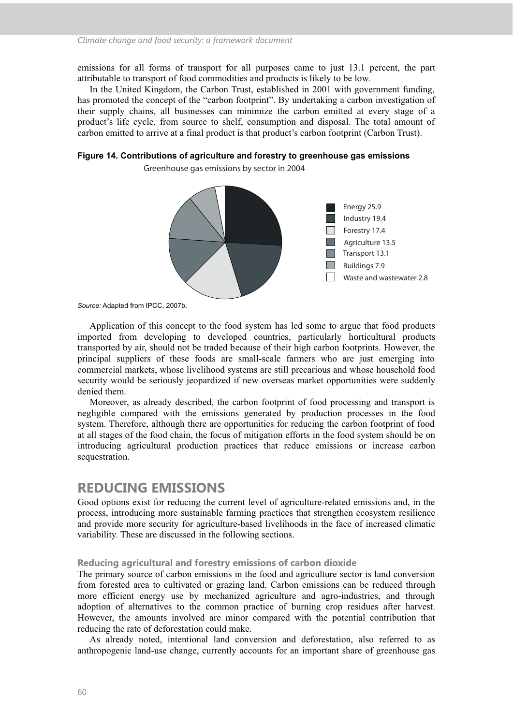emissions for all forms of transport for all purposes came to just 13.1 percent, the part attributable to transport of food commodities and products is likely to be low.

In the United Kingdom, the Carbon Trust, established in 2001 with government funding, has promoted the concept of the "carbon footprint". By undertaking a carbon investigation of their supply chains, all businesses can minimize the carbon emitted at every stage of a product's life cycle, from source to shelf, consumption and disposal. The total amount of carbon emitted to arrive at a final product is that product's carbon footprint (Carbon Trust).

#### **Figure 14. Contributions of agriculture and forestry to greenhouse gas emissions**

**Greenhouse gas emissions by sector in 2004**



*Source:* Adapted from IPCC, 2007b.

Application of this concept to the food system has led some to argue that food products imported from developing to developed countries, particularly horticultural products transported by air, should not be traded because of their high carbon footprints. However, the principal suppliers of these foods are small-scale farmers who are just emerging into commercial markets, whose livelihood systems are still precarious and whose household food security would be seriously jeopardized if new overseas market opportunities were suddenly denied them.

Moreover, as already described, the carbon footprint of food processing and transport is negligible compared with the emissions generated by production processes in the food system. Therefore, although there are opportunities for reducing the carbon footprint of food at all stages of the food chain, the focus of mitigation efforts in the food system should be on introducing agricultural production practices that reduce emissions or increase carbon sequestration.

### **REDUCING EMISSIONS**

Good options exist for reducing the current level of agriculture-related emissions and, in the process, introducing more sustainable farming practices that strengthen ecosystem resilience and provide more security for agriculture-based livelihoods in the face of increased climatic variability. These are discussed in the following sections.

#### **Reducing agricultural and forestry emissions of carbon dioxide**

The primary source of carbon emissions in the food and agriculture sector is land conversion from forested area to cultivated or grazing land. Carbon emissions can be reduced through more efficient energy use by mechanized agriculture and agro-industries, and through adoption of alternatives to the common practice of burning crop residues after harvest. However, the amounts involved are minor compared with the potential contribution that reducing the rate of deforestation could make.

As already noted, intentional land conversion and deforestation, also referred to as anthropogenic land-use change, currently accounts for an important share of greenhouse gas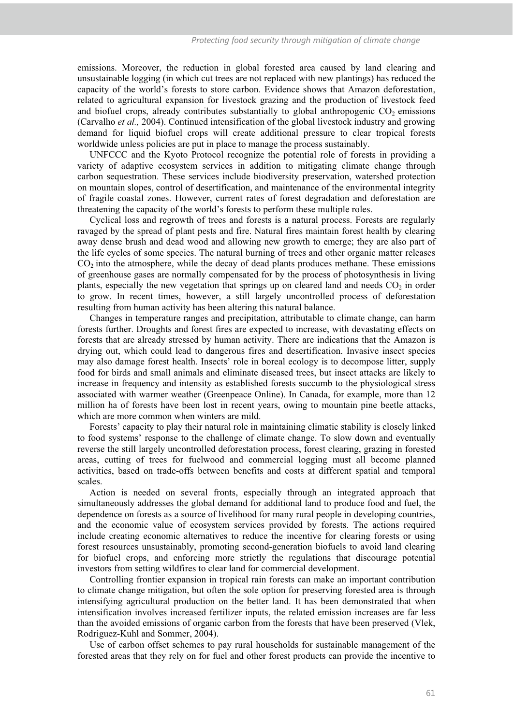emissions. Moreover, the reduction in global forested area caused by land clearing and unsustainable logging (in which cut trees are not replaced with new plantings) has reduced the capacity of the world's forests to store carbon. Evidence shows that Amazon deforestation, related to agricultural expansion for livestock grazing and the production of livestock feed and biofuel crops, already contributes substantially to global anthropogenic  $CO<sub>2</sub>$  emissions (Carvalho *et al.,* 2004). Continued intensification of the global livestock industry and growing demand for liquid biofuel crops will create additional pressure to clear tropical forests worldwide unless policies are put in place to manage the process sustainably.

UNFCCC and the Kyoto Protocol recognize the potential role of forests in providing a variety of adaptive ecosystem services in addition to mitigating climate change through carbon sequestration. These services include biodiversity preservation, watershed protection on mountain slopes, control of desertification, and maintenance of the environmental integrity of fragile coastal zones. However, current rates of forest degradation and deforestation are threatening the capacity of the world's forests to perform these multiple roles.

Cyclical loss and regrowth of trees and forests is a natural process. Forests are regularly ravaged by the spread of plant pests and fire. Natural fires maintain forest health by clearing away dense brush and dead wood and allowing new growth to emerge; they are also part of the life cycles of some species. The natural burning of trees and other organic matter releases  $CO<sub>2</sub>$  into the atmosphere, while the decay of dead plants produces methane. These emissions of greenhouse gases are normally compensated for by the process of photosynthesis in living plants, especially the new vegetation that springs up on cleared land and needs  $CO<sub>2</sub>$  in order to grow. In recent times, however, a still largely uncontrolled process of deforestation resulting from human activity has been altering this natural balance.

Changes in temperature ranges and precipitation, attributable to climate change, can harm forests further. Droughts and forest fires are expected to increase, with devastating effects on forests that are already stressed by human activity. There are indications that the Amazon is drying out, which could lead to dangerous fires and desertification. Invasive insect species may also damage forest health. Insects' role in boreal ecology is to decompose litter, supply food for birds and small animals and eliminate diseased trees, but insect attacks are likely to increase in frequency and intensity as established forests succumb to the physiological stress associated with warmer weather (Greenpeace Online). In Canada, for example, more than 12 million ha of forests have been lost in recent years, owing to mountain pine beetle attacks, which are more common when winters are mild.

Forests' capacity to play their natural role in maintaining climatic stability is closely linked to food systems' response to the challenge of climate change. To slow down and eventually reverse the still largely uncontrolled deforestation process, forest clearing, grazing in forested areas, cutting of trees for fuelwood and commercial logging must all become planned activities, based on trade-offs between benefits and costs at different spatial and temporal scales.

Action is needed on several fronts, especially through an integrated approach that simultaneously addresses the global demand for additional land to produce food and fuel, the dependence on forests as a source of livelihood for many rural people in developing countries, and the economic value of ecosystem services provided by forests. The actions required include creating economic alternatives to reduce the incentive for clearing forests or using forest resources unsustainably, promoting second-generation biofuels to avoid land clearing for biofuel crops, and enforcing more strictly the regulations that discourage potential investors from setting wildfires to clear land for commercial development.

Controlling frontier expansion in tropical rain forests can make an important contribution to climate change mitigation, but often the sole option for preserving forested area is through intensifying agricultural production on the better land. It has been demonstrated that when intensification involves increased fertilizer inputs, the related emission increases are far less than the avoided emissions of organic carbon from the forests that have been preserved (Vlek, Rodriguez-Kuhl and Sommer, 2004).

Use of carbon offset schemes to pay rural households for sustainable management of the forested areas that they rely on for fuel and other forest products can provide the incentive to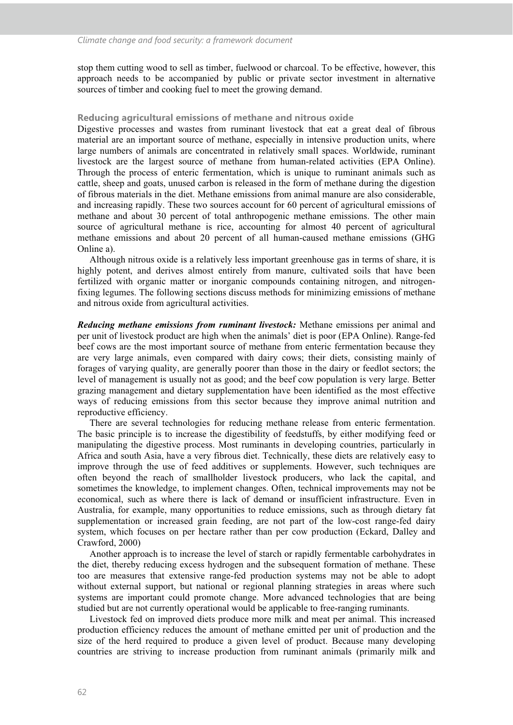stop them cutting wood to sell as timber, fuelwood or charcoal. To be effective, however, this approach needs to be accompanied by public or private sector investment in alternative sources of timber and cooking fuel to meet the growing demand.

#### **Reducing agricultural emissions of methane and nitrous oxide**

Digestive processes and wastes from ruminant livestock that eat a great deal of fibrous material are an important source of methane, especially in intensive production units, where large numbers of animals are concentrated in relatively small spaces. Worldwide, ruminant livestock are the largest source of methane from human-related activities (EPA Online). Through the process of enteric fermentation, which is unique to ruminant animals such as cattle, sheep and goats, unused carbon is released in the form of methane during the digestion of fibrous materials in the diet. Methane emissions from animal manure are also considerable, and increasing rapidly. These two sources account for 60 percent of agricultural emissions of methane and about 30 percent of total anthropogenic methane emissions. The other main source of agricultural methane is rice, accounting for almost 40 percent of agricultural methane emissions and about 20 percent of all human-caused methane emissions (GHG Online a).

Although nitrous oxide is a relatively less important greenhouse gas in terms of share, it is highly potent, and derives almost entirely from manure, cultivated soils that have been fertilized with organic matter or inorganic compounds containing nitrogen, and nitrogenfixing legumes. The following sections discuss methods for minimizing emissions of methane and nitrous oxide from agricultural activities.

*Reducing methane emissions from ruminant livestock:* Methane emissions per animal and per unit of livestock product are high when the animals' diet is poor (EPA Online). Range-fed beef cows are the most important source of methane from enteric fermentation because they are very large animals, even compared with dairy cows; their diets, consisting mainly of forages of varying quality, are generally poorer than those in the dairy or feedlot sectors; the level of management is usually not as good; and the beef cow population is very large. Better grazing management and dietary supplementation have been identified as the most effective ways of reducing emissions from this sector because they improve animal nutrition and reproductive efficiency.

There are several technologies for reducing methane release from enteric fermentation. The basic principle is to increase the digestibility of feedstuffs, by either modifying feed or manipulating the digestive process. Most ruminants in developing countries, particularly in Africa and south Asia, have a very fibrous diet. Technically, these diets are relatively easy to improve through the use of feed additives or supplements. However, such techniques are often beyond the reach of smallholder livestock producers, who lack the capital, and sometimes the knowledge, to implement changes. Often, technical improvements may not be economical, such as where there is lack of demand or insufficient infrastructure. Even in Australia, for example, many opportunities to reduce emissions, such as through dietary fat supplementation or increased grain feeding, are not part of the low-cost range-fed dairy system, which focuses on per hectare rather than per cow production (Eckard, Dalley and Crawford, 2000)

Another approach is to increase the level of starch or rapidly fermentable carbohydrates in the diet, thereby reducing excess hydrogen and the subsequent formation of methane. These too are measures that extensive range-fed production systems may not be able to adopt without external support, but national or regional planning strategies in areas where such systems are important could promote change. More advanced technologies that are being studied but are not currently operational would be applicable to free-ranging ruminants.

Livestock fed on improved diets produce more milk and meat per animal. This increased production efficiency reduces the amount of methane emitted per unit of production and the size of the herd required to produce a given level of product. Because many developing countries are striving to increase production from ruminant animals (primarily milk and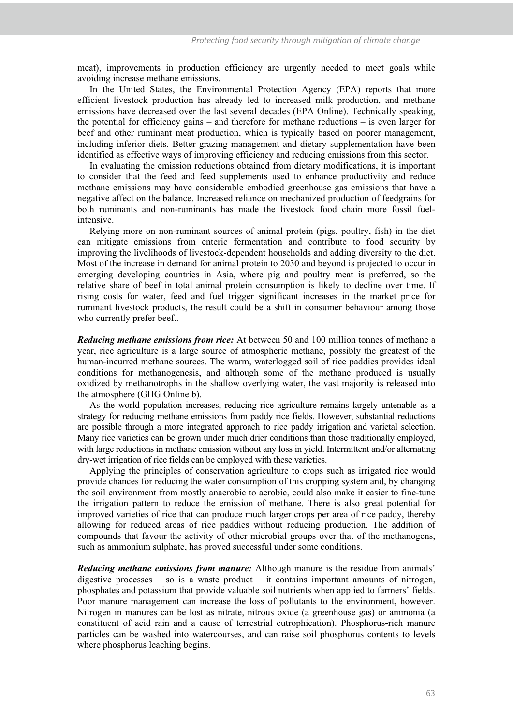meat), improvements in production efficiency are urgently needed to meet goals while avoiding increase methane emissions.

In the United States, the Environmental Protection Agency (EPA) reports that more efficient livestock production has already led to increased milk production, and methane emissions have decreased over the last several decades (EPA Online). Technically speaking, the potential for efficiency gains – and therefore for methane reductions – is even larger for beef and other ruminant meat production, which is typically based on poorer management, including inferior diets. Better grazing management and dietary supplementation have been identified as effective ways of improving efficiency and reducing emissions from this sector.

In evaluating the emission reductions obtained from dietary modifications, it is important to consider that the feed and feed supplements used to enhance productivity and reduce methane emissions may have considerable embodied greenhouse gas emissions that have a negative affect on the balance. Increased reliance on mechanized production of feedgrains for both ruminants and non-ruminants has made the livestock food chain more fossil fuelintensive.

Relying more on non-ruminant sources of animal protein (pigs, poultry, fish) in the diet can mitigate emissions from enteric fermentation and contribute to food security by improving the livelihoods of livestock-dependent households and adding diversity to the diet. Most of the increase in demand for animal protein to 2030 and beyond is projected to occur in emerging developing countries in Asia, where pig and poultry meat is preferred, so the relative share of beef in total animal protein consumption is likely to decline over time. If rising costs for water, feed and fuel trigger significant increases in the market price for ruminant livestock products, the result could be a shift in consumer behaviour among those who currently prefer beef..

*Reducing methane emissions from rice:* At between 50 and 100 million tonnes of methane a year, rice agriculture is a large source of atmospheric methane, possibly the greatest of the human-incurred methane sources. The warm, waterlogged soil of rice paddies provides ideal conditions for methanogenesis, and although some of the methane produced is usually oxidized by methanotrophs in the shallow overlying water, the vast majority is released into the atmosphere (GHG Online b).

As the world population increases, reducing rice agriculture remains largely untenable as a strategy for reducing methane emissions from paddy rice fields. However, substantial reductions are possible through a more integrated approach to rice paddy irrigation and varietal selection. Many rice varieties can be grown under much drier conditions than those traditionally employed, with large reductions in methane emission without any loss in yield. Intermittent and/or alternating dry-wet irrigation of rice fields can be employed with these varieties.

Applying the principles of conservation agriculture to crops such as irrigated rice would provide chances for reducing the water consumption of this cropping system and, by changing the soil environment from mostly anaerobic to aerobic, could also make it easier to fine-tune the irrigation pattern to reduce the emission of methane. There is also great potential for improved varieties of rice that can produce much larger crops per area of rice paddy, thereby allowing for reduced areas of rice paddies without reducing production. The addition of compounds that favour the activity of other microbial groups over that of the methanogens, such as ammonium sulphate, has proved successful under some conditions.

*Reducing methane emissions from manure:* Although manure is the residue from animals' digestive processes – so is a waste product – it contains important amounts of nitrogen, phosphates and potassium that provide valuable soil nutrients when applied to farmers' fields. Poor manure management can increase the loss of pollutants to the environment, however. Nitrogen in manures can be lost as nitrate, nitrous oxide (a greenhouse gas) or ammonia (a constituent of acid rain and a cause of terrestrial eutrophication). Phosphorus-rich manure particles can be washed into watercourses, and can raise soil phosphorus contents to levels where phosphorus leaching begins.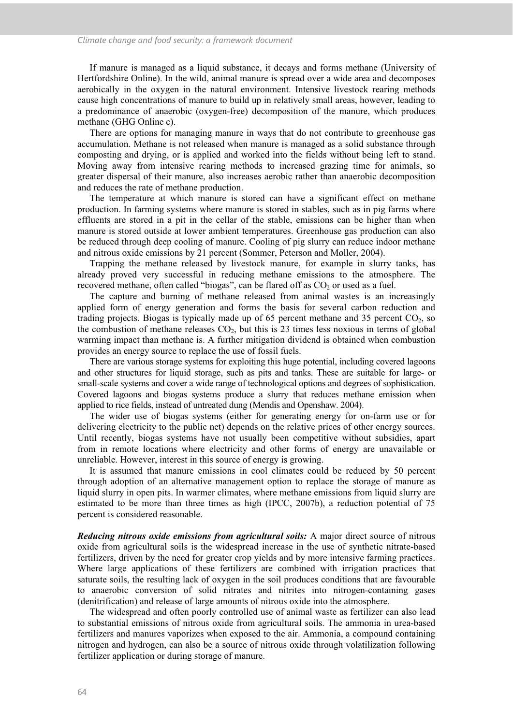If manure is managed as a liquid substance, it decays and forms methane (University of Hertfordshire Online). In the wild, animal manure is spread over a wide area and decomposes aerobically in the oxygen in the natural environment. Intensive livestock rearing methods cause high concentrations of manure to build up in relatively small areas, however, leading to a predominance of anaerobic (oxygen-free) decomposition of the manure, which produces methane (GHG Online c).

There are options for managing manure in ways that do not contribute to greenhouse gas accumulation. Methane is not released when manure is managed as a solid substance through composting and drying, or is applied and worked into the fields without being left to stand. Moving away from intensive rearing methods to increased grazing time for animals, so greater dispersal of their manure, also increases aerobic rather than anaerobic decomposition and reduces the rate of methane production.

The temperature at which manure is stored can have a significant effect on methane production. In farming systems where manure is stored in stables, such as in pig farms where effluents are stored in a pit in the cellar of the stable, emissions can be higher than when manure is stored outside at lower ambient temperatures. Greenhouse gas production can also be reduced through deep cooling of manure. Cooling of pig slurry can reduce indoor methane and nitrous oxide emissions by 21 percent (Sommer, Peterson and Møller, 2004).

Trapping the methane released by livestock manure, for example in slurry tanks, has already proved very successful in reducing methane emissions to the atmosphere. The recovered methane, often called "biogas", can be flared off as  $CO<sub>2</sub>$  or used as a fuel.

The capture and burning of methane released from animal wastes is an increasingly applied form of energy generation and forms the basis for several carbon reduction and trading projects. Biogas is typically made up of 65 percent methane and 35 percent  $CO<sub>2</sub>$ , so the combustion of methane releases  $CO<sub>2</sub>$ , but this is 23 times less noxious in terms of global warming impact than methane is. A further mitigation dividend is obtained when combustion provides an energy source to replace the use of fossil fuels.

There are various storage systems for exploiting this huge potential, including covered lagoons and other structures for liquid storage, such as pits and tanks. These are suitable for large- or small-scale systems and cover a wide range of technological options and degrees of sophistication. Covered lagoons and biogas systems produce a slurry that reduces methane emission when applied to rice fields, instead of untreated dung (Mendis and Openshaw. 2004).

The wider use of biogas systems (either for generating energy for on-farm use or for delivering electricity to the public net) depends on the relative prices of other energy sources. Until recently, biogas systems have not usually been competitive without subsidies, apart from in remote locations where electricity and other forms of energy are unavailable or unreliable. However, interest in this source of energy is growing.

It is assumed that manure emissions in cool climates could be reduced by 50 percent through adoption of an alternative management option to replace the storage of manure as liquid slurry in open pits. In warmer climates, where methane emissions from liquid slurry are estimated to be more than three times as high (IPCC, 2007b), a reduction potential of 75 percent is considered reasonable.

*Reducing nitrous oxide emissions from agricultural soils:* A major direct source of nitrous oxide from agricultural soils is the widespread increase in the use of synthetic nitrate-based fertilizers, driven by the need for greater crop yields and by more intensive farming practices. Where large applications of these fertilizers are combined with irrigation practices that saturate soils, the resulting lack of oxygen in the soil produces conditions that are favourable to anaerobic conversion of solid nitrates and nitrites into nitrogen-containing gases (denitrification) and release of large amounts of nitrous oxide into the atmosphere.

The widespread and often poorly controlled use of animal waste as fertilizer can also lead to substantial emissions of nitrous oxide from agricultural soils. The ammonia in urea-based fertilizers and manures vaporizes when exposed to the air. Ammonia, a compound containing nitrogen and hydrogen, can also be a source of nitrous oxide through volatilization following fertilizer application or during storage of manure.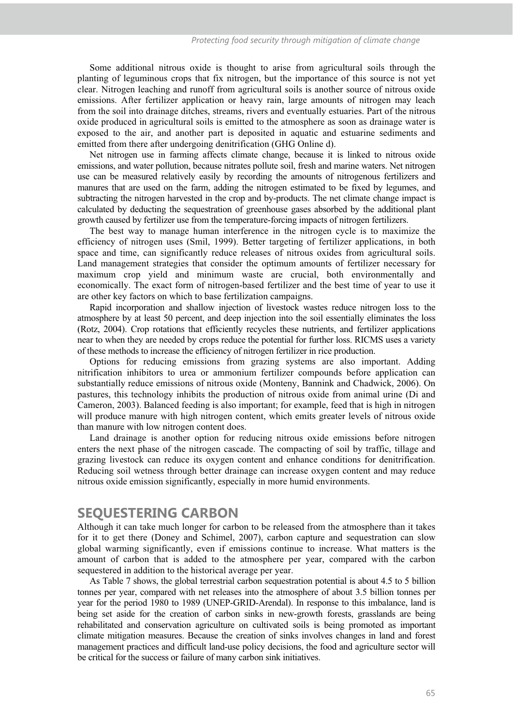Some additional nitrous oxide is thought to arise from agricultural soils through the planting of leguminous crops that fix nitrogen, but the importance of this source is not yet clear. Nitrogen leaching and runoff from agricultural soils is another source of nitrous oxide emissions. After fertilizer application or heavy rain, large amounts of nitrogen may leach from the soil into drainage ditches, streams, rivers and eventually estuaries. Part of the nitrous oxide produced in agricultural soils is emitted to the atmosphere as soon as drainage water is exposed to the air, and another part is deposited in aquatic and estuarine sediments and emitted from there after undergoing denitrification (GHG Online d).

Net nitrogen use in farming affects climate change, because it is linked to nitrous oxide emissions, and water pollution, because nitrates pollute soil, fresh and marine waters. Net nitrogen use can be measured relatively easily by recording the amounts of nitrogenous fertilizers and manures that are used on the farm, adding the nitrogen estimated to be fixed by legumes, and subtracting the nitrogen harvested in the crop and by-products. The net climate change impact is calculated by deducting the sequestration of greenhouse gases absorbed by the additional plant growth caused by fertilizer use from the temperature-forcing impacts of nitrogen fertilizers.

The best way to manage human interference in the nitrogen cycle is to maximize the efficiency of nitrogen uses (Smil, 1999). Better targeting of fertilizer applications, in both space and time, can significantly reduce releases of nitrous oxides from agricultural soils. Land management strategies that consider the optimum amounts of fertilizer necessary for maximum crop yield and minimum waste are crucial, both environmentally and economically. The exact form of nitrogen-based fertilizer and the best time of year to use it are other key factors on which to base fertilization campaigns.

Rapid incorporation and shallow injection of livestock wastes reduce nitrogen loss to the atmosphere by at least 50 percent, and deep injection into the soil essentially eliminates the loss (Rotz, 2004). Crop rotations that efficiently recycles these nutrients, and fertilizer applications near to when they are needed by crops reduce the potential for further loss. RICMS uses a variety of these methods to increase the efficiency of nitrogen fertilizer in rice production.

Options for reducing emissions from grazing systems are also important. Adding nitrification inhibitors to urea or ammonium fertilizer compounds before application can substantially reduce emissions of nitrous oxide (Monteny, Bannink and Chadwick, 2006). On pastures, this technology inhibits the production of nitrous oxide from animal urine (Di and Cameron, 2003). Balanced feeding is also important; for example, feed that is high in nitrogen will produce manure with high nitrogen content, which emits greater levels of nitrous oxide than manure with low nitrogen content does.

Land drainage is another option for reducing nitrous oxide emissions before nitrogen enters the next phase of the nitrogen cascade. The compacting of soil by traffic, tillage and grazing livestock can reduce its oxygen content and enhance conditions for denitrification. Reducing soil wetness through better drainage can increase oxygen content and may reduce nitrous oxide emission significantly, especially in more humid environments.

### **SEQUESTERING CARBON**

Although it can take much longer for carbon to be released from the atmosphere than it takes for it to get there (Doney and Schimel, 2007), carbon capture and sequestration can slow global warming significantly, even if emissions continue to increase. What matters is the amount of carbon that is added to the atmosphere per year, compared with the carbon sequestered in addition to the historical average per year.

As Table 7 shows, the global terrestrial carbon sequestration potential is about 4.5 to 5 billion tonnes per year, compared with net releases into the atmosphere of about 3.5 billion tonnes per year for the period 1980 to 1989 (UNEP-GRID-Arendal). In response to this imbalance, land is being set aside for the creation of carbon sinks in new-growth forests, grasslands are being rehabilitated and conservation agriculture on cultivated soils is being promoted as important climate mitigation measures. Because the creation of sinks involves changes in land and forest management practices and difficult land-use policy decisions, the food and agriculture sector will be critical for the success or failure of many carbon sink initiatives.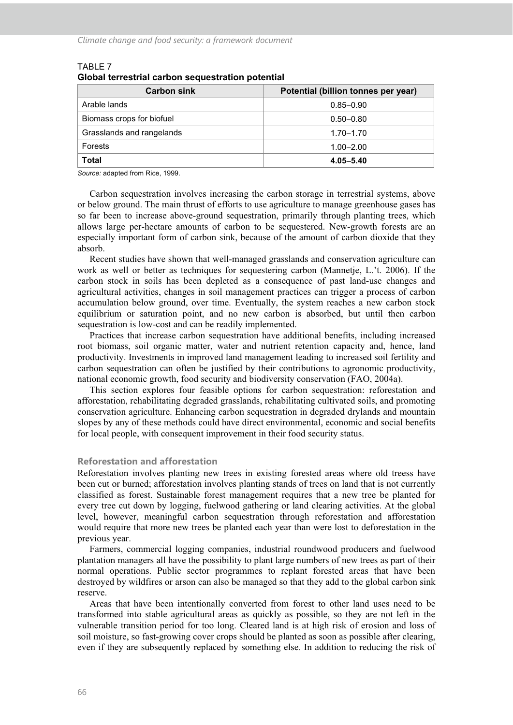| <b>Carbon sink</b>        | Potential (billion tonnes per year) |
|---------------------------|-------------------------------------|
| Arable lands              | $0.85 - 0.90$                       |
| Biomass crops for biofuel | $0.50 - 0.80$                       |
| Grasslands and rangelands | $1.70 - 1.70$                       |
| Forests                   | $1.00 - 2.00$                       |
| Total                     | $4.05 - 5.40$                       |

#### TABLE 7 **Global terrestrial carbon sequestration potential**

*Source:* adapted from Rice, 1999.

Carbon sequestration involves increasing the carbon storage in terrestrial systems, above or below ground. The main thrust of efforts to use agriculture to manage greenhouse gases has so far been to increase above-ground sequestration, primarily through planting trees, which allows large per-hectare amounts of carbon to be sequestered. New-growth forests are an especially important form of carbon sink, because of the amount of carbon dioxide that they absorb.

Recent studies have shown that well-managed grasslands and conservation agriculture can work as well or better as techniques for sequestering carbon (Mannetje, L.'t. 2006). If the carbon stock in soils has been depleted as a consequence of past land-use changes and agricultural activities, changes in soil management practices can trigger a process of carbon accumulation below ground, over time. Eventually, the system reaches a new carbon stock equilibrium or saturation point, and no new carbon is absorbed, but until then carbon sequestration is low-cost and can be readily implemented.

Practices that increase carbon sequestration have additional benefits, including increased root biomass, soil organic matter, water and nutrient retention capacity and, hence, land productivity. Investments in improved land management leading to increased soil fertility and carbon sequestration can often be justified by their contributions to agronomic productivity, national economic growth, food security and biodiversity conservation (FAO, 2004a).

This section explores four feasible options for carbon sequestration: reforestation and afforestation, rehabilitating degraded grasslands, rehabilitating cultivated soils, and promoting conservation agriculture. Enhancing carbon sequestration in degraded drylands and mountain slopes by any of these methods could have direct environmental, economic and social benefits for local people, with consequent improvement in their food security status.

#### **Reforestation and afforestation**

Reforestation involves planting new trees in existing forested areas where old treess have been cut or burned; afforestation involves planting stands of trees on land that is not currently classified as forest. Sustainable forest management requires that a new tree be planted for every tree cut down by logging, fuelwood gathering or land clearing activities. At the global level, however, meaningful carbon sequestration through reforestation and afforestation would require that more new trees be planted each year than were lost to deforestation in the previous year.

Farmers, commercial logging companies, industrial roundwood producers and fuelwood plantation managers all have the possibility to plant large numbers of new trees as part of their normal operations. Public sector programmes to replant forested areas that have been destroyed by wildfires or arson can also be managed so that they add to the global carbon sink reserve.

Areas that have been intentionally converted from forest to other land uses need to be transformed into stable agricultural areas as quickly as possible, so they are not left in the vulnerable transition period for too long. Cleared land is at high risk of erosion and loss of soil moisture, so fast-growing cover crops should be planted as soon as possible after clearing, even if they are subsequently replaced by something else. In addition to reducing the risk of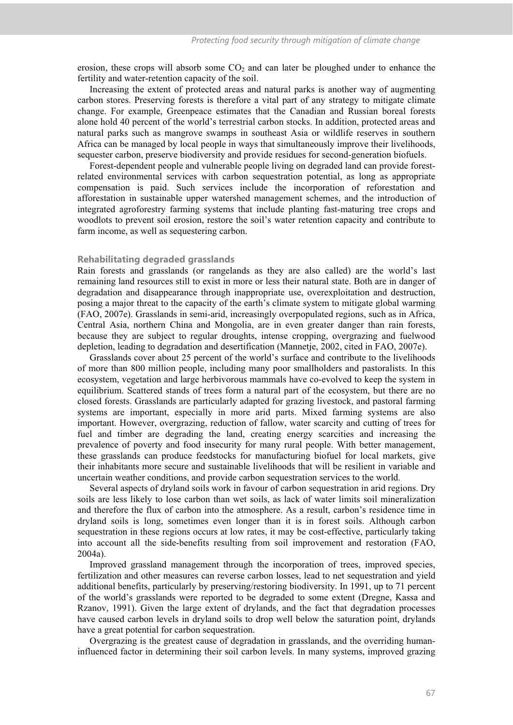erosion, these crops will absorb some  $CO<sub>2</sub>$  and can later be ploughed under to enhance the fertility and water-retention capacity of the soil.

Increasing the extent of protected areas and natural parks is another way of augmenting carbon stores. Preserving forests is therefore a vital part of any strategy to mitigate climate change. For example, Greenpeace estimates that the Canadian and Russian boreal forests alone hold 40 percent of the world's terrestrial carbon stocks. In addition, protected areas and natural parks such as mangrove swamps in southeast Asia or wildlife reserves in southern Africa can be managed by local people in ways that simultaneously improve their livelihoods, sequester carbon, preserve biodiversity and provide residues for second-generation biofuels.

Forest-dependent people and vulnerable people living on degraded land can provide forestrelated environmental services with carbon sequestration potential, as long as appropriate compensation is paid. Such services include the incorporation of reforestation and afforestation in sustainable upper watershed management schemes, and the introduction of integrated agroforestry farming systems that include planting fast-maturing tree crops and woodlots to prevent soil erosion, restore the soil's water retention capacity and contribute to farm income, as well as sequestering carbon.

#### **Rehabilitating degraded grasslands**

Rain forests and grasslands (or rangelands as they are also called) are the world's last remaining land resources still to exist in more or less their natural state. Both are in danger of degradation and disappearance through inappropriate use, overexploitation and destruction, posing a major threat to the capacity of the earth's climate system to mitigate global warming (FAO, 2007e). Grasslands in semi-arid, increasingly overpopulated regions, such as in Africa, Central Asia, northern China and Mongolia, are in even greater danger than rain forests, because they are subject to regular droughts, intense cropping, overgrazing and fuelwood depletion, leading to degradation and desertification (Mannetje, 2002, cited in FAO, 2007e).

Grasslands cover about 25 percent of the world's surface and contribute to the livelihoods of more than 800 million people, including many poor smallholders and pastoralists. In this ecosystem, vegetation and large herbivorous mammals have co-evolved to keep the system in equilibrium. Scattered stands of trees form a natural part of the ecosystem, but there are no closed forests. Grasslands are particularly adapted for grazing livestock, and pastoral farming systems are important, especially in more arid parts. Mixed farming systems are also important. However, overgrazing, reduction of fallow, water scarcity and cutting of trees for fuel and timber are degrading the land, creating energy scarcities and increasing the prevalence of poverty and food insecurity for many rural people. With better management, these grasslands can produce feedstocks for manufacturing biofuel for local markets, give their inhabitants more secure and sustainable livelihoods that will be resilient in variable and uncertain weather conditions, and provide carbon sequestration services to the world.

Several aspects of dryland soils work in favour of carbon sequestration in arid regions. Dry soils are less likely to lose carbon than wet soils, as lack of water limits soil mineralization and therefore the flux of carbon into the atmosphere. As a result, carbon's residence time in dryland soils is long, sometimes even longer than it is in forest soils. Although carbon sequestration in these regions occurs at low rates, it may be cost-effective, particularly taking into account all the side-benefits resulting from soil improvement and restoration (FAO, 2004a).

Improved grassland management through the incorporation of trees, improved species, fertilization and other measures can reverse carbon losses, lead to net sequestration and yield additional benefits, particularly by preserving/restoring biodiversity. In 1991, up to 71 percent of the world's grasslands were reported to be degraded to some extent (Dregne, Kassa and Rzanov, 1991). Given the large extent of drylands, and the fact that degradation processes have caused carbon levels in dryland soils to drop well below the saturation point, drylands have a great potential for carbon sequestration.

Overgrazing is the greatest cause of degradation in grasslands, and the overriding humaninfluenced factor in determining their soil carbon levels. In many systems, improved grazing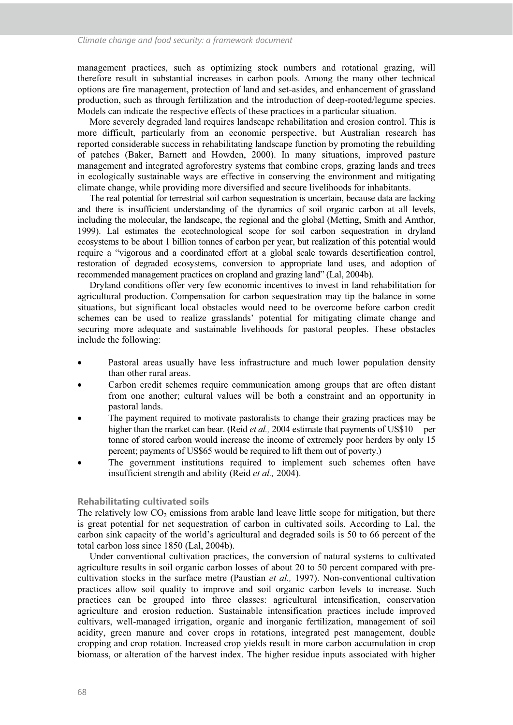management practices, such as optimizing stock numbers and rotational grazing, will therefore result in substantial increases in carbon pools. Among the many other technical options are fire management, protection of land and set-asides, and enhancement of grassland production, such as through fertilization and the introduction of deep-rooted/legume species. Models can indicate the respective effects of these practices in a particular situation.

More severely degraded land requires landscape rehabilitation and erosion control. This is more difficult, particularly from an economic perspective, but Australian research has reported considerable success in rehabilitating landscape function by promoting the rebuilding of patches (Baker, Barnett and Howden, 2000). In many situations, improved pasture management and integrated agroforestry systems that combine crops, grazing lands and trees in ecologically sustainable ways are effective in conserving the environment and mitigating climate change, while providing more diversified and secure livelihoods for inhabitants.

The real potential for terrestrial soil carbon sequestration is uncertain, because data are lacking and there is insufficient understanding of the dynamics of soil organic carbon at all levels, including the molecular, the landscape, the regional and the global (Metting, Smith and Amthor, 1999). Lal estimates the ecotechnological scope for soil carbon sequestration in dryland ecosystems to be about 1 billion tonnes of carbon per year, but realization of this potential would require a "vigorous and a coordinated effort at a global scale towards desertification control, restoration of degraded ecosystems, conversion to appropriate land uses, and adoption of recommended management practices on cropland and grazing land" (Lal, 2004b).

Dryland conditions offer very few economic incentives to invest in land rehabilitation for agricultural production. Compensation for carbon sequestration may tip the balance in some situations, but significant local obstacles would need to be overcome before carbon credit schemes can be used to realize grasslands' potential for mitigating climate change and securing more adequate and sustainable livelihoods for pastoral peoples. These obstacles include the following:

- Pastoral areas usually have less infrastructure and much lower population density than other rural areas.
- Carbon credit schemes require communication among groups that are often distant from one another; cultural values will be both a constraint and an opportunity in pastoral lands.
- The payment required to motivate pastoralists to change their grazing practices may be higher than the market can bear. (Reid *et al.*, 2004 estimate that payments of US\$10 per tonne of stored carbon would increase the income of extremely poor herders by only 15 percent; payments of US\$65 would be required to lift them out of poverty.)
- The government institutions required to implement such schemes often have insufficient strength and ability (Reid *et al.,* 2004).

#### **Rehabilitating cultivated soils**

The relatively low  $CO_2$  emissions from arable land leave little scope for mitigation, but there is great potential for net sequestration of carbon in cultivated soils. According to Lal, the carbon sink capacity of the world's agricultural and degraded soils is 50 to 66 percent of the total carbon loss since 1850 (Lal, 2004b).

Under conventional cultivation practices, the conversion of natural systems to cultivated agriculture results in soil organic carbon losses of about 20 to 50 percent compared with precultivation stocks in the surface metre (Paustian *et al.,* 1997). Non-conventional cultivation practices allow soil quality to improve and soil organic carbon levels to increase. Such practices can be grouped into three classes: agricultural intensification, conservation agriculture and erosion reduction. Sustainable intensification practices include improved cultivars, well-managed irrigation, organic and inorganic fertilization, management of soil acidity, green manure and cover crops in rotations, integrated pest management, double cropping and crop rotation. Increased crop yields result in more carbon accumulation in crop biomass, or alteration of the harvest index. The higher residue inputs associated with higher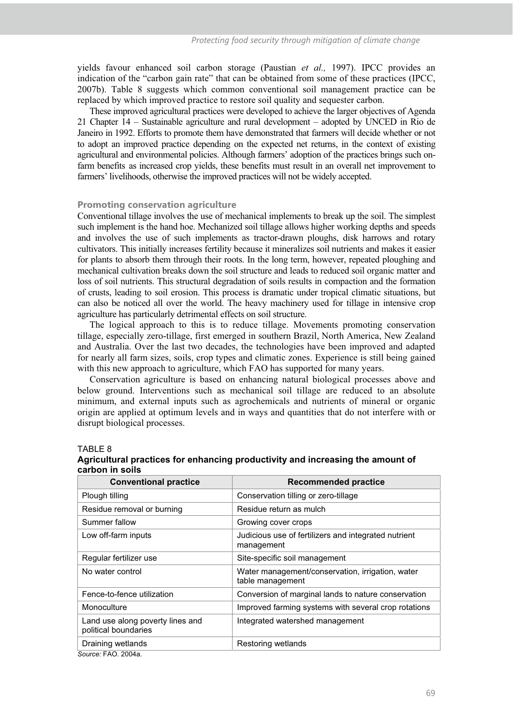yields favour enhanced soil carbon storage (Paustian *et al.,* 1997). IPCC provides an indication of the "carbon gain rate" that can be obtained from some of these practices (IPCC, 2007b). Table 8 suggests which common conventional soil management practice can be replaced by which improved practice to restore soil quality and sequester carbon.

These improved agricultural practices were developed to achieve the larger objectives of Agenda 21 Chapter 14 – Sustainable agriculture and rural development – adopted by UNCED in Rio de Janeiro in 1992. Efforts to promote them have demonstrated that farmers will decide whether or not to adopt an improved practice depending on the expected net returns, in the context of existing agricultural and environmental policies. Although farmers' adoption of the practices brings such onfarm benefits as increased crop yields, these benefits must result in an overall net improvement to farmers' livelihoods, otherwise the improved practices will not be widely accepted.

#### **Promoting conservation agriculture**

Conventional tillage involves the use of mechanical implements to break up the soil. The simplest such implement is the hand hoe. Mechanized soil tillage allows higher working depths and speeds and involves the use of such implements as tractor-drawn ploughs, disk harrows and rotary cultivators. This initially increases fertility because it mineralizes soil nutrients and makes it easier for plants to absorb them through their roots. In the long term, however, repeated ploughing and mechanical cultivation breaks down the soil structure and leads to reduced soil organic matter and loss of soil nutrients. This structural degradation of soils results in compaction and the formation of crusts, leading to soil erosion. This process is dramatic under tropical climatic situations, but can also be noticed all over the world. The heavy machinery used for tillage in intensive crop agriculture has particularly detrimental effects on soil structure.

The logical approach to this is to reduce tillage. Movements promoting conservation tillage, especially zero-tillage, first emerged in southern Brazil, North America, New Zealand and Australia. Over the last two decades, the technologies have been improved and adapted for nearly all farm sizes, soils, crop types and climatic zones. Experience is still being gained with this new approach to agriculture, which FAO has supported for many years.

Conservation agriculture is based on enhancing natural biological processes above and below ground. Interventions such as mechanical soil tillage are reduced to an absolute minimum, and external inputs such as agrochemicals and nutrients of mineral or organic origin are applied at optimum levels and in ways and quantities that do not interfere with or disrupt biological processes.

#### TABLE 8

| <b>Conventional practice</b>                             | <b>Recommended practice</b>                                          |
|----------------------------------------------------------|----------------------------------------------------------------------|
| Plough tilling                                           | Conservation tilling or zero-tillage                                 |
| Residue removal or burning                               | Residue return as mulch                                              |
| Summer fallow                                            | Growing cover crops                                                  |
| Low off-farm inputs                                      | Judicious use of fertilizers and integrated nutrient<br>management   |
| Regular fertilizer use                                   | Site-specific soil management                                        |
| No water control                                         | Water management/conservation, irrigation, water<br>table management |
| Fence-to-fence utilization                               | Conversion of marginal lands to nature conservation                  |
| Monoculture                                              | Improved farming systems with several crop rotations                 |
| Land use along poverty lines and<br>political boundaries | Integrated watershed management                                      |
| Draining wetlands                                        | Restoring wetlands                                                   |
| Source: FAO, 2004a.                                      |                                                                      |

#### **Agricultural practices for enhancing productivity and increasing the amount of carbon in soils**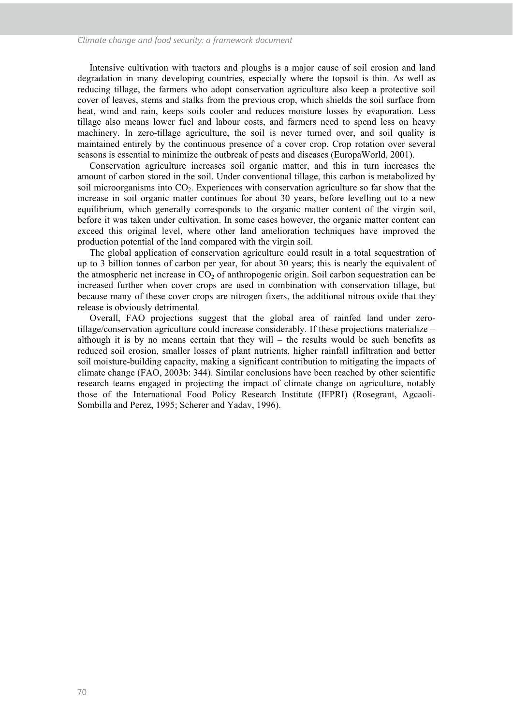#### *Climate change and food security: a framework document*

Intensive cultivation with tractors and ploughs is a major cause of soil erosion and land degradation in many developing countries, especially where the topsoil is thin. As well as reducing tillage, the farmers who adopt conservation agriculture also keep a protective soil cover of leaves, stems and stalks from the previous crop, which shields the soil surface from heat, wind and rain, keeps soils cooler and reduces moisture losses by evaporation. Less tillage also means lower fuel and labour costs, and farmers need to spend less on heavy machinery. In zero-tillage agriculture, the soil is never turned over, and soil quality is maintained entirely by the continuous presence of a cover crop. Crop rotation over several seasons is essential to minimize the outbreak of pests and diseases (EuropaWorld, 2001).

Conservation agriculture increases soil organic matter, and this in turn increases the amount of carbon stored in the soil. Under conventional tillage, this carbon is metabolized by soil microorganisms into  $CO<sub>2</sub>$ . Experiences with conservation agriculture so far show that the increase in soil organic matter continues for about 30 years, before levelling out to a new equilibrium, which generally corresponds to the organic matter content of the virgin soil, before it was taken under cultivation. In some cases however, the organic matter content can exceed this original level, where other land amelioration techniques have improved the production potential of the land compared with the virgin soil.

The global application of conservation agriculture could result in a total sequestration of up to 3 billion tonnes of carbon per year, for about 30 years; this is nearly the equivalent of the atmospheric net increase in  $CO<sub>2</sub>$  of anthropogenic origin. Soil carbon sequestration can be increased further when cover crops are used in combination with conservation tillage, but because many of these cover crops are nitrogen fixers, the additional nitrous oxide that they release is obviously detrimental.

Overall, FAO projections suggest that the global area of rainfed land under zerotillage/conservation agriculture could increase considerably. If these projections materialize – although it is by no means certain that they will – the results would be such benefits as reduced soil erosion, smaller losses of plant nutrients, higher rainfall infiltration and better soil moisture-building capacity, making a significant contribution to mitigating the impacts of climate change (FAO, 2003b: 344). Similar conclusions have been reached by other scientific research teams engaged in projecting the impact of climate change on agriculture, notably those of the International Food Policy Research Institute (IFPRI) (Rosegrant, Agcaoli-Sombilla and Perez, 1995; Scherer and Yadav, 1996).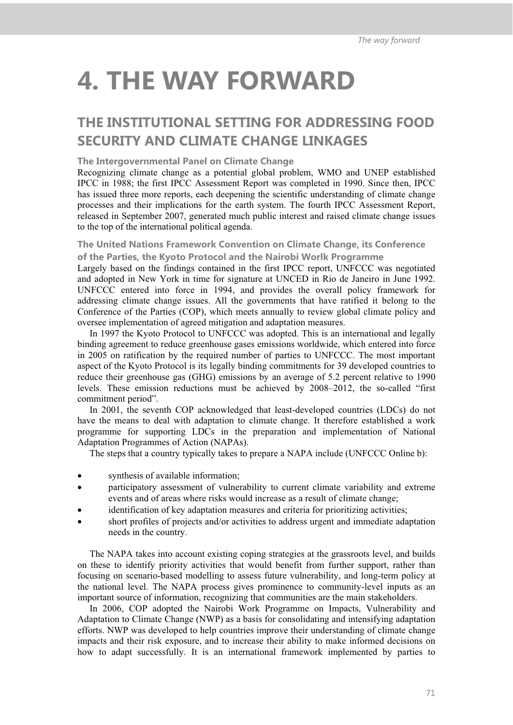# **4. THE WAY FORWARD**

### **THE INSTITUTIONAL SETTING FOR ADDRESSING FOOD SECURITY AND CLIMATE CHANGE LINKAGES**

#### **The Intergovernmental Panel on Climate Change**

Recognizing climate change as a potential global problem, WMO and UNEP established IPCC in 1988; the first IPCC Assessment Report was completed in 1990. Since then, IPCC has issued three more reports, each deepening the scientific understanding of climate change processes and their implications for the earth system. The fourth IPCC Assessment Report, released in September 2007, generated much public interest and raised climate change issues to the top of the international political agenda.

#### **The United Nations Framework Convention on Climate Change, its Conference of the Parties, the Kyoto Protocol and the Nairobi Worlk Programme**

Largely based on the findings contained in the first IPCC report, UNFCCC was negotiated and adopted in New York in time for signature at UNCED in Rio de Janeiro in June 1992. UNFCCC entered into force in 1994, and provides the overall policy framework for addressing climate change issues. All the governments that have ratified it belong to the Conference of the Parties (COP), which meets annually to review global climate policy and oversee implementation of agreed mitigation and adaptation measures.

In 1997 the Kyoto Protocol to UNFCCC was adopted. This is an international and legally binding agreement to reduce greenhouse gases emissions worldwide, which entered into force in 2005 on ratification by the required number of parties to UNFCCC. The most important aspect of the Kyoto Protocol is its legally binding commitments for 39 developed countries to reduce their greenhouse gas (GHG) emissions by an average of 5.2 percent relative to 1990 levels. These emission reductions must be achieved by 2008–2012, the so-called "first commitment period".

In 2001, the seventh COP acknowledged that least-developed countries (LDCs) do not have the means to deal with adaptation to climate change. It therefore established a work programme for supporting LDCs in the preparation and implementation of National Adaptation Programmes of Action (NAPAs).

The steps that a country typically takes to prepare a NAPA include (UNFCCC Online b):

- synthesis of available information;
- participatory assessment of vulnerability to current climate variability and extreme events and of areas where risks would increase as a result of climate change;
- identification of key adaptation measures and criteria for prioritizing activities;
- short profiles of projects and/or activities to address urgent and immediate adaptation needs in the country.

The NAPA takes into account existing coping strategies at the grassroots level, and builds on these to identify priority activities that would benefit from further support, rather than focusing on scenario-based modelling to assess future vulnerability, and long-term policy at the national level. The NAPA process gives prominence to community-level inputs as an important source of information, recognizing that communities are the main stakeholders.

In 2006, COP adopted the Nairobi Work Programme on Impacts, Vulnerability and Adaptation to Climate Change (NWP) as a basis for consolidating and intensifying adaptation efforts. NWP was developed to help countries improve their understanding of climate change impacts and their risk exposure, and to increase their ability to make informed decisions on how to adapt successfully. It is an international framework implemented by parties to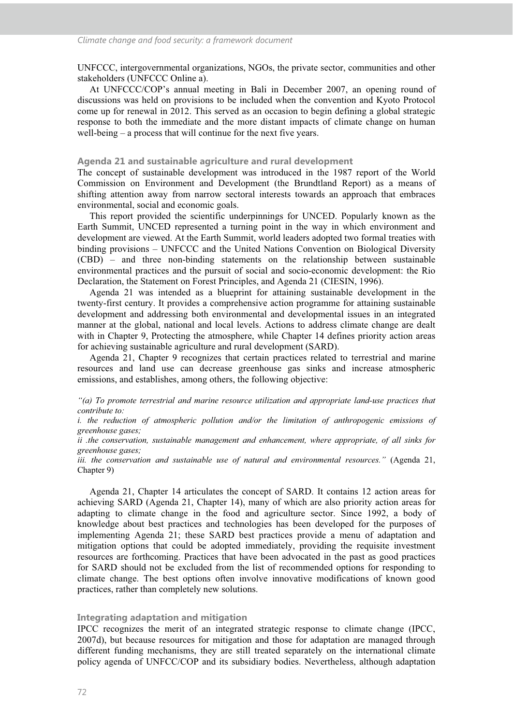UNFCCC, intergovernmental organizations, NGOs, the private sector, communities and other stakeholders (UNFCCC Online a).

At UNFCCC/COP's annual meeting in Bali in December 2007, an opening round of discussions was held on provisions to be included when the convention and Kyoto Protocol come up for renewal in 2012. This served as an occasion to begin defining a global strategic response to both the immediate and the more distant impacts of climate change on human well-being – a process that will continue for the next five years.

#### **Agenda 21 and sustainable agriculture and rural development**

The concept of sustainable development was introduced in the 1987 report of the World Commission on Environment and Development (the Brundtland Report) as a means of shifting attention away from narrow sectoral interests towards an approach that embraces environmental, social and economic goals.

This report provided the scientific underpinnings for UNCED. Popularly known as the Earth Summit, UNCED represented a turning point in the way in which environment and development are viewed. At the Earth Summit, world leaders adopted two formal treaties with binding provisions – UNFCCC and the United Nations Convention on Biological Diversity (CBD) – and three non-binding statements on the relationship between sustainable environmental practices and the pursuit of social and socio-economic development: the Rio Declaration, the Statement on Forest Principles, and Agenda 21 (CIESIN, 1996).

Agenda 21 was intended as a blueprint for attaining sustainable development in the twenty-first century. It provides a comprehensive action programme for attaining sustainable development and addressing both environmental and developmental issues in an integrated manner at the global, national and local levels. Actions to address climate change are dealt with in Chapter 9, Protecting the atmosphere, while Chapter 14 defines priority action areas for achieving sustainable agriculture and rural development (SARD).

Agenda 21, Chapter 9 recognizes that certain practices related to terrestrial and marine resources and land use can decrease greenhouse gas sinks and increase atmospheric emissions, and establishes, among others, the following objective:

*"(a) To promote terrestrial and marine resource utilization and appropriate land-use practices that contribute to:* 

*i. the reduction of atmospheric pollution and/or the limitation of anthropogenic emissions of greenhouse gases;* 

*ii .the conservation, sustainable management and enhancement, where appropriate, of all sinks for greenhouse gases;* 

*iii. the conservation and sustainable use of natural and environmental resources."* (Agenda 21, Chapter 9)

Agenda 21, Chapter 14 articulates the concept of SARD. It contains 12 action areas for achieving SARD (Agenda 21, Chapter 14), many of which are also priority action areas for adapting to climate change in the food and agriculture sector. Since 1992, a body of knowledge about best practices and technologies has been developed for the purposes of implementing Agenda 21; these SARD best practices provide a menu of adaptation and mitigation options that could be adopted immediately, providing the requisite investment resources are forthcoming. Practices that have been advocated in the past as good practices for SARD should not be excluded from the list of recommended options for responding to climate change. The best options often involve innovative modifications of known good practices, rather than completely new solutions.

#### **Integrating adaptation and mitigation**

IPCC recognizes the merit of an integrated strategic response to climate change (IPCC, 2007d), but because resources for mitigation and those for adaptation are managed through different funding mechanisms, they are still treated separately on the international climate policy agenda of UNFCC/COP and its subsidiary bodies. Nevertheless, although adaptation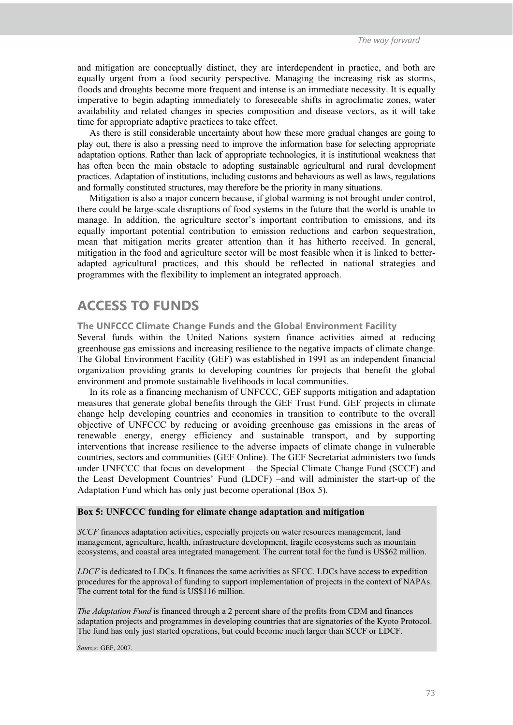and mitigation are conceptually distinct, they are interdependent in practice, and both are equally urgent from a food security perspective. Managing the increasing risk as storms, floods and droughts become more frequent and intense is an immediate necessity. It is equally imperative to begin adapting immediately to foreseeable shifts in agroclimatic zones, water availability and related changes in species composition and disease vectors, as it will take time for appropriate adaptive practices to take effect.

As there is still considerable uncertainty about how these more gradual changes are going to play out, there is also a pressing need to improve the information base for selecting appropriate adaptation options. Rather than lack of appropriate technologies, it is institutional weakness that has often been the main obstacle to adopting sustainable agricultural and rural development practices. Adaptation of institutions, including customs and behaviours as well as laws, regulations and formally constituted structures, may therefore be the priority in many situations.

Mitigation is also a major concern because, if global warming is not brought under control, there could be large-scale disruptions of food systems in the future that the world is unable to manage. In addition, the agriculture sector's important contribution to emissions, and its equally important potential contribution to emission reductions and carbon sequestration, mean that mitigation merits greater attention than it has hitherto received. In general, mitigation in the food and agriculture sector will be most feasible when it is linked to betteradapted agricultural practices, and this should be reflected in national strategies and programmes with the flexibility to implement an integrated approach.

### **ACCESS TO FUNDS**

**The UNFCCC Climate Change Funds and the Global Environment Facility** 

Several funds within the United Nations system finance activities aimed at reducing greenhouse gas emissions and increasing resilience to the negative impacts of climate change. The Global Environment Facility (GEF) was established in 1991 as an independent financial organization providing grants to developing countries for projects that benefit the global environment and promote sustainable livelihoods in local communities.

In its role as a financing mechanism of UNFCCC, GEF supports mitigation and adaptation measures that generate global benefits through the GEF Trust Fund. GEF projects in climate change help developing countries and economies in transition to contribute to the overall objective of UNFCCC by reducing or avoiding greenhouse gas emissions in the areas of renewable energy, energy efficiency and sustainable transport, and by supporting interventions that increase resilience to the adverse impacts of climate change in vulnerable countries, sectors and communities (GEF Online). The GEF Secretariat administers two funds under UNFCCC that focus on development – the Special Climate Change Fund (SCCF) and the Least Development Countries' Fund (LDCF) –and will administer the start-up of the Adaptation Fund which has only just become operational (Box 5).

#### **Box 5: UNFCCC funding for climate change adaptation and mitigation**

*SCCF* finances adaptation activities, especially projects on water resources management, land management, agriculture, health, infrastructure development, fragile ecosystems such as mountain ecosystems, and coastal area integrated management. The current total for the fund is US\$62 million.

*LDCF* is dedicated to LDCs. It finances the same activities as SFCC. LDCs have access to expedition procedures for the approval of funding to support implementation of projects in the context of NAPAs. The current total for the fund is US\$116 million.

*The Adaptation Fund* is financed through a 2 percent share of the profits from CDM and finances adaptation projects and programmes in developing countries that are signatories of the Kyoto Protocol. The fund has only just started operations, but could become much larger than SCCF or LDCF.

*Source:* GEF, 2007.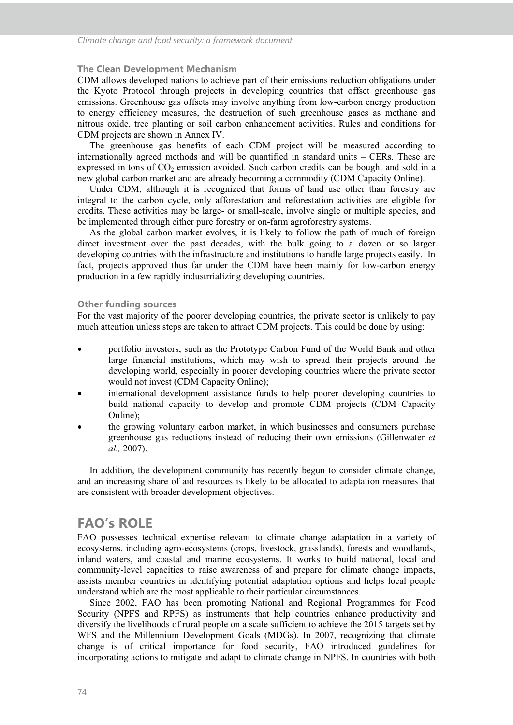#### **The Clean Development Mechanism**

CDM allows developed nations to achieve part of their emissions reduction obligations under the Kyoto Protocol through projects in developing countries that offset greenhouse gas emissions. Greenhouse gas offsets may involve anything from low-carbon energy production to energy efficiency measures, the destruction of such greenhouse gases as methane and nitrous oxide, tree planting or soil carbon enhancement activities. Rules and conditions for CDM projects are shown in Annex IV.

The greenhouse gas benefits of each CDM project will be measured according to internationally agreed methods and will be quantified in standard units – CERs. These are expressed in tons of  $CO<sub>2</sub>$  emission avoided. Such carbon credits can be bought and sold in a new global carbon market and are already becoming a commodity (CDM Capacity Online).

Under CDM, although it is recognized that forms of land use other than forestry are integral to the carbon cycle, only afforestation and reforestation activities are eligible for credits. These activities may be large- or small-scale, involve single or multiple species, and be implemented through either pure forestry or on-farm agroforestry systems.

As the global carbon market evolves, it is likely to follow the path of much of foreign direct investment over the past decades, with the bulk going to a dozen or so larger developing countries with the infrastructure and institutions to handle large projects easily. In fact, projects approved thus far under the CDM have been mainly for low-carbon energy production in a few rapidly industrrializing developing countries.

#### **Other funding sources**

For the vast majority of the poorer developing countries, the private sector is unlikely to pay much attention unless steps are taken to attract CDM projects. This could be done by using:

- portfolio investors, such as the Prototype Carbon Fund of the World Bank and other large financial institutions, which may wish to spread their projects around the developing world, especially in poorer developing countries where the private sector would not invest (CDM Capacity Online);
- international development assistance funds to help poorer developing countries to build national capacity to develop and promote CDM projects (CDM Capacity Online);
- the growing voluntary carbon market, in which businesses and consumers purchase greenhouse gas reductions instead of reducing their own emissions (Gillenwater *et al.,* 2007).

In addition, the development community has recently begun to consider climate change, and an increasing share of aid resources is likely to be allocated to adaptation measures that are consistent with broader development objectives.

### **FAO's ROLE**

FAO possesses technical expertise relevant to climate change adaptation in a variety of ecosystems, including agro-ecosystems (crops, livestock, grasslands), forests and woodlands, inland waters, and coastal and marine ecosystems. It works to build national, local and community-level capacities to raise awareness of and prepare for climate change impacts, assists member countries in identifying potential adaptation options and helps local people understand which are the most applicable to their particular circumstances.

Since 2002, FAO has been promoting National and Regional Programmes for Food Security (NPFS and RPFS) as instruments that help countries enhance productivity and diversify the livelihoods of rural people on a scale sufficient to achieve the 2015 targets set by WFS and the Millennium Development Goals (MDGs). In 2007, recognizing that climate change is of critical importance for food security, FAO introduced guidelines for incorporating actions to mitigate and adapt to climate change in NPFS. In countries with both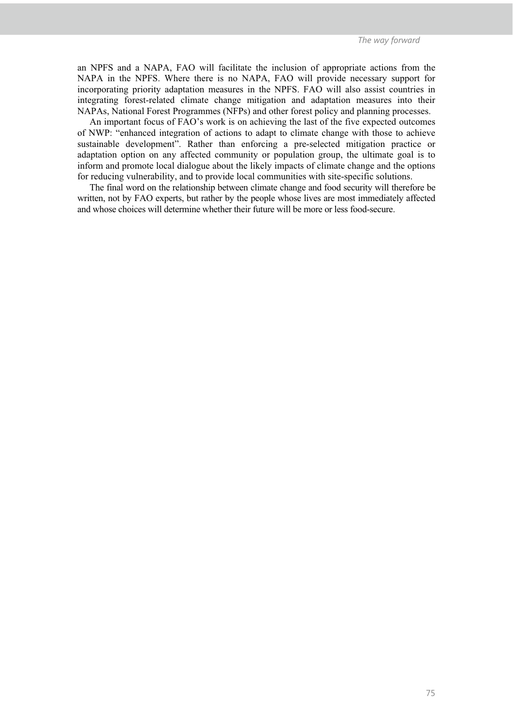an NPFS and a NAPA, FAO will facilitate the inclusion of appropriate actions from the NAPA in the NPFS. Where there is no NAPA, FAO will provide necessary support for incorporating priority adaptation measures in the NPFS. FAO will also assist countries in integrating forest-related climate change mitigation and adaptation measures into their NAPAs, National Forest Programmes (NFPs) and other forest policy and planning processes.

An important focus of FAO's work is on achieving the last of the five expected outcomes of NWP: "enhanced integration of actions to adapt to climate change with those to achieve sustainable development". Rather than enforcing a pre-selected mitigation practice or adaptation option on any affected community or population group, the ultimate goal is to inform and promote local dialogue about the likely impacts of climate change and the options for reducing vulnerability, and to provide local communities with site-specific solutions.

The final word on the relationship between climate change and food security will therefore be written, not by FAO experts, but rather by the people whose lives are most immediately affected and whose choices will determine whether their future will be more or less food-secure.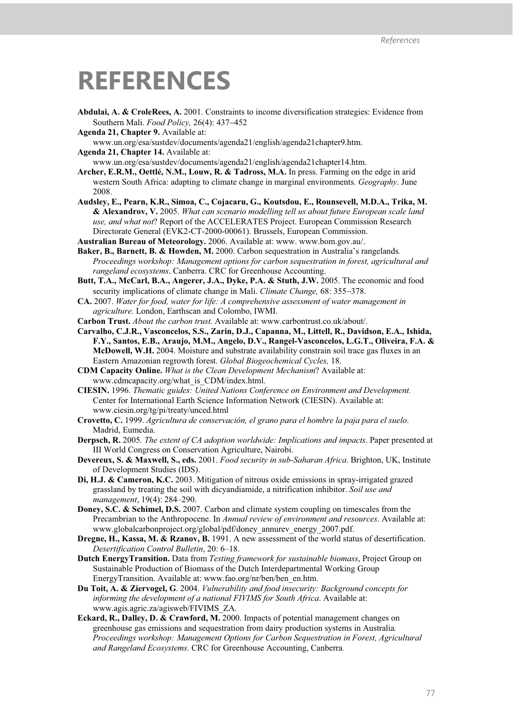## **REFERENCES**

- **Abdulai, A. & CroleRees, A.** 2001. Constraints to income diversification strategies: Evidence from Southern Mali. *Food Policy,* 26(4): 437-452
- **Agenda 21, Chapter 9.** Available at:

www.un.org/esa/sustdev/documents/agenda21/english/agenda21chapter9.htm.

**Agenda 21, Chapter 14.** Available at:

www.un.org/esa/sustdev/documents/agenda21/english/agenda21chapter14.htm.

- **Archer, E.R.M., Oettlé, N.M., Louw, R. & Tadross, M.A.** In press. Farming on the edge in arid western South Africa: adapting to climate change in marginal environments. *Geography*. June 2008.
- **Audsley, E., Pearn, K.R., Simoa, C., Cojacaru, G., Koutsdou, E., Rounsevell, M.D.A., Trika, M. & Alexandrov, V.** 2005. *What can scenario modelling tell us about future European scale land use, and what not*? Report of the ACCELERATES Project. European Commission Research Directorate General (EVK2-CT-2000-00061). Brussels, European Commission.
- **Australian Bureau of Meteorology.** 2006. Available at: www. www.bom.gov.au/.
- **Baker, B., Barnett, B. & Howden, M.** 2000. Carbon sequestration in Australia's rangelands*. Proceedings workshop: Management options for carbon sequestration in forest, agricultural and rangeland ecosystems*. Canberra. CRC for Greenhouse Accounting.
- **Butt, T.A., McCarl, B.A., Angerer, J.A., Dyke, P.A. & Stuth, J.W.** 2005. The economic and food security implications of climate change in Mali. *Climate Change,* 68: 355-378.
- **CA.** 2007. *Water for food, water for life: A comprehensive assessment of water management in agriculture.* London, Earthscan and Colombo, IWMI.
- **Carbon Trust.** *About the carbon trust.* Available at: www.carbontrust.co.uk/about/.
- **Carvalho, C.J.R., Vasconcelos, S.S., Zarin, D.J., Capanna, M., Littell, R., Davidson, E.A., Ishida, F.Y., Santos, E.B., Araujo, M.M., Angelo, D.V., Rangel-Vasconcelos, L.G.T., Oliveira, F.A. & McDowell, W.H.** 2004. Moisture and substrate availability constrain soil trace gas fluxes in an Eastern Amazonian regrowth forest. *Global Biogeochemical Cycles,* 18.
- **CDM Capacity Online.** *What is the Clean Development Mechanism*? Available at: www.cdmcapacity.org/what\_is\_CDM/index.html.
- **CIESIN.** 1996. *Thematic guides: United Nations Conference on Environment and Development.*  Center for International Earth Science Information Network (CIESIN). Available at: www.ciesin.org/tg/pi/treaty/unced.html
- **Crovetto, C.** 1999. *Agricultura de conservación, el grano para el hombre la paja para el suelo*. Madrid, Eumedia.
- **Derpsch, R.** 2005*. The extent of CA adoption worldwide: Implications and impacts*. Paper presented at III World Congress on Conservation Agriculture, Nairobi.
- **Devereux, S. & Maxwell, S., eds.** 2001. *Food security in sub-Saharan Africa*. Brighton, UK, Institute of Development Studies (IDS).
- **Di, H.J. & Cameron, K.C.** 2003. Mitigation of nitrous oxide emissions in spray-irrigated grazed grassland by treating the soil with dicyandiamide, a nitrification inhibitor. *Soil use and management*, 19(4): 284–290.
- **Doney, S.C. & Schimel, D.S.** 2007. Carbon and climate system coupling on timescales from the Precambrian to the Anthropocene. In *Annual review of environment and resources*. Available at: www.globalcarbonproject.org/global/pdf/doney\_annurev\_energy\_2007.pdf.
- **Dregne, H., Kassa, M. & Rzanov, B.** 1991. A new assessment of the world status of desertification. *Desertification Control Bulletin*, 20: 6–18.
- **Dutch EnergyTransition.** Data from *Testing framework for sustainable biomass*, Project Group on Sustainable Production of Biomass of the Dutch Interdepartmental Working Group EnergyTransition. Available at: www.fao.org/nr/ben/ben\_en.htm.
- **Du Toit, A. & Ziervogel, G**. 2004. *Vulnerability and food insecurity: Background concepts for informing the development of a national FIVIMS for South Africa*. Available at: www.agis.agric.za/agisweb/FIVIMS\_ZA.
- **Eckard, R., Dalley, D. & Crawford, M.** 2000. Impacts of potential management changes on greenhouse gas emissions and sequestration from dairy production systems in Australia*. Proceedings workshop: Management Options for Carbon Sequestration in Forest, Agricultural and Rangeland Ecosystems*. CRC for Greenhouse Accounting, Canberra.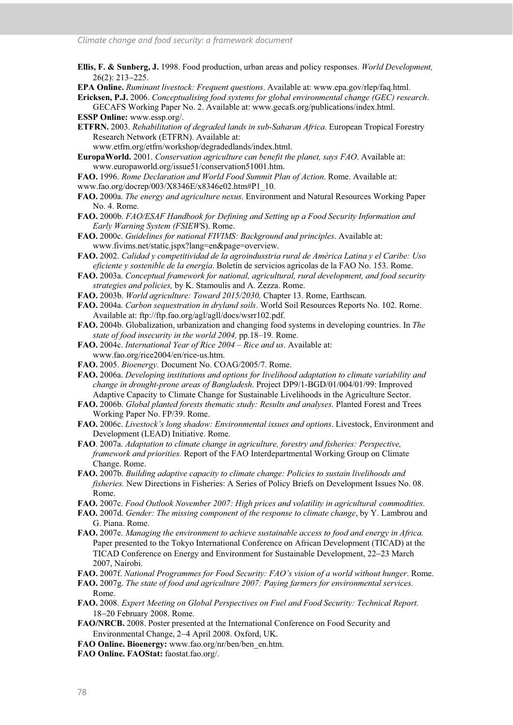- **Ellis, F. & Sunberg, J.** 1998. Food production, urban areas and policy responses. *World Development,*  26(2): 213-225.
- **EPA Online.** *Ruminant livestock: Frequent questions*. Available at: www.epa.gov/rlep/faq.html.
- **Ericksen, P.J.** 2006. *Conceptualising food systems for global environmental change (GEC) research*. GECAFS Working Paper No. 2. Available at: www.gecafs.org/publications/index.html.

**ESSP Online:** www.essp.org/.

- **ETFRN.** 2003. *Rehabilitation of degraded lands in sub-Saharan Africa.* European Tropical Forestry Research Network (ETFRN). Available at:
	- www.etfrn.org/etfrn/workshop/degradedlands/index.html.
- **EuropaWorld.** 2001. *Conservation agriculture can benefit the planet, says FAO*. Available at: www.europaworld.org/issue51/conservation51001.htm.

**FAO.** 1996. *Rome Declaration and World Food Summit Plan of Action*. Rome. Available at: www.fao.org/docrep/003/X8346E/x8346e02.htm#P1\_10.

- **FAO.** 2000a. *The energy and agriculture nexus*. Environment and Natural Resources Working Paper No. 4. Rome.
- **FAO.** 2000b. *FAO/ESAF Handbook for Defining and Setting up a Food Security Information and Early Warning System (FSIEW*S). Rome.
- **FAO.** 2000c. *Guidelines for national FIVIMS: Background and principles*. Available at: www.fivims.net/static.jspx?lang=en&page=overview.
- **FAO.** 2002. *Calidad y competitividad de la agroindusstria rural de América Latina y el Caribe: Uso eficiente y sostenible de la energía*. Boletín de servicios agricolas de la FAO No. 153. Rome.
- **FAO.** 2003a. *Conceptual framework for national, agricultural, rural development, and food security strategies and policies,* by K. Stamoulis and A. Zezza. Rome.
- **FAO.** 2003b. *World agriculture: Toward 2015/2030,* Chapter 13. Rome, Earthscan.
- **FAO.** 2004a. *Carbon sequestration in dryland soils*. World Soil Resources Reports No. 102. Rome. Available at: ftp://ftp.fao.org/agl/agll/docs/wsrr102.pdf.
- **FAO.** 2004b. Globalization, urbanization and changing food systems in developing countries. In *The state of food insecurity in the world 2004,* pp.18–19*.* Rome.
- **FAO.** 2004c. *International Year of Rice 2004 Rice and us*. Available at: www.fao.org/rice2004/en/rice-us.htm.
- **FAO.** 2005. *Bioenergy*. Document No. COAG/2005/7. Rome.
- **FAO.** 2006a. *Developing institutions and options for livelihood adaptation to climate variability and change in drought-prone areas of Bangladesh*. Project DP9/1-BGD/01/004/01/99: Improved Adaptive Capacity to Climate Change for Sustainable Livelihoods in the Agriculture Sector.
- **FAO.** 2006b. *Global planted forests thematic study: Results and analyses*. Planted Forest and Trees Working Paper No. FP/39. Rome.
- **FAO.** 2006c. *Livestock's long shadow: Environmental issues and options*. Livestock, Environment and Development (LEAD) Initiative. Rome.
- **FAO**. 2007a. *Adaptation to climate change in agriculture, forestry and fisheries: Perspective, framework and priorities.* Report of the FAO Interdepartmental Working Group on Climate Change. Rome.
- **FAO.** 2007b. *Building adaptive capacity to climate change: Policies to sustain livelihoods and fisheries.* New Directions in Fisheries: A Series of Policy Briefs on Development Issues No. 08. Rome.
- **FAO.** 2007c. *Food Outlook November 2007: High prices and volatility in agricultural commodities*.
- **FAO.** 2007d. *Gender: The missing component of the response to climate change*, by Y. Lambrou and G. Piana. Rome.
- **FAO.** 2007e. *Managing the environment to achieve sustainable access to food and energy in Africa.* Paper presented to the Tokyo International Conference on African Development (TICAD) at the TICAD Conference on Energy and Environment for Sustainable Development, 22-23 March 2007, Nairobi.
- **FAO.** 2007f. *National Programmes for Food Security: FAO's vision of a world without hunger*. Rome.
- **FAO.** 2007g. *The state of food and agriculture 2007: Paying farmers for environmental services.*  Rome.
- **FAO.** 2008. *Expert Meeting on Global Perspectives on Fuel and Food Security: Technical Report*. 18-20 February 2008. Rome.
- **FAO/NRCB.** 2008. Poster presented at the International Conference on Food Security and Environmental Change, 2-4 April 2008. Oxford, UK.
- **FAO Online. Bioenergy:** www.fao.org/nr/ben/ben\_en.htm.
- **FAO Online. FAOStat:** faostat.fao.org/.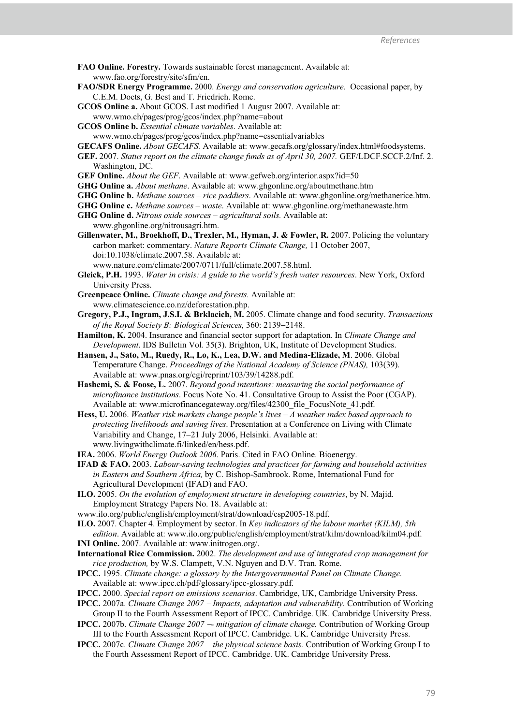**FAO Online. Forestry.** Towards sustainable forest management. Available at: www.fao.org/forestry/site/sfm/en.

- **FAO/SDR Energy Programme.** 2000. *Energy and conservation agriculture.* Occasional paper, by C.E.M. Doets, G. Best and T. Friedrich. Rome.
- **GCOS Online a.** About GCOS. Last modified 1 August 2007. Available at: www.wmo.ch/pages/prog/gcos/index.php?name=about
- **GCOS Online b.** *Essential climate variables*. Available at:
	- www.wmo.ch/pages/prog/gcos/index.php?name=essentialvariables

**GECAFS Online.** *About GECAFS.* Available at: www.gecafs.org/glossary/index.html#foodsystems.

- **GEF.** 2007. *Status report on the climate change funds as of April 30, 2007.* GEF/LDCF.SCCF.2/Inf. 2. Washington, DC.
- **GEF Online.** *About the GEF*. Available at: www.gefweb.org/interior.aspx?id=50
- **GHG Online a.** *About methane*. Available at: www.ghgonline.org/aboutmethane.htm
- **GHG Online b.** *Methane sources rice paddiers*. Available at: www.ghgonline.org/methanerice.htm.
- **GHG Online c.** *Methane sources waste*. Available at: www.ghgonline.org/methanewaste.htm
- **GHG Online d.** *Nitrous oxide sources agricultural soils.* Available at: www.ghgonline.org/nitrousagri.htm.
- **Gillenwater, M., Broekhoff, D., Trexler, M., Hyman, J. & Fowler, R.** 2007. Policing the voluntary carbon market: commentary. *Nature Reports Climate Change,* 11 October 2007, doi:10.1038/climate.2007.58. Available at:
	- www.nature.com/climate/2007/0711/full/climate.2007.58.html.
- **Gleick, P.H.** 1993. *Water in crisis: A guide to the world's fresh water resources*. New York, Oxford University Press.
- **Greenpeace Online.** *Climate change and forests.* Available at: www.climatescience.co.nz/deforestation.php.
- **Gregory, P.J., Ingram, J.S.I. & Brklacich, M.** 2005. Climate change and food security. *Transactions of the Royal Society B: Biological Sciences,* 360: 2139-2148.
- **Hamilton, K.** 2004. Insurance and financial sector support for adaptation. In *Climate Change and Development*. IDS Bulletin Vol. 35(3). Brighton, UK, Institute of Development Studies.
- **Hansen, J., Sato, M., Ruedy, R., Lo, K., Lea, D.W. and Medina-Elizade, M**. 2006. Global Temperature Change. *Proceedings of the National Academy of Science (PNAS),* 103(39). Available at: www.pnas.org/cgi/reprint/103/39/14288.pdf.
- **Hashemi, S. & Foose, L.** 2007. *Beyond good intentions: measuring the social performance of microfinance institutions*. Focus Note No. 41. Consultative Group to Assist the Poor (CGAP). Available at: www.microfinancegateway.org/files/42300\_file\_FocusNote\_41.pdf.
- **Hess, U.** 2006. *Weather risk markets change people's lives A weather index based approach to protecting livelihoods and saving lives*. Presentation at a Conference on Living with Climate Variability and Change, 17-21 July 2006, Helsinki. Available at: www.livingwithclimate.fi/linked/en/hess.pdf.
- **IEA.** 2006. *World Energy Outlook 2006*. Paris. Cited in FAO Online. Bioenergy.
- **IFAD & FAO.** 2003. *Labour-saving technologies and practices for farming and household activities in Eastern and Southern Africa,* by C. Bishop-Sambrook. Rome, International Fund for Agricultural Development (IFAD) and FAO.
- **ILO.** 2005. *On the evolution of employment structure in developing countries*, by N. Majid. Employment Strategy Papers No. 18. Available at:
- www.ilo.org/public/english/employment/strat/download/esp2005-18.pdf.
- **ILO.** 2007. Chapter 4. Employment by sector. In *Key indicators of the labour market (KILM), 5th*
- *edition*. Available at: www.ilo.org/public/english/employment/strat/kilm/download/kilm04.pdf. **INI Online.** 2007. Available at: www.initrogen.org/.
- **International Rice Commission.** 2002. *The development and use of integrated crop management for rice production,* by W.S. Clampett, V.N. Nguyen and D.V. Tran. Rome.
- **IPCC.** 1995. *Climate change: a glossary by the Intergovernmental Panel on Climate Change.* Available at: www.ipcc.ch/pdf/glossary/ipcc-glossary.pdf.
- **IPCC.** 2000. *Special report on emissions scenarios*. Cambridge, UK, Cambridge University Press.
- **IPCC.** 2007a. *Climate Change 2007* - *Impacts, adaptation and vulnerability.* Contribution of Working Group II to the Fourth Assessment Report of IPCC. Cambridge. UK. Cambridge University Press.
- **IPCC.** 2007b. *Climate Change 2007 mitigation of climate change*. Contribution of Working Group III to the Fourth Assessment Report of IPCC. Cambridge. UK. Cambridge University Press.
- **IPCC.** 2007c. *Climate Change 2007* - *the physical science basis.* Contribution of Working Group I to the Fourth Assessment Report of IPCC. Cambridge. UK. Cambridge University Press.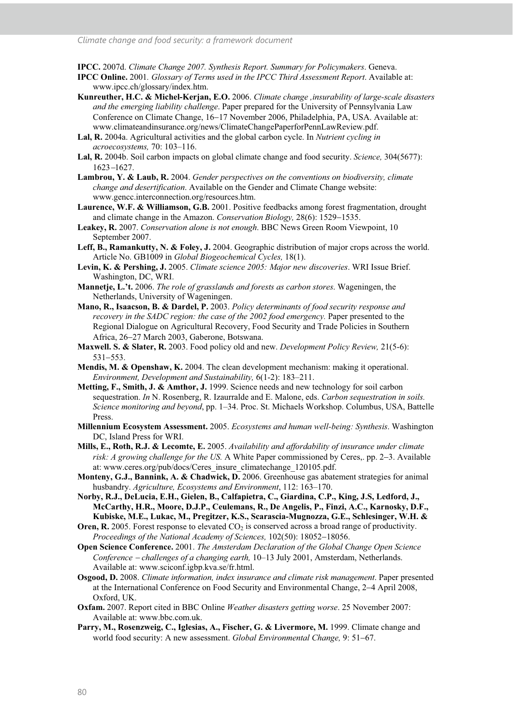**IPCC.** 2007d. *Climate Change 2007. Synthesis Report. Summary for Policymakers*. Geneva.

- **IPCC Online.** 2001*. Glossary of Terms used in the IPCC Third Assessment Report*. Available at: www.ipcc.ch/glossary/index.htm.
- **Kunreuther, H.C. & Michel-Kerjan, E.O.** 2006. *Climate change ,insurability of large-scale disasters and the emerging liability challenge*. Paper prepared for the University of Pennsylvania Law Conference on Climate Change, 16-17 November 2006, Philadelphia, PA, USA. Available at: www.climateandinsurance.org/news/ClimateChangePaperforPennLawReview.pdf.
- **Lal, R.** 2004a. Agricultural activities and the global carbon cycle. In *Nutrient cycling in acroecosystems,* 70: 103–116.
- **Lal, R.** 2004b. Soil carbon impacts on global climate change and food security. *Science,* 304(5677): 1623-1627.
- **Lambrou, Y. & Laub, R.** 2004. *Gender perspectives on the conventions on biodiversity, climate change and desertification*. Available on the Gender and Climate Change website: www.gencc.interconnection.org/resources.htm.
- **Laurence, W.F. & Williamson, G.B.** 2001. Positive feedbacks among forest fragmentation, drought and climate change in the Amazon. *Conservation Biology,* 28(6): 1529-1535.
- **Leakey, R.** 2007. *Conservation alone is not enough*. BBC News Green Room Viewpoint, 10 September 2007.
- Leff, B., Ramankutty, N. & Foley, J. 2004. Geographic distribution of major crops across the world. Article No. GB1009 in *Global Biogeochemical Cycles,* 18(1).
- **Levin, K. & Pershing, J.** 2005. *Climate science 2005: Major new discoveries*. WRI Issue Brief. Washington, DC, WRI.
- **Mannetje, L.'t.** 2006. *The role of grasslands and forests as carbon stores*. Wageningen, the Netherlands, University of Wageningen.
- **Mano, R., Isaacson, B. & Dardel, P.** 2003. *Policy determinants of food security response and recovery in the SADC region: the case of the 2002 food emergency.* Paper presented to the Regional Dialogue on Agricultural Recovery, Food Security and Trade Policies in Southern Africa, 26-27 March 2003, Gaberone, Botswana.
- **Maxwell. S. & Slater, R.** 2003. Food policy old and new. *Development Policy Review,* 21(5-6): 531-553.
- **Mendis, M. & Openshaw, K.** 2004. The clean development mechanism: making it operational. *Environment, Development and Sustainability,* 6(1-2): 183–211.
- **Metting, F., Smith, J. & Amthor, J.** 1999. Science needs and new technology for soil carbon sequestration. *In* N. Rosenberg, R. Izaurralde and E. Malone, eds. *Carbon sequestration in soils. Science monitoring and beyond*, pp. 1–34. Proc. St. Michaels Workshop. Columbus, USA, Battelle Press.
- **Millennium Ecosystem Assessment.** 2005. *Ecosystems and human well-being: Synthesis*. Washington DC, Island Press for WRI.
- **Mills, E., Roth, R.J. & Lecomte, E.** 2005. *Availability and affordability of insurance under climate risk: A growing challenge for the US.* A White Paper commissioned by Ceres,. pp. 2-3. Available at: www.ceres.org/pub/docs/Ceres\_insure\_climatechange\_120105.pdf.
- **Monteny, G.J., Bannink, A. & Chadwick, D.** 2006. Greenhouse gas abatement strategies for animal husbandry. *Agriculture, Ecosystems and Environment*, 112: 163–170.
- **Norby, R.J., DeLucia, E.H., Gielen, B., Calfapietra, C., Giardina, C.P., King, J.S, Ledford, J., McCarthy, H.R., Moore, D.J.P., Ceulemans, R., De Angelis, P., Finzi, A.C., Karnosky, D.F., Kubiske, M.E., Lukac, M., Pregitzer, K.S., Scarascia-Mugnozza, G.E., Schlesinger, W.H. &**
- **Oren, R.** 2005. Forest response to elevated CO<sub>2</sub> is conserved across a broad range of productivity. *Proceedings of the National Academy of Sciences,* 102(50): 18052-18056.
- **Open Science Conference.** 2001. *The Amsterdam Declaration of the Global Change Open Science Conference* - *challenges of a changing earth,* 10–13 July 2001, Amsterdam, Netherlands. Available at: www.sciconf.igbp.kva.se/fr.html.
- **Osgood, D.** 2008. *Climate information, index insurance and climate risk management*. Paper presented at the International Conference on Food Security and Environmental Change, 2-4 April 2008, Oxford, UK.
- **Oxfam.** 2007. Report cited in BBC Online *Weather disasters getting worse*. 25 November 2007: Available at: www.bbc.com.uk.
- **Parry, M., Rosenzweig, C., Iglesias, A., Fischer, G. & Livermore, M.** 1999. Climate change and world food security: A new assessment. *Global Environmental Change,* 9: 51-67.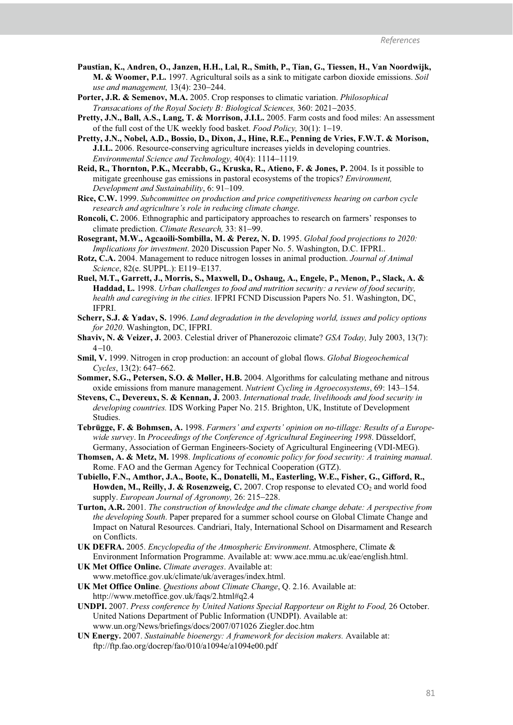- **Paustian, K., Andren, O., Janzen, H.H., Lal, R., Smith, P., Tian, G., Tiessen, H., Van Noordwijk, M. & Woomer, P.L.** 1997. Agricultural soils as a sink to mitigate carbon dioxide emissions. *Soil use and management,* 13(4): 230-244.
- **Porter, J.R. & Semenov, M.A.** 2005. Crop responses to climatic variation. *Philosophical Transacations of the Royal Society B: Biological Sciences,* 360: 2021-2035.
- **Pretty, J.N., Ball, A.S., Lang, T. & Morrison, J.I.L.** 2005. Farm costs and food miles: An assessment of the full cost of the UK weekly food basket. *Food Policy,* 30(1): 1-19.
- **Pretty, J.N., Nobel, A.D., Bossio, D., Dixon, J., Hine, R.E., Penning de Vries, F.W.T. & Morison, J.I.L.** 2006. Resource-conserving agriculture increases yields in developing countries. *Environmental Science and Technology,* 40(4): 1114-1119*.*
- **Reid, R., Thornton, P.K., Mccrabb, G., Kruska, R., Atieno, F. & Jones, P. 2004.** Is it possible to mitigate greenhouse gas emissions in pastoral ecosystems of the tropics? *Environment, Development and Sustainability*, 6: 91–109.
- **Rice, C.W.** 1999. *Subcommittee on production and price competitiveness hearing on carbon cycle research and agriculture's role in reducing climate change*.
- **Roncoli, C.** 2006. Ethnographic and participatory approaches to research on farmers' responses to climate prediction. *Climate Research,* 33: 81-99.
- **Rosegrant, M.W., Agcaoili-Sombilla, M. & Perez, N. D.** 1995. *Global food projections to 2020: Implications for investment*. 2020 Discussion Paper No. 5. Washington, D.C. IFPRI..
- **Rotz, C.A.** 2004. Management to reduce nitrogen losses in animal production. *Journal of Animal Science*, 82(e. SUPPL.): E119–E137.
- **Ruel, M.T., Garrett, J., Morris, S., Maxwell, D., Oshaug, A., Engele, P., Menon, P., Slack, A. & Haddad, L.** 1998. *Urban challenges to food and nutrition security: a review of food security, health and caregiving in the cities*. IFPRI FCND Discussion Papers No. 51. Washington, DC, IFPRI.
- **Scherr, S.J. & Yadav, S.** 1996. *Land degradation in the developing world, issues and policy options for 2020*. Washington, DC, IFPRI.
- **Shaviv, N. & Veizer, J.** 2003. Celestial driver of Phanerozoic climate? *GSA Today,* July 2003, 13(7): 4-10.
- **Smil, V.** 1999. Nitrogen in crop production: an account of global flows. *Global Biogeochemical Cycles*, 13(2): 647–662.
- **Sommer, S.G., Petersen, S.O. & Møller, H.B.** 2004. Algorithms for calculating methane and nitrous oxide emissions from manure management. *Nutrient Cycling in Agroecosystems*, 69: 143–154.
- **Stevens, C., Devereux, S. & Kennan, J.** 2003. *International trade, livelihoods and food security in developing countries.* IDS Working Paper No. 215. Brighton, UK, Institute of Development Studies.
- **Tebrügge, F. & Bohmsen, A.** 1998. *Farmers' and experts' opinion on no-tillage: Results of a Europewide survey*. In *Proceedings of the Conference of Agricultural Engineering 1998*. Düsseldorf, Germany, Association of German Engineers-Society of Agricultural Engineering (VDI-MEG).
- **Thomsen, A. & Metz, M.** 1998. *Implications of economic policy for food security: A training manual*. Rome. FAO and the German Agency for Technical Cooperation (GTZ).
- **Tubiello, F.N., Amthor, J.A., Boote, K., Donatelli, M., Easterling, W.E., Fisher, G., Gifford, R., Howden, M., Reilly, J. & Rosenzweig, C.** 2007. Crop response to elevated  $CO<sub>2</sub>$  and world food supply. *European Journal of Agronomy,* 26: 215-228.
- **Turton, A.R.** 2001. *The construction of knowledge and the climate change debate: A perspective from the developing South*. Paper prepared for a summer school course on Global Climate Change and Impact on Natural Resources. Candriari, Italy, International School on Disarmament and Research on Conflicts.
- **UK DEFRA.** 2005. *Encyclopedia of the Atmospheric Environment*. Atmosphere, Climate & Environment Information Programme. Available at: www.ace.mmu.ac.uk/eae/english.html.
- **UK Met Office Online.** *Climate averages*. Available at:
- www.metoffice.gov.uk/climate/uk/averages/index.html.
- **UK Met Office Online**. *Questions about Climate Change*, Q. 2.16. Available at: http://www.metoffice.gov.uk/faqs/2.html#q2.4
- **UNDPI.** 2007. *Press conference by United Nations Special Rapporteur on Right to Food,* 26 October. United Nations Department of Public Information (UNDPI). Available at: www.un.org/News/briefings/docs/2007/071026 Ziegler.doc.htm
- **UN Energy.** 2007. *Sustainable bioenergy: A framework for decision makers.* Available at: ftp://ftp.fao.org/docrep/fao/010/a1094e/a1094e00.pdf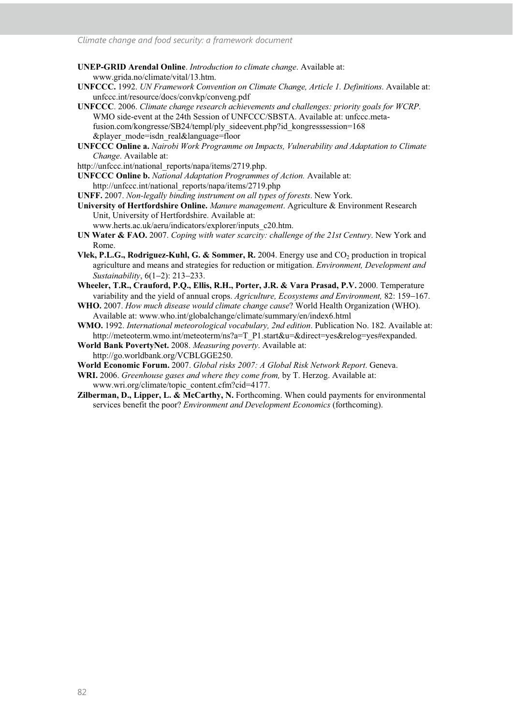- **UNEP-GRID Arendal Online**. *Introduction to climate change*. Available at: www.grida.no/climate/vital/13.htm.
- **UNFCCC.** 1992. *UN Framework Convention on Climate Change, Article 1. Definitions*. Available at: unfccc.int/resource/docs/convkp/conveng.pdf
- **UNFCCC**. 2006. *Climate change research achievements and challenges: priority goals for WCRP*. WMO side-event at the 24th Session of UNFCCC/SBSTA. Available at: unfccc.metafusion.com/kongresse/SB24/templ/ply\_sideevent.php?id\_kongresssession=168 &player\_mode=isdn\_real&language=floor
- **UNFCCC Online a.** *Nairobi Work Programme on Impacts, Vulnerability and Adaptation to Climate Change*. Available at:
- http://unfccc.int/national\_reports/napa/items/2719.php.
- **UNFCCC Online b.** *National Adaptation Programmes of Action.* Available at: http://unfccc.int/national\_reports/napa/items/2719.php
- **UNFF.** 2007. *Non-legally binding instrument on all types of forests*. New York.
- **University of Hertfordshire Online.** *Manure management*. Agriculture & Environment Research Unit, University of Hertfordshire. Available at:
	- www.herts.ac.uk/aeru/indicators/explorer/inputs\_c20.htm.
- **UN Water & FAO.** 2007. *Coping with water scarcity: challenge of the 21st Century*. New York and Rome.
- **Vlek, P.L.G., Rodriguez-Kuhl, G. & Sommer, R.** 2004. Energy use and CO<sub>2</sub> production in tropical agriculture and means and strategies for reduction or mitigation. *Environment, Development and Sustainability*, 6(1-2): 213-233.
- **Wheeler, T.R., Crauford, P.Q., Ellis, R.H., Porter, J.R. & Vara Prasad, P.V.** 2000. Temperature variability and the yield of annual crops. *Agriculture, Ecosystems and Environment,* 82: 159-167.
- **WHO.** 2007. *How much disease would climate change cause*? World Health Organization (WHO). Available at: www.who.int/globalchange/climate/summary/en/index6.html
- **WMO.** 1992. *International meteorological vocabulary, 2nd edition*. Publication No. 182. Available at: http://meteoterm.wmo.int/meteoterm/ns?a=T\_P1.start&u=&direct=yes&relog=yes#expanded.
- **World Bank PovertyNet.** 2008. *Measuring poverty*. Available at: http://go.worldbank.org/VCBLGGE250.
- **World Economic Forum.** 2007. *Global risks 2007: A Global Risk Network Report*. Geneva.
- **WRI.** 2006. *Greenhouse gases and where they come from,* by T. Herzog. Available at: www.wri.org/climate/topic\_content.cfm?cid=4177.
- **Zilberman, D., Lipper, L. & McCarthy, N.** Forthcoming. When could payments for environmental services benefit the poor? *Environment and Development Economics* (forthcoming).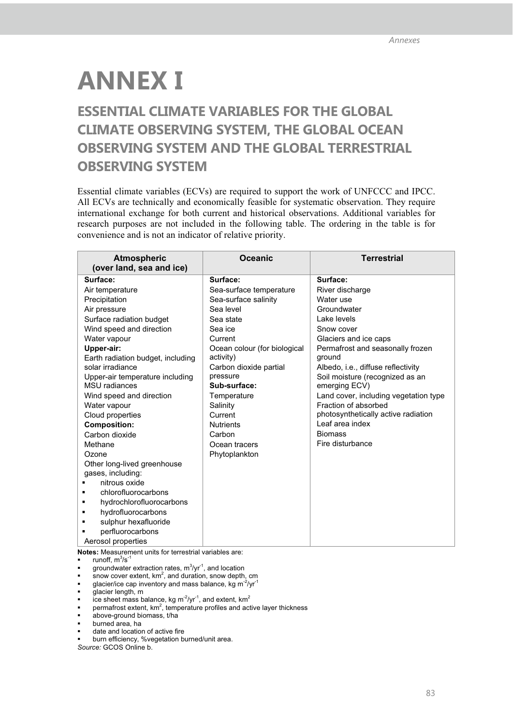# **ANNEX I**

## **ESSENTIAL CLIMATE VARIABLES FOR THE GLOBAL CLIMATE OBSERVING SYSTEM, THE GLOBAL OCEAN OBSERVING SYSTEM AND THE GLOBAL TERRESTRIAL OBSERVING SYSTEM**

Essential climate variables (ECVs) are required to support the work of UNFCCC and IPCC. All ECVs are technically and economically feasible for systematic observation. They require international exchange for both current and historical observations. Additional variables for research purposes are not included in the following table. The ordering in the table is for convenience and is not an indicator of relative priority.

| <b>Atmospheric</b><br>(over land, sea and ice) | <b>Oceanic</b>               | <b>Terrestrial</b>                    |
|------------------------------------------------|------------------------------|---------------------------------------|
| Surface:                                       | Surface:                     | Surface:                              |
| Air temperature                                | Sea-surface temperature      | River discharge                       |
| Precipitation                                  | Sea-surface salinity         | Water use                             |
| Air pressure                                   | Sea level                    | Groundwater                           |
| Surface radiation budget                       | Sea state                    | Lake levels                           |
| Wind speed and direction                       | Sea ice                      | Snow cover                            |
| Water vapour                                   | Current                      | Glaciers and ice caps                 |
| Upper-air:                                     | Ocean colour (for biological | Permafrost and seasonally frozen      |
| Earth radiation budget, including              | activity)                    | ground                                |
| solar irradiance                               | Carbon dioxide partial       | Albedo, i.e., diffuse reflectivity    |
| Upper-air temperature including                | pressure                     | Soil moisture (recognized as an       |
| <b>MSU</b> radiances                           | Sub-surface:                 | emerging ECV)                         |
| Wind speed and direction                       | Temperature                  | Land cover, including vegetation type |
| Water vapour                                   | Salinity                     | Fraction of absorbed                  |
| Cloud properties                               | Current                      | photosynthetically active radiation   |
| <b>Composition:</b>                            | <b>Nutrients</b>             | Leaf area index                       |
| Carbon dioxide                                 | Carbon                       | <b>Biomass</b>                        |
| Methane                                        | Ocean tracers                | Fire disturbance                      |
| Ozone                                          | Phytoplankton                |                                       |
| Other long-lived greenhouse                    |                              |                                       |
| gases, including:                              |                              |                                       |
| nitrous oxide                                  |                              |                                       |
| chlorofluorocarbons                            |                              |                                       |
| hydrochlorofluorocarbons                       |                              |                                       |
| hydrofluorocarbons                             |                              |                                       |
| sulphur hexafluoride                           |                              |                                       |
| perfluorocarbons                               |                              |                                       |
| Aerosol properties                             |                              |                                       |

**Notes:** Measurement units for terrestrial variables are:

- runoff,  $m^3/s^{-1}$
- groundwater extraction rates,  $m^3$ /yr<sup>-1</sup>, and location
- snow cover extent, km<sup>2</sup>, and duration, snow depth, cm<br>glacier/ice cap inventory and mass balance, kg m<sup>-2</sup>/yr<sup>-1</sup>
- -
- glacier length, m
- ice sheet mass balance, kg m<sup>-2</sup>/yr<sup>-1</sup>, and extent, km<sup>2</sup>
- permafrost extent,  $km^2$ , temperature profiles and active layer thickness
- above-ground biomass, t/ha
- burned area, ha
- date and location of active fire
- burn efficiency, %vegetation burned/unit area.

*Source:* GCOS Online b.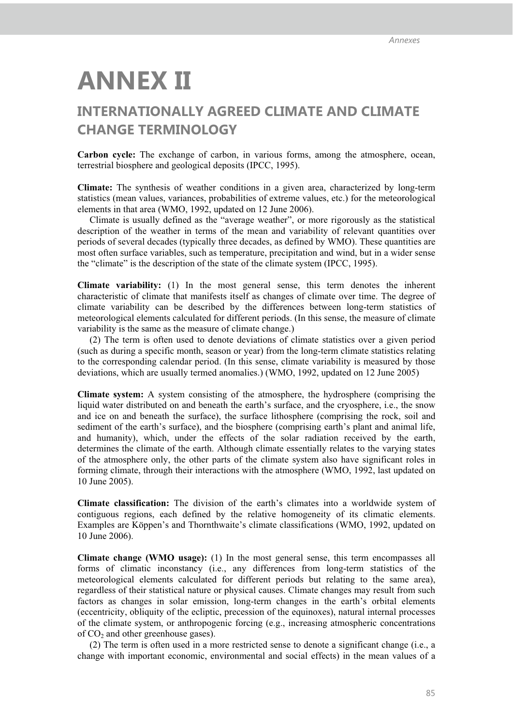# **ANNEX II**

## **INTERNATIONALLY AGREED CLIMATE AND CLIMATE CHANGE TERMINOLOGY**

**Carbon cycle:** The exchange of carbon, in various forms, among the atmosphere, ocean, terrestrial biosphere and geological deposits (IPCC, 1995).

**Climate:** The synthesis of weather conditions in a given area, characterized by long-term statistics (mean values, variances, probabilities of extreme values, etc.) for the meteorological elements in that area (WMO, 1992, updated on 12 June 2006).

Climate is usually defined as the "average weather", or more rigorously as the statistical description of the weather in terms of the mean and variability of relevant quantities over periods of several decades (typically three decades, as defined by WMO). These quantities are most often surface variables, such as temperature, precipitation and wind, but in a wider sense the "climate" is the description of the state of the climate system (IPCC, 1995).

**Climate variability:** (1) In the most general sense, this term denotes the inherent characteristic of climate that manifests itself as changes of climate over time. The degree of climate variability can be described by the differences between long-term statistics of meteorological elements calculated for different periods. (In this sense, the measure of climate variability is the same as the measure of climate change.)

(2) The term is often used to denote deviations of climate statistics over a given period (such as during a specific month, season or year) from the long-term climate statistics relating to the corresponding calendar period. (In this sense, climate variability is measured by those deviations, which are usually termed anomalies.) (WMO, 1992, updated on 12 June 2005)

**Climate system:** A system consisting of the atmosphere, the hydrosphere (comprising the liquid water distributed on and beneath the earth's surface, and the cryosphere, i.e., the snow and ice on and beneath the surface), the surface lithosphere (comprising the rock, soil and sediment of the earth's surface), and the biosphere (comprising earth's plant and animal life, and humanity), which, under the effects of the solar radiation received by the earth, determines the climate of the earth. Although climate essentially relates to the varying states of the atmosphere only, the other parts of the climate system also have significant roles in forming climate, through their interactions with the atmosphere (WMO, 1992, last updated on 10 June 2005).

**Climate classification:** The division of the earth's climates into a worldwide system of contiguous regions, each defined by the relative homogeneity of its climatic elements. Examples are Köppen's and Thornthwaite's climate classifications (WMO, 1992, updated on 10 June 2006).

**Climate change (WMO usage):** (1) In the most general sense, this term encompasses all forms of climatic inconstancy (i.e., any differences from long-term statistics of the meteorological elements calculated for different periods but relating to the same area), regardless of their statistical nature or physical causes. Climate changes may result from such factors as changes in solar emission, long-term changes in the earth's orbital elements (eccentricity, obliquity of the ecliptic, precession of the equinoxes), natural internal processes of the climate system, or anthropogenic forcing (e.g., increasing atmospheric concentrations of  $CO<sub>2</sub>$  and other greenhouse gases).

(2) The term is often used in a more restricted sense to denote a significant change (i.e., a change with important economic, environmental and social effects) in the mean values of a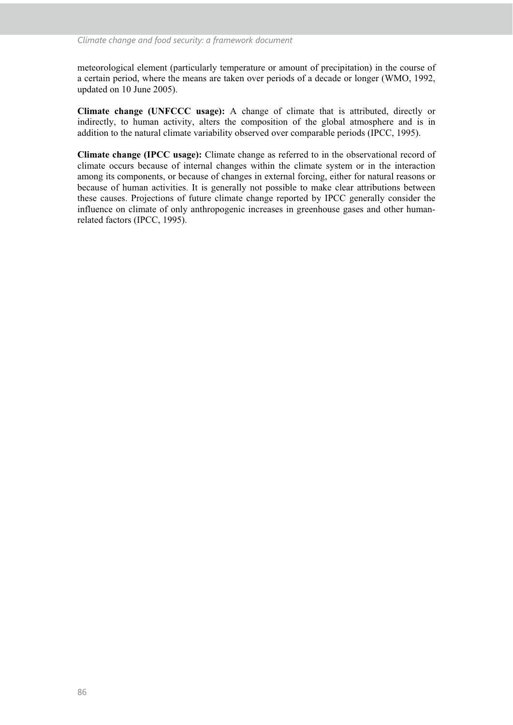meteorological element (particularly temperature or amount of precipitation) in the course of a certain period, where the means are taken over periods of a decade or longer (WMO, 1992, updated on 10 June 2005).

**Climate change (UNFCCC usage):** A change of climate that is attributed, directly or indirectly, to human activity, alters the composition of the global atmosphere and is in addition to the natural climate variability observed over comparable periods (IPCC, 1995).

**Climate change (IPCC usage):** Climate change as referred to in the observational record of climate occurs because of internal changes within the climate system or in the interaction among its components, or because of changes in external forcing, either for natural reasons or because of human activities. It is generally not possible to make clear attributions between these causes. Projections of future climate change reported by IPCC generally consider the influence on climate of only anthropogenic increases in greenhouse gases and other humanrelated factors (IPCC, 1995).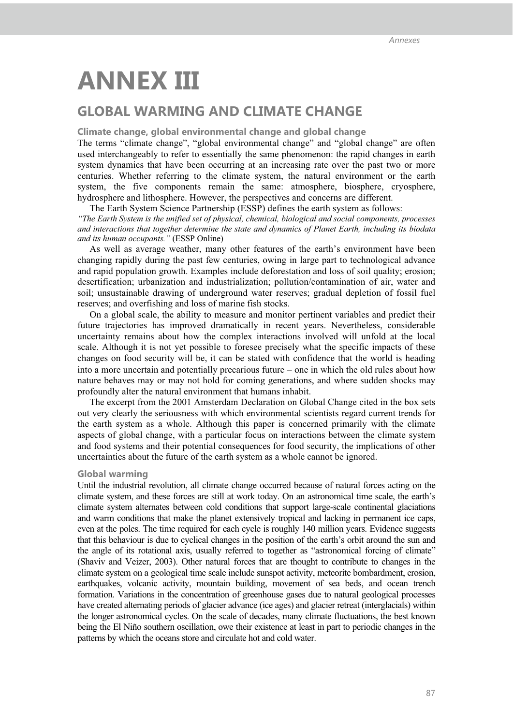## **ANNEX III**

### **GLOBAL WARMING AND CLIMATE CHANGE**

#### **Climate change, global environmental change and global change**

The terms "climate change", "global environmental change" and "global change" are often used interchangeably to refer to essentially the same phenomenon: the rapid changes in earth system dynamics that have been occurring at an increasing rate over the past two or more centuries. Whether referring to the climate system, the natural environment or the earth system, the five components remain the same: atmosphere, biosphere, cryosphere, hydrosphere and lithosphere. However, the perspectives and concerns are different.

The Earth System Science Partnership (ESSP) defines the earth system as follows: *"The Earth System is the unified set of physical, chemical, biological and social components, processes and interactions that together determine the state and dynamics of Planet Earth, including its biodata and its human occupants."* (ESSP Online)

As well as average weather, many other features of the earth's environment have been changing rapidly during the past few centuries, owing in large part to technological advance and rapid population growth. Examples include deforestation and loss of soil quality; erosion; desertification; urbanization and industrialization; pollution/contamination of air, water and soil; unsustainable drawing of underground water reserves; gradual depletion of fossil fuel reserves; and overfishing and loss of marine fish stocks.

On a global scale, the ability to measure and monitor pertinent variables and predict their future trajectories has improved dramatically in recent years. Nevertheless, considerable uncertainty remains about how the complex interactions involved will unfold at the local scale. Although it is not yet possible to foresee precisely what the specific impacts of these changes on food security will be, it can be stated with confidence that the world is heading into a more uncertain and potentially precarious future – one in which the old rules about how nature behaves may or may not hold for coming generations, and where sudden shocks may profoundly alter the natural environment that humans inhabit.

The excerpt from the 2001 Amsterdam Declaration on Global Change cited in the box sets out very clearly the seriousness with which environmental scientists regard current trends for the earth system as a whole. Although this paper is concerned primarily with the climate aspects of global change, with a particular focus on interactions between the climate system and food systems and their potential consequences for food security, the implications of other uncertainties about the future of the earth system as a whole cannot be ignored.

#### **Global warming**

Until the industrial revolution, all climate change occurred because of natural forces acting on the climate system, and these forces are still at work today. On an astronomical time scale, the earth's climate system alternates between cold conditions that support large-scale continental glaciations and warm conditions that make the planet extensively tropical and lacking in permanent ice caps, even at the poles. The time required for each cycle is roughly 140 million years. Evidence suggests that this behaviour is due to cyclical changes in the position of the earth's orbit around the sun and the angle of its rotational axis, usually referred to together as "astronomical forcing of climate" (Shaviv and Veizer, 2003). Other natural forces that are thought to contribute to changes in the climate system on a geological time scale include sunspot activity, meteorite bombardment, erosion, earthquakes, volcanic activity, mountain building, movement of sea beds, and ocean trench formation. Variations in the concentration of greenhouse gases due to natural geological processes have created alternating periods of glacier advance (ice ages) and glacier retreat (interglacials) within the longer astronomical cycles. On the scale of decades, many climate fluctuations, the best known being the El Niño southern oscillation, owe their existence at least in part to periodic changes in the patterns by which the oceans store and circulate hot and cold water.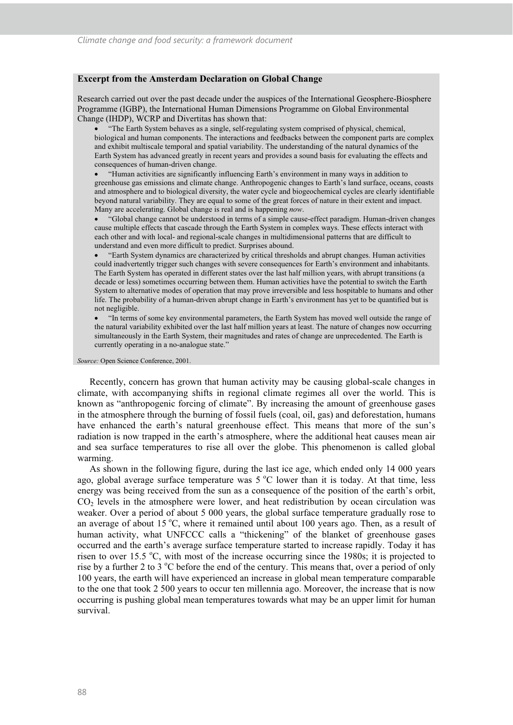#### **Excerpt from the Amsterdam Declaration on Global Change**

Research carried out over the past decade under the auspices of the International Geosphere-Biosphere Programme (IGBP), the International Human Dimensions Programme on Global Environmental Change (IHDP), WCRP and Divertitas has shown that:

 "The Earth System behaves as a single, self-regulating system comprised of physical, chemical, biological and human components. The interactions and feedbacks between the component parts are complex and exhibit multiscale temporal and spatial variability. The understanding of the natural dynamics of the Earth System has advanced greatly in recent years and provides a sound basis for evaluating the effects and consequences of human-driven change.

 "Human activities are significantly influencing Earth's environment in many ways in addition to greenhouse gas emissions and climate change. Anthropogenic changes to Earth's land surface, oceans, coasts and atmosphere and to biological diversity, the water cycle and biogeochemical cycles are clearly identifiable beyond natural variability. They are equal to some of the great forces of nature in their extent and impact. Many are accelerating. Global change is real and is happening *now*.

 "Global change cannot be understood in terms of a simple cause-effect paradigm. Human-driven changes cause multiple effects that cascade through the Earth System in complex ways. These effects interact with each other and with local- and regional-scale changes in multidimensional patterns that are difficult to understand and even more difficult to predict. Surprises abound.

 "Earth System dynamics are characterized by critical thresholds and abrupt changes. Human activities could inadvertently trigger such changes with severe consequences for Earth's environment and inhabitants. The Earth System has operated in different states over the last half million years, with abrupt transitions (a decade or less) sometimes occurring between them. Human activities have the potential to switch the Earth System to alternative modes of operation that may prove irreversible and less hospitable to humans and other life. The probability of a human-driven abrupt change in Earth's environment has yet to be quantified but is not negligible.

 "In terms of some key environmental parameters, the Earth System has moved well outside the range of the natural variability exhibited over the last half million years at least. The nature of changes now occurring simultaneously in the Earth System, their magnitudes and rates of change are unprecedented. The Earth is currently operating in a no-analogue state."

*Source:* Open Science Conference, 2001.

Recently, concern has grown that human activity may be causing global-scale changes in climate, with accompanying shifts in regional climate regimes all over the world. This is known as "anthropogenic forcing of climate". By increasing the amount of greenhouse gases in the atmosphere through the burning of fossil fuels (coal, oil, gas) and deforestation, humans have enhanced the earth's natural greenhouse effect. This means that more of the sun's radiation is now trapped in the earth's atmosphere, where the additional heat causes mean air and sea surface temperatures to rise all over the globe. This phenomenon is called global warming.

As shown in the following figure, during the last ice age, which ended only 14 000 years ago, global average surface temperature was  $5^{\circ}$ C lower than it is today. At that time, less energy was being received from the sun as a consequence of the position of the earth's orbit,  $CO<sub>2</sub>$  levels in the atmosphere were lower, and heat redistribution by ocean circulation was weaker. Over a period of about 5 000 years, the global surface temperature gradually rose to an average of about 15  $^{\circ}$ C, where it remained until about 100 years ago. Then, as a result of human activity, what UNFCCC calls a "thickening" of the blanket of greenhouse gases occurred and the earth's average surface temperature started to increase rapidly. Today it has risen to over 15.5  $\degree$ C, with most of the increase occurring since the 1980s; it is projected to rise by a further 2 to 3  $\degree$ C before the end of the century. This means that, over a period of only 100 years, the earth will have experienced an increase in global mean temperature comparable to the one that took 2 500 years to occur ten millennia ago. Moreover, the increase that is now occurring is pushing global mean temperatures towards what may be an upper limit for human survival.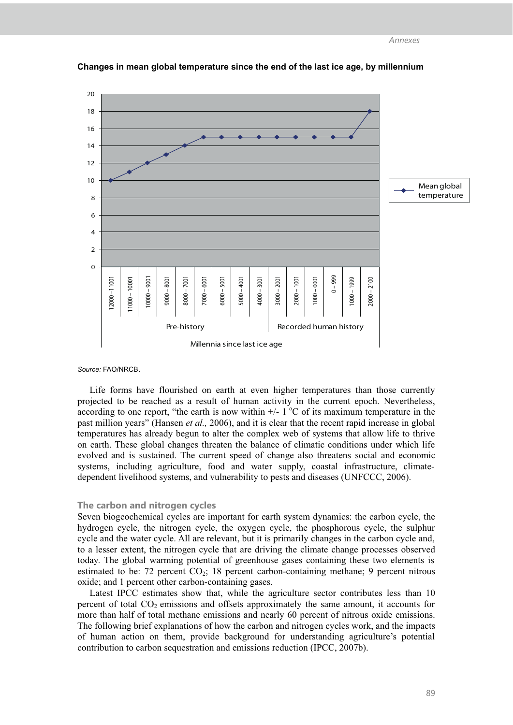

**Changes in mean global temperature since the end of the last ice age, by millennium** 

*Source:* FAO/NRCB*.*

Life forms have flourished on earth at even higher temperatures than those currently projected to be reached as a result of human activity in the current epoch. Nevertheless, according to one report, "the earth is now within  $+/- 1 \degree C$  of its maximum temperature in the past million years" (Hansen *et al.,* 2006), and it is clear that the recent rapid increase in global temperatures has already begun to alter the complex web of systems that allow life to thrive on earth. These global changes threaten the balance of climatic conditions under which life evolved and is sustained. The current speed of change also threatens social and economic systems, including agriculture, food and water supply, coastal infrastructure, climatedependent livelihood systems, and vulnerability to pests and diseases (UNFCCC, 2006).

#### **The carbon and nitrogen cycles**

Seven biogeochemical cycles are important for earth system dynamics: the carbon cycle, the hydrogen cycle, the nitrogen cycle, the oxygen cycle, the phosphorous cycle, the sulphur cycle and the water cycle. All are relevant, but it is primarily changes in the carbon cycle and, to a lesser extent, the nitrogen cycle that are driving the climate change processes observed today. The global warming potential of greenhouse gases containing these two elements is estimated to be: 72 percent  $CO<sub>2</sub>$ ; 18 percent carbon-containing methane; 9 percent nitrous oxide; and 1 percent other carbon-containing gases.

Latest IPCC estimates show that, while the agriculture sector contributes less than 10 percent of total  $CO<sub>2</sub>$  emissions and offsets approximately the same amount, it accounts for more than half of total methane emissions and nearly 60 percent of nitrous oxide emissions. The following brief explanations of how the carbon and nitrogen cycles work, and the impacts of human action on them, provide background for understanding agriculture's potential contribution to carbon sequestration and emissions reduction (IPCC, 2007b).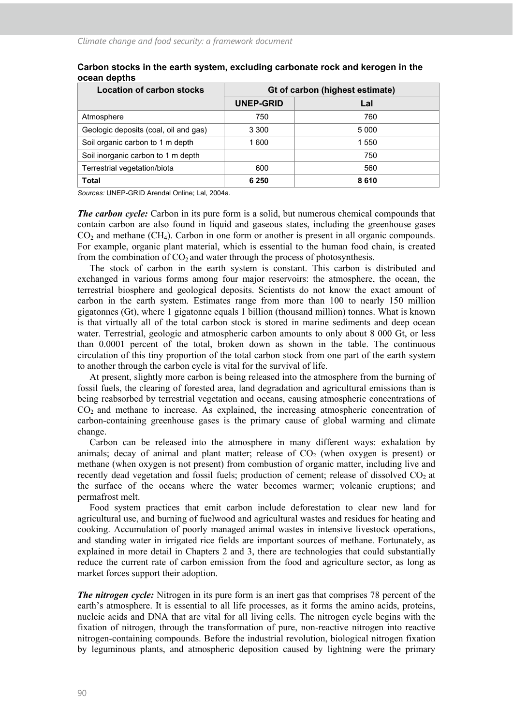| Location of carbon stocks             | Gt of carbon (highest estimate) |         |
|---------------------------------------|---------------------------------|---------|
|                                       | UNEP-GRID                       | Lal     |
| Atmosphere                            | 750                             | 760     |
| Geologic deposits (coal, oil and gas) | 3 3 0 0                         | 5 0 0 0 |
| Soil organic carbon to 1 m depth      | 1 600                           | 1 550   |
| Soil inorganic carbon to 1 m depth    |                                 | 750     |
| Terrestrial vegetation/biota          | 600                             | 560     |
| <b>Total</b>                          | 6 2 5 0                         | 8610    |

#### **Carbon stocks in the earth system, excluding carbonate rock and kerogen in the ocean depths**

*Sources:* UNEP-GRID Arendal Online; Lal, 2004a.

*The carbon cycle:* Carbon in its pure form is a solid, but numerous chemical compounds that contain carbon are also found in liquid and gaseous states, including the greenhouse gases  $CO<sub>2</sub>$  and methane (CH<sub>4</sub>). Carbon in one form or another is present in all organic compounds. For example, organic plant material, which is essential to the human food chain, is created from the combination of  $CO<sub>2</sub>$  and water through the process of photosynthesis.

The stock of carbon in the earth system is constant. This carbon is distributed and exchanged in various forms among four major reservoirs: the atmosphere, the ocean, the terrestrial biosphere and geological deposits. Scientists do not know the exact amount of carbon in the earth system. Estimates range from more than 100 to nearly 150 million gigatonnes (Gt), where 1 gigatonne equals 1 billion (thousand million) tonnes. What is known is that virtually all of the total carbon stock is stored in marine sediments and deep ocean water. Terrestrial, geologic and atmospheric carbon amounts to only about 8 000 Gt, or less than 0.0001 percent of the total, broken down as shown in the table. The continuous circulation of this tiny proportion of the total carbon stock from one part of the earth system to another through the carbon cycle is vital for the survival of life.

At present, slightly more carbon is being released into the atmosphere from the burning of fossil fuels, the clearing of forested area, land degradation and agricultural emissions than is being reabsorbed by terrestrial vegetation and oceans, causing atmospheric concentrations of  $CO<sub>2</sub>$  and methane to increase. As explained, the increasing atmospheric concentration of carbon-containing greenhouse gases is the primary cause of global warming and climate change.

Carbon can be released into the atmosphere in many different ways: exhalation by animals; decay of animal and plant matter; release of  $CO<sub>2</sub>$  (when oxygen is present) or methane (when oxygen is not present) from combustion of organic matter, including live and recently dead vegetation and fossil fuels; production of cement; release of dissolved  $CO<sub>2</sub>$  at the surface of the oceans where the water becomes warmer; volcanic eruptions; and permafrost melt.

Food system practices that emit carbon include deforestation to clear new land for agricultural use, and burning of fuelwood and agricultural wastes and residues for heating and cooking. Accumulation of poorly managed animal wastes in intensive livestock operations, and standing water in irrigated rice fields are important sources of methane. Fortunately, as explained in more detail in Chapters 2 and 3, there are technologies that could substantially reduce the current rate of carbon emission from the food and agriculture sector, as long as market forces support their adoption.

*The nitrogen cycle:* Nitrogen in its pure form is an inert gas that comprises 78 percent of the earth's atmosphere. It is essential to all life processes, as it forms the amino acids, proteins, nucleic acids and DNA that are vital for all living cells. The nitrogen cycle begins with the fixation of nitrogen, through the transformation of pure, non-reactive nitrogen into reactive nitrogen-containing compounds. Before the industrial revolution, biological nitrogen fixation by leguminous plants, and atmospheric deposition caused by lightning were the primary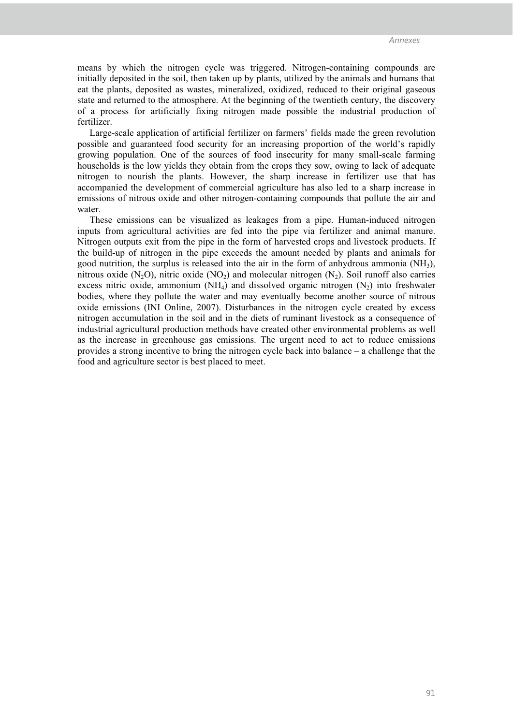means by which the nitrogen cycle was triggered. Nitrogen-containing compounds are initially deposited in the soil, then taken up by plants, utilized by the animals and humans that eat the plants, deposited as wastes, mineralized, oxidized, reduced to their original gaseous state and returned to the atmosphere. At the beginning of the twentieth century, the discovery of a process for artificially fixing nitrogen made possible the industrial production of fertilizer.

Large-scale application of artificial fertilizer on farmers' fields made the green revolution possible and guaranteed food security for an increasing proportion of the world's rapidly growing population. One of the sources of food insecurity for many small-scale farming households is the low yields they obtain from the crops they sow, owing to lack of adequate nitrogen to nourish the plants. However, the sharp increase in fertilizer use that has accompanied the development of commercial agriculture has also led to a sharp increase in emissions of nitrous oxide and other nitrogen-containing compounds that pollute the air and water.

These emissions can be visualized as leakages from a pipe. Human-induced nitrogen inputs from agricultural activities are fed into the pipe via fertilizer and animal manure. Nitrogen outputs exit from the pipe in the form of harvested crops and livestock products. If the build-up of nitrogen in the pipe exceeds the amount needed by plants and animals for good nutrition, the surplus is released into the air in the form of anhydrous ammonia (NH3), nitrous oxide (N<sub>2</sub>O), nitric oxide (NO<sub>2</sub>) and molecular nitrogen (N<sub>2</sub>). Soil runoff also carries excess nitric oxide, ammonium  $(NH_4)$  and dissolved organic nitrogen  $(N_2)$  into freshwater bodies, where they pollute the water and may eventually become another source of nitrous oxide emissions (INI Online, 2007). Disturbances in the nitrogen cycle created by excess nitrogen accumulation in the soil and in the diets of ruminant livestock as a consequence of industrial agricultural production methods have created other environmental problems as well as the increase in greenhouse gas emissions. The urgent need to act to reduce emissions provides a strong incentive to bring the nitrogen cycle back into balance – a challenge that the food and agriculture sector is best placed to meet.